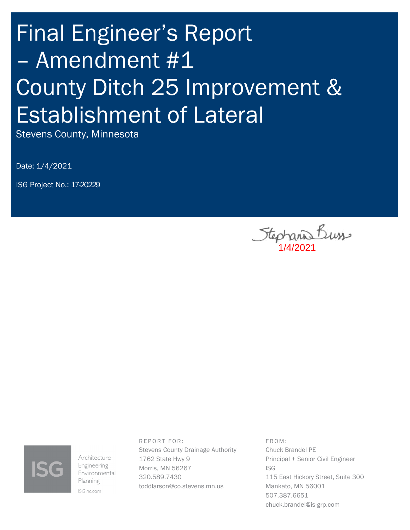# Final Engineer's Report – Amendment #1 County Ditch 25 Improvement & Establishment of Lateral

Stevens County, Minnesota

Date: 1/4/2021

ISG Project No.: 17-20229

Stephanis Buss



Architecture Engineering Environmental Planning ISGInc.com

REPORT FOR: Stevens County Drainage Authority 1762 State Hwy 9 Morris, MN 56267 320.589.7430 toddlarson@co.stevens.mn.us

F R O M : Chuck Brandel PE Principal + Senior Civil Engineer ISG 115 East Hickory Street, Suite 300 Mankato, MN 56001 507.387.6651 chuck.brandel@is-grp.com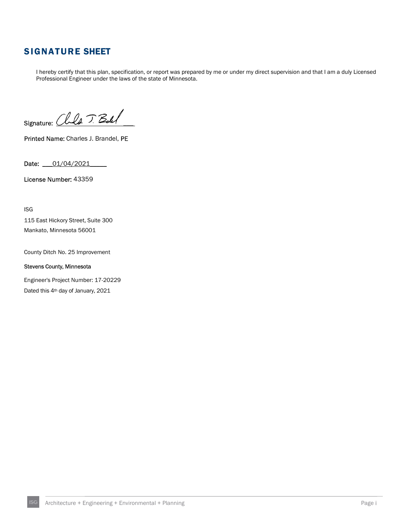## SIGNATURE SHEET

I hereby certify that this plan, specification, or report was prepared by me or under my direct supervision and that I am a duly Licensed Professional Engineer under the laws of the state of Minnesota.

Signature: Chila J. Boll

Printed Name: Charles J. Brandel, PE

Date: 01/04/2021

License Number: 43359

ISG

115 East Hickory Street, Suite 300 Mankato, Minnesota 56001

County Ditch No. 25 Improvement

#### Stevens County, Minnesota

Engineer's Project Number: 17-20229

Dated this 4<sup>th</sup> day of January, 2021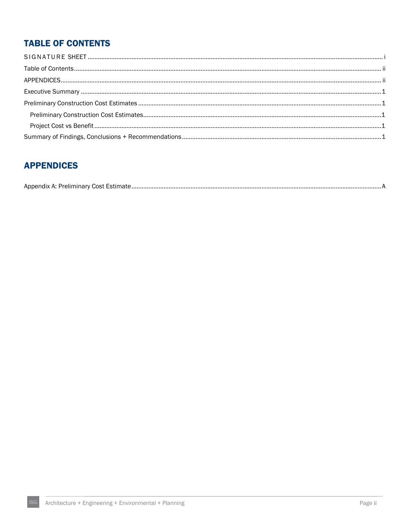## **TABLE OF CONTENTS**

## **APPENDICES**

|--|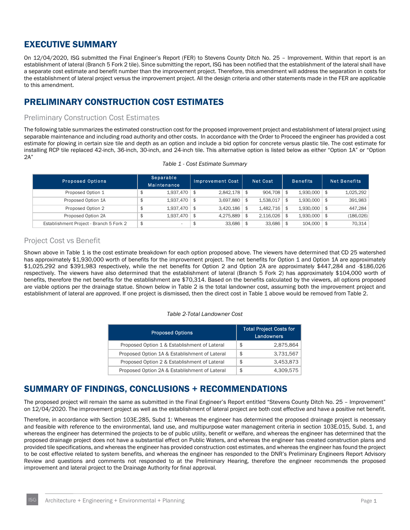## EXECUTIVE SUMMARY

On 12/04/2020, ISG submitted the Final Engineer's Report (FER) to Stevens County Ditch No. 25 – Improvement. Within that report is an establishment of lateral (Branch 5 Fork 2 tile). Since submitting the report, ISG has been notified that the establishment of the lateral shall have a separate cost estimate and benefit number than the improvement project. Therefore, this amendment will address the separation in costs for the establishment of lateral project versus the improvement project. All the design criteria and other statements made in the FER are applicable to this amendment.

## PRELIMINARY CONSTRUCTION COST ESTIMATES

## Preliminary Construction Cost Estimates

The following table summarizes the estimated construction cost for the proposed improvement project and establishment of lateral project using separable maintenance and including road authority and other costs. In accordance with the Order to Proceed the engineer has provided a cost estimate for plowing in certain size tile and depth as an option and include a bid option for concrete versus plastic tile. The cost estimate for installing RCP tile replaced 42-inch, 36-inch, 30-inch, and 24-inch tile. This alternative option is listed below as either "Option 1A" or "Option 2A"

| <b>Proposed Options</b>                 | Separable<br><b>Maintenance</b> |     | <b>Improvement Cost</b> | <b>Net Cost</b> |           |                      |     |            |  |  |  |  |  |  |  | <b>Benefits</b> |  | <b>Net Benefits</b> |
|-----------------------------------------|---------------------------------|-----|-------------------------|-----------------|-----------|----------------------|-----|------------|--|--|--|--|--|--|--|-----------------|--|---------------------|
| Proposed Option 1                       | 1,937,470                       | \$  | 2,842,178               | \$              | 904.708   | \$<br>$1,930,000$ \$ |     | 1,025,292  |  |  |  |  |  |  |  |                 |  |                     |
| Proposed Option 1A                      | 1,937,470                       | -\$ | 3.697.880               | \$              | 1,538,017 | \$<br>1,930,000      | ∣\$ | 391,983    |  |  |  |  |  |  |  |                 |  |                     |
| Proposed Option 2                       | 1,937,470                       | -\$ | 3,420,186               | \$              | 1.482.716 | \$<br>1,930,000      | ∣\$ | 447.284    |  |  |  |  |  |  |  |                 |  |                     |
| Proposed Option 2A                      | 1,937,470                       | \$  | 4,275,889               |                 | 2,116,026 | \$<br>1,930,000      | ∣\$ | (186, 026) |  |  |  |  |  |  |  |                 |  |                     |
| Establishment Project - Branch 5 Fork 2 | \$<br>$\overline{\phantom{a}}$  |     | 33.686                  | \$              | 33,686    | 104,000              | ∣\$ | 70,314     |  |  |  |  |  |  |  |                 |  |                     |

#### *Table 1 - Cost Estimate Summary*

## Project Cost vs Benefit

Shown above in Table 1 is the cost estimate breakdown for each option proposed above. The viewers have determined that CD 25 watershed has approximately \$1,930,000 worth of benefits for the improvement project. The net benefits for Option 1 and Option 1A are approximately \$1,025,292 and \$391,983 respectively, while the net benefits for Option 2 and Option 2A are approximately \$447,284 and -\$186,026 respectively. The viewers have also determined that the establishment of lateral (Branch 5 Fork 2) has approximately \$104,000 worth of benefits, therefore the net benefits for the establishment are \$70,314. Based on the benefits calculated by the viewers, all options proposed are viable options per the drainage statue. Shown below in Table 2 is the total landowner cost, assuming both the improvement project and establishment of lateral are approved. If one project is dismissed, then the direct cost in Table 1 above would be removed from Table 2.

#### *Table 2-Total Landowner Cost*

| <b>Proposed Options</b>                       | <b>Total Project Costs for</b><br><b>Landowners</b> |
|-----------------------------------------------|-----------------------------------------------------|
| Proposed Option 1 & Establishment of Lateral  | \$<br>2,875,864                                     |
| Proposed Option 1A & Establishment of Lateral | \$<br>3.731.567                                     |
| Proposed Option 2 & Establishment of Lateral  | \$<br>3,453,873                                     |
| Proposed Option 2A & Establishment of Lateral | \$<br>4,309,575                                     |

## SUMMARY OF FINDINGS, CONCLUSIONS + RECOMMENDATIONS

The proposed project will remain the same as submitted in the Final Engineer's Report entitled "Stevens County Ditch No. 25 – Improvement" on 12/04/2020. The improvement project as well as the establishment of lateral project are both cost effective and have a positive net benefit.

Therefore, in accordance with Section 103E.285, Subd 1: Whereas the engineer has determined the proposed drainage project is necessary and feasible with reference to the environmental, land use, and multipurpose water management criteria in section 103E.015, Subd. 1, and whereas the engineer has determined the projects to be of public utility, benefit or welfare, and whereas the engineer has determined that the proposed drainage project does not have a substantial effect on Public Waters, and whereas the engineer has created construction plans and provided tile specifications, and whereas the engineer has provided construction cost estimates, and whereas the engineer has found the project to be cost effective related to system benefits, and whereas the engineer has responded to the DNR's Preliminary Engineers Report Advisory Review and questions and comments not responded to at the Preliminary Hearing, therefore the engineer recommends the proposed improvement and lateral project to the Drainage Authority for final approval.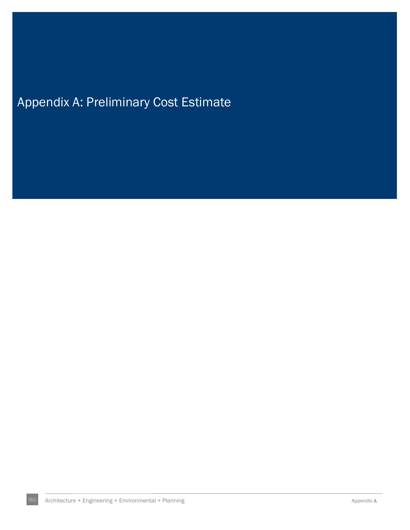# Appendix A: Preliminary Cost Estimate

ISG Architecture + Engineering + Environmental + Planning and Appendix A Appendix A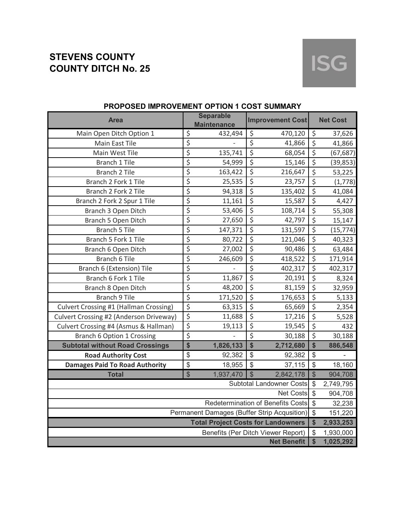# **ISG**

| <b>Area</b>                                   |                           | <b>Separable</b><br><b>Maintenance</b>    |                           | <b>Improvement Cost</b>                                  |                           | <b>Net Cost</b> |
|-----------------------------------------------|---------------------------|-------------------------------------------|---------------------------|----------------------------------------------------------|---------------------------|-----------------|
| Main Open Ditch Option 1                      | $\overline{\mathcal{L}}$  | 432,494                                   | \$                        | 470,120                                                  | \$                        | 37,626          |
| Main East Tile                                | \$                        |                                           | $\overline{\xi}$          | 41,866                                                   | $\overline{\xi}$          | 41,866          |
| Main West Tile                                | $\overline{\xi}$          | 135,741                                   | $\overline{\xi}$          | 68,054                                                   | \$                        | (67, 687)       |
| <b>Branch 1 Tile</b>                          | $\overline{\xi}$          | 54,999                                    | $\overline{\xi}$          | 15,146                                                   | $\overline{\xi}$          | (39, 853)       |
| <b>Branch 2 Tile</b>                          | $\overline{\xi}$          | 163,422                                   | $\overline{\xi}$          | 216,647                                                  | $\overline{\xi}$          | 53,225          |
| Branch 2 Fork 1 Tile                          | $\overline{\xi}$          | 25,535                                    | $\overline{\xi}$          | 23,757                                                   | $\overline{\xi}$          | (1,778)         |
| Branch 2 Fork 2 Tile                          | \$                        | 94,318                                    | $\overline{\xi}$          | 135,402                                                  | $\overline{\xi}$          | 41,084          |
| Branch 2 Fork 2 Spur 1 Tile                   | \$                        | 11,161                                    | $\overline{\xi}$          | 15,587                                                   | \$                        | 4,427           |
| Branch 3 Open Ditch                           | \$                        | 53,406                                    | $\overline{\xi}$          | 108,714                                                  | \$                        | 55,308          |
| Branch 5 Open Ditch                           | \$                        | 27,650                                    | $\overline{\xi}$          | 42,797                                                   | $\overline{\xi}$          | 15,147          |
| <b>Branch 5 Tile</b>                          | \$                        | 147,371                                   | $\overline{\xi}$          | 131,597                                                  | $\overline{\xi}$          | (15, 774)       |
| Branch 5 Fork 1 Tile                          | \$                        | 80,722                                    | $\overline{\xi}$          | 121,046                                                  | $\overline{\xi}$          | 40,323          |
| Branch 6 Open Ditch                           | \$                        | 27,002                                    | $\overline{\xi}$          | 90,486                                                   | \$                        | 63,484          |
| <b>Branch 6 Tile</b>                          | \$                        | 246,609                                   | $\overline{\xi}$          | 418,522                                                  | $\overline{\xi}$          | 171,914         |
| Branch 6 (Extension) Tile                     | \$                        |                                           | \$                        | 402,317                                                  | \$                        | 402,317         |
| Branch 6 Fork 1 Tile                          | \$                        | 11,867                                    | $\overline{\xi}$          | 20,191                                                   | $\overline{\xi}$          | 8,324           |
| Branch 8 Open Ditch                           | \$                        | 48,200                                    | $\overline{\xi}$          | 81,159                                                   | $\overline{\xi}$          | 32,959          |
| <b>Branch 9 Tile</b>                          | $\overline{\xi}$          | 171,520                                   | $\overline{\xi}$          | 176,653                                                  | $\overline{\xi}$          | 5,133           |
| <b>Culvert Crossing #1 (Hallman Crossing)</b> | $\overline{\xi}$          | 63,315                                    | $\overline{\xi}$          | 65,669                                                   | $\overline{\xi}$          | 2,354           |
| Culvert Crossing #2 (Anderson Driveway)       | $\overline{\xi}$          | 11,688                                    | $\overline{\xi}$          | 17,216                                                   | $\overline{\xi}$          | 5,528           |
| Culvert Crossing #4 (Asmus & Hallman)         | \$                        | 19,113                                    | $\overline{\xi}$          | 19,545                                                   | $\overline{\xi}$          | 432             |
| Branch 6 Option 1 Crossing                    | \$                        |                                           | $\overline{\xi}$          | 30,188                                                   | $\overline{\xi}$          | 30,188          |
| <b>Subtotal without Road Crossings</b>        | \$                        | 1,826,133                                 | \$                        | 2,712,680                                                | \$                        | 886,548         |
| <b>Road Authority Cost</b>                    | \$                        | 92,382                                    | $\boldsymbol{\mathsf{S}}$ | 92,382                                                   | $\frac{1}{2}$             |                 |
| <b>Damages Paid To Road Authority</b>         | \$                        | 18,955                                    | $\boldsymbol{\mathsf{S}}$ | 37,115                                                   | $\boldsymbol{\mathsf{S}}$ | 18,160          |
| <b>Total</b>                                  | \$                        | 1,937,470                                 | $\mathcal{S}$             | 2,842,178                                                | \$                        | 904,708         |
|                                               | $\sqrt[6]{\frac{1}{2}}$   | 2,749,795                                 |                           |                                                          |                           |                 |
|                                               | $\boldsymbol{\mathsf{S}}$ | 904,708                                   |                           |                                                          |                           |                 |
| <b>Redetermination of Benefits Costs</b>      |                           |                                           |                           |                                                          |                           | 32,238          |
| Permanent Damages (Buffer Strip Acqusition)   |                           |                                           |                           |                                                          |                           | 151,220         |
|                                               |                           | <b>Total Project Costs for Landowners</b> |                           |                                                          | \$                        | 2,933,253       |
|                                               |                           |                                           |                           | Benefits (Per Ditch Viewer Report)<br><b>Net Benefit</b> | \$                        | 1,930,000       |
|                                               | \$                        | 1,025,292                                 |                           |                                                          |                           |                 |

## **PROPOSED IMPROVEMENT OPTION 1 COST SUMMARY**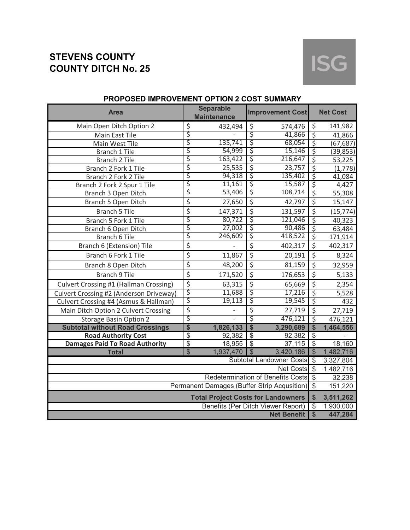

| <b>Area</b>                                   |                           | <b>Separable</b><br><b>Maintenance</b>    |                  | <b>Improvement Cost</b>                      |                                | <b>Net Cost</b> |
|-----------------------------------------------|---------------------------|-------------------------------------------|------------------|----------------------------------------------|--------------------------------|-----------------|
| Main Open Ditch Option 2                      | \$                        | 432,494                                   | $\zeta$          | 574,476                                      | \$                             | 141,982         |
| Main East Tile                                | \$                        |                                           | \$               | 41,866                                       | $\overline{\xi}$               | 41,866          |
| Main West Tile                                | \$                        | 135,741                                   | $\varsigma$      | 68,054                                       | $\overline{\xi}$               | (67, 687)       |
| Branch 1 Tile                                 | \$                        | 54,999                                    | \$               | 15,146                                       | $\overline{\mathsf{S}}$        | (39, 853)       |
| Branch 2 Tile                                 | \$                        | 163,422                                   | \$               | 216,647                                      | $\overline{\xi}$               | 53,225          |
| Branch 2 Fork 1 Tile                          | \$                        | 25,535                                    | $\overline{\xi}$ | 23,757                                       | $\overline{\varsigma}$         | (1,778)         |
| Branch 2 Fork 2 Tile                          | \$                        | 94,318                                    | \$               | 135,402                                      | $\overline{\mathsf{S}}$        | 41,084          |
| Branch 2 Fork 2 Spur 1 Tile                   | \$                        | 11,161                                    | \$               | 15,587                                       | $\overline{\varsigma}$         | 4,427           |
| Branch 3 Open Ditch                           | \$                        | 53,406                                    | \$               | 108,714                                      | $\overline{\mathsf{S}}$        | 55,308          |
| Branch 5 Open Ditch                           | \$                        | 27,650                                    | $\overline{\xi}$ | 42,797                                       | \$                             | 15,147          |
| <b>Branch 5 Tile</b>                          | \$                        | 147,371                                   | $\overline{\xi}$ | 131,597                                      | $\overline{\xi}$               | (15, 774)       |
| Branch 5 Fork 1 Tile                          | \$                        | 80,722                                    | \$               | 121,046                                      | \$                             | 40,323          |
| Branch 6 Open Ditch                           | \$                        | 27,002                                    | \$               | 90,486                                       | \$                             | 63,484          |
| <b>Branch 6 Tile</b>                          | \$                        | 246,609                                   | \$               | 418,522                                      | \$                             | 171,914         |
| Branch 6 (Extension) Tile                     | \$                        |                                           | \$               | 402,317                                      | \$                             | 402,317         |
| Branch 6 Fork 1 Tile                          | \$                        | 11,867                                    | $\overline{\xi}$ | 20,191                                       | $\overline{\xi}$               | 8,324           |
| Branch 8 Open Ditch                           | \$                        | 48,200                                    | $\overline{\xi}$ | 81,159                                       | $\overline{\xi}$               | 32,959          |
| <b>Branch 9 Tile</b>                          | \$                        | 171,520                                   | $\overline{\xi}$ | 176,653                                      | $\overline{\xi}$               | 5,133           |
| <b>Culvert Crossing #1 (Hallman Crossing)</b> | \$                        | 63,315                                    | $\overline{\xi}$ | 65,669                                       | $\overline{\xi}$               | 2,354           |
| Culvert Crossing #2 (Anderson Driveway)       | $\dot{\vec{\xi}}$         | 11,688                                    | \$               | 17,216                                       | \$                             | 5,528           |
| Culvert Crossing #4 (Asmus & Hallman)         | \$                        | 19,113                                    | \$               | 19,545                                       | $\overline{\xi}$               | 432             |
| Main Ditch Option 2 Culvert Crossing          | \$                        |                                           | \$               | 27,719                                       | \$                             | 27,719          |
| <b>Storage Basin Option 2</b>                 | \$                        |                                           | \$               | 476,121                                      | $\overline{\mathsf{S}}$        | 476,121         |
| <b>Subtotal without Road Crossings</b>        | \$                        | 1,826,133                                 | $\overline{\$}$  | 3,290,689                                    | \$                             | 1,464,556       |
| <b>Road Authority Cost</b>                    | \$                        | 92,382                                    | $\overline{\$}$  | 92,382                                       | $\overline{\mathcal{G}}$       |                 |
| <b>Damages Paid To Road Authority</b>         | \$                        | 18,955                                    | $\overline{\$}$  | 37,115                                       | $\overline{\mathbf{3}}$        | 18,160          |
| <b>Total</b>                                  | \$                        | 1,937,470                                 | $\mathcal{S}$    | 3,420,186<br><b>Subtotal Landowner Costs</b> | $\mathcal{S}$                  | 1,482,716       |
|                                               | $\boldsymbol{\mathsf{S}}$ | 3,327,804                                 |                  |                                              |                                |                 |
|                                               | <b>Net Costs</b>          | $\mathcal{S}$                             | 1,482,716        |                                              |                                |                 |
|                                               |                           |                                           |                  | <b>Redetermination of Benefits Costs</b>     | $\mathcal{S}$<br>$\mathcal{S}$ | 32,238          |
| Permanent Damages (Buffer Strip Acqusition)   |                           |                                           |                  |                                              |                                | 151,220         |
|                                               |                           | <b>Total Project Costs for Landowners</b> |                  |                                              | \$                             | 3,511,262       |
|                                               |                           |                                           |                  | Benefits (Per Ditch Viewer Report)           | \$<br>$\overline{\mathbf{S}}$  | 1,930,000       |
| <b>Net Benefit</b>                            |                           |                                           |                  |                                              |                                | 447,284         |

## **PROPOSED IMPROVEMENT OPTION 2 COST SUMMARY**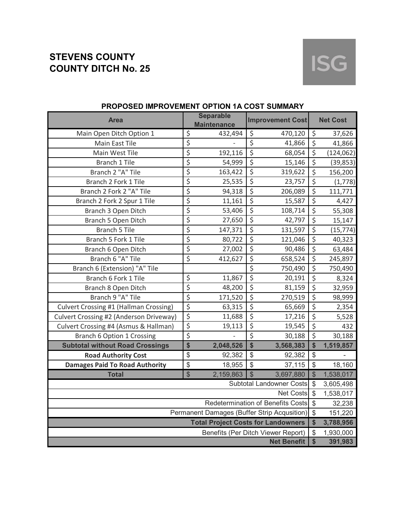

| <b>Area</b>                                   | <b>Separable</b><br><b>Improvement Cost</b><br><b>Maintenance</b> |                                           |                          |                                    | <b>Net Cost</b>     |            |
|-----------------------------------------------|-------------------------------------------------------------------|-------------------------------------------|--------------------------|------------------------------------|---------------------|------------|
| Main Open Ditch Option 1                      | $\overline{\varsigma}$                                            | 432,494                                   | $\overline{\mathcal{S}}$ | 470,120                            | $\zeta$             | 37,626     |
| Main East Tile                                | \$                                                                |                                           | $\overline{\varsigma}$   | 41,866                             | $\overline{\xi}$    | 41,866     |
| Main West Tile                                | \$                                                                | 192,116                                   | $\overline{\xi}$         | 68,054                             | \$                  | (124, 062) |
| Branch 1 Tile                                 | \$                                                                | 54,999                                    | $\overline{\xi}$         | 15,146                             | $\overline{\xi}$    | (39, 853)  |
| Branch 2 "A" Tile                             | \$                                                                | 163,422                                   | $\overline{\xi}$         | 319,622                            | \$                  | 156,200    |
| Branch 2 Fork 1 Tile                          | \$                                                                | 25,535                                    | $\overline{\xi}$         | 23,757                             | $\overline{\xi}$    | (1,778)    |
| Branch 2 Fork 2 "A" Tile                      | $\overline{\xi}$                                                  | 94,318                                    | $\overline{\xi}$         | 206,089                            | $\overline{\xi}$    | 111,771    |
| Branch 2 Fork 2 Spur 1 Tile                   | \$                                                                | 11,161                                    | $\overline{\xi}$         | 15,587                             | $\overline{\xi}$    | 4,427      |
| Branch 3 Open Ditch                           | \$                                                                | 53,406                                    | \$                       | 108,714                            | \$                  | 55,308     |
| Branch 5 Open Ditch                           | \$                                                                | 27,650                                    | $\overline{\xi}$         | 42,797                             | $\overline{\xi}$    | 15,147     |
| <b>Branch 5 Tile</b>                          | \$                                                                | 147,371                                   | $\overline{\xi}$         | 131,597                            | $\overline{\xi}$    | (15, 774)  |
| Branch 5 Fork 1 Tile                          | \$                                                                | 80,722                                    | $\overline{\xi}$         | 121,046                            | $\overline{\xi}$    | 40,323     |
| Branch 6 Open Ditch                           | $\overline{\xi}$                                                  | 27,002                                    | $\overline{\xi}$         | 90,486                             | $\overline{\xi}$    | 63,484     |
| Branch 6 "A" Tile                             | $\overline{\xi}$                                                  | 412,627                                   | $\overline{\xi}$         | 658,524                            | $\overline{\xi}$    | 245,897    |
| Branch 6 (Extension) "A" Tile                 |                                                                   |                                           | \$                       | 750,490                            | \$                  | 750,490    |
| Branch 6 Fork 1 Tile                          | $\overline{\varsigma}$                                            | 11,867                                    | $\overline{\xi}$         | 20,191                             | $\overline{\xi}$    | 8,324      |
| Branch 8 Open Ditch                           | \$                                                                | 48,200                                    | $\overline{\xi}$         | 81,159                             | $\overline{\xi}$    | 32,959     |
| Branch 9 "A" Tile                             | $\overline{\xi}$                                                  | 171,520                                   | $\overline{\xi}$         | 270,519                            | $\overline{\xi}$    | 98,999     |
| <b>Culvert Crossing #1 (Hallman Crossing)</b> | $\overline{\xi}$                                                  | 63,315                                    | $\overline{\xi}$         | 65,669                             | $\overline{\xi}$    | 2,354      |
| Culvert Crossing #2 (Anderson Driveway)       | \$                                                                | 11,688                                    | $\overline{\xi}$         | 17,216                             | $\overline{\xi}$    | 5,528      |
| Culvert Crossing #4 (Asmus & Hallman)         | \$                                                                | 19,113                                    | \$                       | 19,545                             | $\overline{\xi}$    | 432        |
| <b>Branch 6 Option 1 Crossing</b>             | $\overline{\xi}$                                                  |                                           | \$                       | 30,188                             | $\overline{\xi}$    | 30,188     |
| <b>Subtotal without Road Crossings</b>        | \$                                                                | 2,048,526                                 | \$                       | 3,568,383                          | \$                  | 1,519,857  |
| <b>Road Authority Cost</b>                    | \$                                                                | 92,382                                    | $\sqrt{2}$               | 92,382                             | \$                  |            |
| <b>Damages Paid To Road Authority</b>         | \$                                                                | 18,955                                    | $\frac{1}{2}$            | 37,115                             | $\frac{1}{2}$       | 18,160     |
| <b>Total</b>                                  | $\frac{1}{2}$                                                     | 2,159,863                                 | $\mathcal{S}$            | 3,697,880                          | \$                  | 1,538,017  |
|                                               | $\boldsymbol{\mathsf{S}}$                                         | 3,605,498                                 |                          |                                    |                     |            |
|                                               | \$                                                                | 1,538,017                                 |                          |                                    |                     |            |
| Redetermination of Benefits Costs             |                                                                   |                                           |                          |                                    |                     | 32,238     |
| Permanent Damages (Buffer Strip Acqusition)   |                                                                   |                                           |                          |                                    |                     | 151,220    |
|                                               |                                                                   | <b>Total Project Costs for Landowners</b> |                          |                                    | \$                  | 3,788,956  |
|                                               |                                                                   |                                           |                          | Benefits (Per Ditch Viewer Report) | \$<br>$\frac{1}{2}$ | 1,930,000  |
| <b>Net Benefit</b>                            |                                                                   |                                           |                          |                                    |                     | 391,983    |

## **PROPOSED IMPROVEMENT OPTION 1A COST SUMMARY**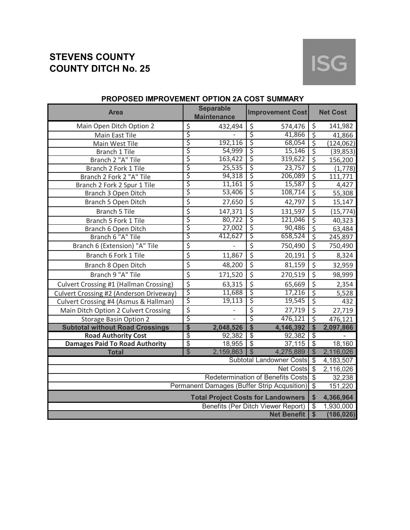

| <b>Area</b>                                   |                                              | <b>Separable</b><br><b>Maintenance</b>    | <b>Improvement Cost</b>  |                                                          |                           | <b>Net Cost</b> |
|-----------------------------------------------|----------------------------------------------|-------------------------------------------|--------------------------|----------------------------------------------------------|---------------------------|-----------------|
| Main Open Ditch Option 2                      | \$                                           | 432,494                                   | \$                       | 574,476                                                  | \$                        | 141,982         |
| Main East Tile                                | \$                                           |                                           | \$                       | 41,866                                                   | $\overline{\varsigma}$    | 41,866          |
| Main West Tile                                | \$                                           | 192,116                                   | \$                       | 68,054                                                   | $\overline{\mathcal{S}}$  | (124, 062)      |
| Branch 1 Tile                                 | \$                                           | 54,999                                    | \$                       | 15,146                                                   | $\overline{\xi}$          | (39, 853)       |
| Branch 2 "A" Tile                             | \$                                           | 163,422                                   | \$                       | 319,622                                                  | $\overline{\mathsf{S}}$   | 156,200         |
| Branch 2 Fork 1 Tile                          | \$                                           | 25,535                                    | \$                       | 23,757                                                   | $\overline{\xi}$          | (1,778)         |
| Branch 2 Fork 2 "A" Tile                      | \$                                           | 94,318                                    | \$                       | 206,089                                                  | $\overline{\mathsf{S}}$   | 111,771         |
| Branch 2 Fork 2 Spur 1 Tile                   | \$                                           | 11,161                                    | \$                       | 15,587                                                   | $\overline{\xi}$          | 4,427           |
| Branch 3 Open Ditch                           | \$                                           | 53,406                                    | \$                       | 108,714                                                  | $\overline{\mathsf{S}}$   | 55,308          |
| Branch 5 Open Ditch                           | \$                                           | 27,650                                    | $\overline{\xi}$         | 42,797                                                   | \$                        | 15,147          |
| <b>Branch 5 Tile</b>                          | \$                                           | 147,371                                   | \$                       | 131,597                                                  | \$                        | (15, 774)       |
| Branch 5 Fork 1 Tile                          | \$                                           | 80,722                                    | \$                       | 121,046                                                  | \$                        | 40,323          |
| Branch 6 Open Ditch                           | \$                                           | 27,002                                    | \$                       | 90,486                                                   | \$                        | 63,484          |
| Branch 6 "A" Tile                             | \$                                           | 412,627                                   | \$                       | 658,524                                                  | \$                        | 245,897         |
| Branch 6 (Extension) "A" Tile                 | \$                                           |                                           | $\overline{\xi}$         | 750,490                                                  | $\overline{\xi}$          | 750,490         |
| Branch 6 Fork 1 Tile                          | \$                                           | 11,867                                    | \$                       | 20,191                                                   | \$                        | 8,324           |
| Branch 8 Open Ditch                           | \$                                           | 48,200                                    | \$                       | 81,159                                                   | \$                        | 32,959          |
| Branch 9 "A" Tile                             | \$                                           | 171,520                                   | \$                       | 270,519                                                  | \$                        | 98,999          |
| <b>Culvert Crossing #1 (Hallman Crossing)</b> | \$\$\$                                       | 63,315                                    | \$                       | 65,669                                                   | \$                        | 2,354           |
| Culvert Crossing #2 (Anderson Driveway)       |                                              | 11,688                                    | \$                       | 17,216                                                   | \$                        | 5,528           |
| Culvert Crossing #4 (Asmus & Hallman)         |                                              | 19,113                                    | \$                       | 19,545                                                   | $\overline{\xi}$          | 432             |
| Main Ditch Option 2 Culvert Crossing          | \$                                           |                                           | \$                       | 27,719                                                   | \$                        | 27,719          |
| <b>Storage Basin Option 2</b>                 | \$                                           |                                           | \$                       | 476,121                                                  | $\overline{\mathsf{S}}$   | 476,121         |
| <b>Subtotal without Road Crossings</b>        | \$                                           | 2,048,526                                 | $\frac{1}{2}$            | 4,146,392                                                | $\boldsymbol{\mathsf{S}}$ | 2,097,866       |
| <b>Road Authority Cost</b>                    | \$                                           | 92,382                                    | $\overline{\mathcal{G}}$ | 92,382                                                   | \$                        |                 |
| <b>Damages Paid To Road Authority</b>         | \$                                           | 18,955                                    | $\overline{\mathbf{s}}$  | 37,115                                                   | $\boldsymbol{\mathsf{S}}$ | 18,160          |
| <b>Total</b>                                  | $\sqrt[6]{\frac{1}{2}}$                      | 2,159,863                                 | $\mathcal{S}$            | 4,275,889                                                | $\mathcal{S}$             | 2,116,026       |
|                                               | Subtotal Landowner Costs<br><b>Net Costs</b> | $\boldsymbol{\mathsf{S}}$                 | 4,183,507                |                                                          |                           |                 |
|                                               | $\mathcal{S}$                                | $\overline{2}$ , 116, 026                 |                          |                                                          |                           |                 |
| Redetermination of Benefits Costs \$          |                                              |                                           |                          |                                                          |                           | 32,238          |
| Permanent Damages (Buffer Strip Acqusition)   |                                              |                                           |                          |                                                          |                           | 151,220         |
|                                               |                                              | <b>Total Project Costs for Landowners</b> |                          |                                                          | \$                        | 4,366,964       |
|                                               |                                              |                                           |                          | Benefits (Per Ditch Viewer Report)<br><b>Net Benefit</b> | \$                        | 1,930,000       |
|                                               | $\sqrt{2}$                                   | (186, 026)                                |                          |                                                          |                           |                 |

## **PROPOSED IMPROVEMENT OPTION 2A COST SUMMARY**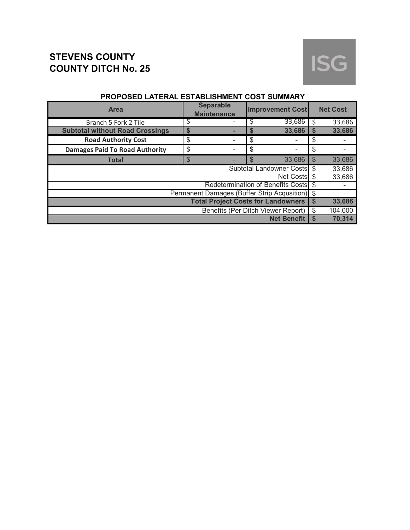# **ISG**

| <b>Area</b>                                    |    | <b>Separable</b><br><b>Maintenance</b> |    | <b>Improvement Cost</b>           |     | <b>Net Cost</b> |
|------------------------------------------------|----|----------------------------------------|----|-----------------------------------|-----|-----------------|
| Branch 5 Fork 2 Tile                           |    |                                        |    | 33,686                            | Ś   | 33,686          |
| <b>Subtotal without Road Crossings</b>         | S  |                                        |    | 33,686                            | S   | 33,686          |
| <b>Road Authority Cost</b>                     | \$ |                                        | \$ |                                   | \$  |                 |
| <b>Damages Paid To Road Authority</b>          | \$ |                                        | \$ |                                   | \$  |                 |
| <b>Total</b>                                   | \$ |                                        | \$ | 33,686                            | \$  | 33,686          |
|                                                |    |                                        |    | <b>Subtotal Landowner Costs</b>   | \$  | 33,686          |
|                                                |    |                                        |    | Net Costs \$                      |     | 33,686          |
|                                                |    |                                        |    | Redetermination of Benefits Costs | -\$ |                 |
| Permanent Damages (Buffer Strip Acqusition) \$ |    |                                        |    |                                   |     |                 |
| <b>Total Project Costs for Landowners</b>      |    |                                        |    |                                   |     | 33,686          |
| Benefits (Per Ditch Viewer Report)             |    |                                        |    |                                   |     | 104,000         |
|                                                |    |                                        |    | <b>Net Benefit</b>                | S   | 70.314          |

## **PROPOSED LATERAL ESTABLISHMENT COST SUMMARY**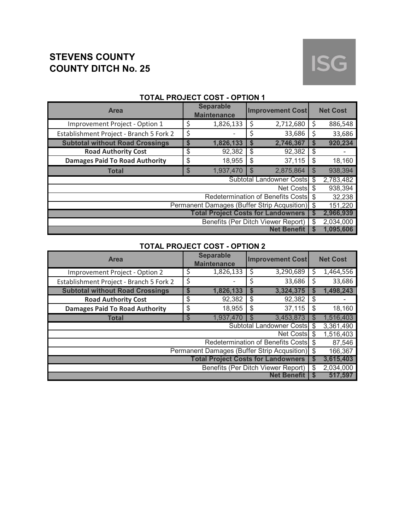# **ISG**

| <b>Area</b>                                    |    | <b>Separable</b><br><b>Improvement Cost</b><br><b>Maintenance</b> |                    |                                   |                | <b>Net Cost</b>        |  |  |
|------------------------------------------------|----|-------------------------------------------------------------------|--------------------|-----------------------------------|----------------|------------------------|--|--|
| Improvement Project - Option 1                 | \$ | 1,826,133                                                         | \$                 | 2,712,680                         | S              | 886,548                |  |  |
| Establishment Project - Branch 5 Fork 2        | \$ |                                                                   | \$                 | 33,686                            | S              | 33,686                 |  |  |
| <b>Subtotal without Road Crossings</b>         | S  | 1,826,133                                                         | \$                 | 2,746,367                         | S              | 920,234                |  |  |
| <b>Road Authority Cost</b>                     | \$ | 92,382                                                            | \$                 | 92,382                            | \$             |                        |  |  |
| <b>Damages Paid To Road Authority</b>          | \$ | 18,955                                                            | \$                 | 37,115                            | \$             | 18,160                 |  |  |
| <b>Total</b>                                   | \$ | 1,937,470                                                         | $\mathbb{S}$       | 2,875,864                         | $\mathfrak{S}$ | 938,394                |  |  |
|                                                |    |                                                                   |                    | Subtotal Landowner Costs          | \$             | 2,783,482              |  |  |
|                                                |    |                                                                   |                    | Net Costs \$                      |                | 938,394                |  |  |
|                                                |    |                                                                   |                    | Redetermination of Benefits Costs |                | 32,238                 |  |  |
| Permanent Damages (Buffer Strip Acqusition) \$ |    |                                                                   |                    |                                   |                | 151,220                |  |  |
| <b>Total Project Costs for Landowners</b>      |    |                                                                   |                    |                                   |                | 2,966,939              |  |  |
| Benefits (Per Ditch Viewer Report)             |    |                                                                   |                    |                                   | \$             | 2,034,000<br>1,095,606 |  |  |
|                                                |    |                                                                   | <b>Net Benefit</b> |                                   |                |                        |  |  |

## **TOTAL PROJECT COST - OPTION 1**

## **TOTAL PROJECT COST - OPTION 2**

| <b>Area</b>                                    |    | <b>Separable</b><br><b>Improvement Cost</b><br><b>Maintenance</b> |     |                                      |          | <b>Net Cost</b> |
|------------------------------------------------|----|-------------------------------------------------------------------|-----|--------------------------------------|----------|-----------------|
| Improvement Project - Option 2                 | Ş  | 1,826,133                                                         | \$  | 3,290,689                            | \$       | 1,464,556       |
| Establishment Project - Branch 5 Fork 2        | \$ |                                                                   | Ś   | 33,686                               | Ś        | 33,686          |
| <b>Subtotal without Road Crossings</b>         | S  | 1,826,133                                                         | S   | 3,324,375                            | S        | 1,498,243       |
| <b>Road Authority Cost</b>                     | \$ | 92,382                                                            | \$  | 92,382                               | \$       |                 |
| <b>Damages Paid To Road Authority</b>          | \$ | 18,955                                                            | \$  | 37,115                               | \$       | 18,160          |
| <b>Total</b>                                   | \$ | 1,937,470                                                         | \$. | 3,453,873                            | \$.      | 1,516,403       |
|                                                |    |                                                                   |     | <b>Subtotal Landowner Costs</b>      | \$       | 3,361,490       |
|                                                |    |                                                                   |     | Net Costs                            | \$       | 1,516,403       |
|                                                |    |                                                                   |     | Redetermination of Benefits Costs \$ |          | 87,546          |
| Permanent Damages (Buffer Strip Acqusition) \$ |    |                                                                   |     |                                      |          | 166,367         |
| <b>Total Project Costs for Landowners</b>      |    |                                                                   |     |                                      | J        | 3,615,403       |
| Benefits (Per Ditch Viewer Report)             |    |                                                                   |     |                                      | \$       | 2,034,000       |
|                                                |    |                                                                   |     | <b>Net Benefit</b>                   | <b>S</b> | 517.597         |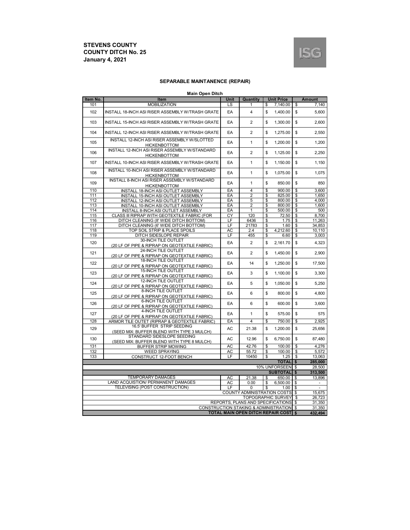

#### **SEPARABLE MAINTANENCE (REPAIR)**

|  | <b>Main Open Ditch</b> |
|--|------------------------|
|  |                        |

| Item No. | manı open onen<br>Item                                                      | Unit      | Quantity                                    |    | <b>Unit Price</b> |              | <b>Amount</b> |
|----------|-----------------------------------------------------------------------------|-----------|---------------------------------------------|----|-------------------|--------------|---------------|
| 101      | <b>MOBILIZATION</b>                                                         | LS        | 1                                           | \$ | 7,140.00          | \$           | 7,140         |
| 102      | INSTALL 18-INCH ASI RISER ASSEMBLY W/TRASH GRATE                            | EA        | 4                                           | \$ | 1,400.00          | \$           | 5,600         |
| 103      | INSTALL 15-INCH ASI RISER ASSEMBLY W/TRASH GRATE                            | EA        | $\overline{2}$                              | \$ | 1,300.00          | \$           | 2.600         |
| 104      | INSTALL 12-INCH ASI RISER ASSEMBLY W/TRASH GRATE                            | EA        | $\overline{2}$                              | \$ | 1,275.00          | \$           | 2,550         |
| 105      | INSTALL 12-INCH ASI RISER ASSEMBLY W/SLOTTED<br><b>HICKENBOTTOM</b>         | EA        | 1                                           | \$ | 1,200.00          | \$           | 1,200         |
| 106      | INSTALL 12-INCH ASI RISER ASSEMBLY W/STANDARD<br><b>HICKENBOTTOM</b>        | EA        | 2                                           | \$ | 1,125.00          | \$           | 2,250         |
| 107      | INSTALL 10-INCH ASI RISER ASSEMBLY W/TRASH GRATE                            | EA        | 1                                           | \$ | 1,150.00          | \$           | 1,150         |
| 108      | INSTALL 10-INCH ASI RISER ASSEMBLY W/STANDARD<br><b>HICKENBOTTOM</b>        | EA        | 1                                           | \$ | 1,075.00          | \$           | 1,075         |
| 109      | INSTALL 8-INCH ASI RISER ASSEMBLY W/STANDARD<br><b>HICKENBOTTOM</b>         | EA        | 1                                           | \$ | 850.00            | \$           | 850           |
| 110      | INSTALL 18-INCH ASI OUTLET ASSEMBLY                                         | EA        | 4                                           | \$ | 900.00            | \$           | 3,600         |
| 111      | INSTALL 15-INCH ASI OUTLET ASSEMBLY                                         | EA        | $\overline{c}$                              | \$ | 825.00            | \$           | 1,650         |
| 112      | INSTALL 12-INCH ASI OUTLET ASSEMBLY                                         | EA        | 5                                           | \$ | 800.00            | \$           | 4.000         |
| 113      | INSTALL 10-INCH ASI OUTLET ASSEMBLY                                         | EA        | 2                                           | \$ | 800.00            | \$           | 1,600         |
| 114      | INSTALL 8-INCH ASI OUTLET ASSEMBLY                                          | EA        | 1                                           | \$ | 500.00            | \$           | 500           |
| 115      | CLASS III RIPRAP WITH GEOTEXTILE FABRIC (FOR                                | CY        | 120                                         | \$ | 72.50             | \$           | 8,700         |
| 116      | DITCH CLEANING (8' WIDE DITCH BOTTOM)                                       | LF        | 6436                                        | \$ | 1.75              | \$           | 11,263        |
|          |                                                                             |           |                                             |    |                   |              |               |
| 117      | DITCH CLEANING (6' WIDE DITCH BOTTOM)                                       | LF        | 21783                                       | \$ | 1.60              | \$           | 34,853        |
| 118      | TOP SOIL STRIP & PLACE SPOILS                                               | AC        | 2.4                                         | \$ | 4,212.60          | \$           | 10,110        |
| 119      | <b>DITCH SIDESLOPE REPAIR</b>                                               | LF        | 455                                         | \$ | 6.60              | \$           | 3,003         |
| 120      | 30-INCH TILE OUTLET<br>(20 LF OF PIPE & RIPRAP ON GEOTEXTILE FABRIC)        | EA        | $\overline{2}$                              | \$ | 2,161.70          | \$           | 4,323         |
| 121      | 24-INCH TILE OUTLET<br>(20 LF OF PIPE & RIPRAP ON GEOTEXTILE FABRIC)        | EA        | $\overline{2}$                              | \$ | 1.450.00          | \$           | 2.900         |
| 122      | 18-INCH TILE OUTLET<br>(20 LF OF PIPE & RIPRAP ON GEOTEXTILE FABRIC)        | EA        | 14                                          | \$ | 1,250.00          | \$           | 17,500        |
| 123      | 15-INCH TILE OUTLET<br>(20 LF OF PIPE & RIPRAP ON GEOTEXTILE FABRIC)        | EA        | 3                                           | \$ | 1,100.00          | \$           | 3,300         |
| 124      | <b>12-INCH TILE OUTLET</b><br>(20 LF OF PIPE & RIPRAP ON GEOTEXTILE FABRIC) | EA        | 5                                           | \$ | 1,050.00          | \$           | 5,250         |
| 125      | 8-INCH TILE OUTLET<br>(20 LF OF PIPE & RIPRAP ON GEOTEXTILE FABRIC)         | EA        | 6                                           | \$ | 800.00            | \$           | 4,800         |
| 126      | <b>6-INCH TILE OUTLET</b><br>(20 LF OF PIPE & RIPRAP ON GEOTEXTILE FABRIC)  | EA        | 6                                           | \$ | 600.00            | \$           | 3,600         |
| 127      | 4-INCH TILE OUTLET<br>(20 LF OF PIPE & RIPRAP ON GEOTEXTILE FABRIC)         | EA        | 1                                           | \$ | 575.00            | \$           | 575           |
| 128      | ARMOR TILE OUTET (RIPRAP & GEOTEXTILE FABRIC)                               | EA        | $\overline{4}$                              | \$ | 750.00            | \$           | 2.925         |
| 129      | 16.5' BUFFER STRIP SEEDING<br>(SEED MIX: BUFFER BLEND WITH TYPE 3 MULCH)    | <b>AC</b> | 21.38                                       | \$ | 1.200.00          | \$           | 25.656        |
| 130      | STANDARD SIDESLOPE SEEDING<br>(SEED MIX: BUFFER BLEND WITH TYPE 8 MULCH)    | AC        | 12.96                                       | \$ | 6,750.00          | \$           | 87,480        |
| 131      | <b>BUFFER STRIP MOWING</b>                                                  | AC        | 42.76                                       | \$ | 100.00            | \$           | 4,276         |
| 132      | <b>WEED SPRAYING</b>                                                        | AC        | 55.72                                       | \$ | 100.00            | \$           | 5,572         |
| 133      | CONSTRUCT 12-FOOT BENCH                                                     | LF        | 10450                                       | \$ | 1.25              | \$           | 13,063        |
|          |                                                                             |           |                                             |    | <b>TOTAL</b>      | \$           | 285,000       |
|          |                                                                             |           |                                             |    | 10% UNFORSEEN     | <b>S</b>     | 28,500        |
|          |                                                                             |           |                                             |    | <b>SUBTOTAL</b>   | $\mathbf{s}$ | 313,500       |
|          | <b>TEMPORARY DAMAGES</b>                                                    | AC        | 21.38                                       | \$ | 650.00            | \$           | 13,896        |
|          | LAND ACQUISTION/ PERMANENT DAMAGES                                          | AC        | 0.00                                        | \$ | 6,500.00          | \$           |               |
|          | TELEVISING (POST CONSTRUCTION)                                              | LF        | 0                                           | \$ | 1.00              | \$           |               |
|          |                                                                             |           |                                             |    |                   | -\$          | 15,675        |
|          | <b>COUNTY ADMINISTRATION COSTS</b><br><b>TOPOGRAPHIC SURVEY</b>             |           |                                             |    |                   |              | 26,723        |
|          |                                                                             |           | REPORTS, PLANS AND SPECIFICATIONS           |    |                   | \$           |               |
|          |                                                                             |           |                                             |    |                   | \$           | 31,350        |
|          |                                                                             |           | CONSTRUCTION STAKING & ADMINISTRATION \$    |    |                   |              | 31,350        |
|          |                                                                             |           | <b>TOTAL MAIN OPEN DITCH REPAIR COST \$</b> |    |                   |              | 432,494       |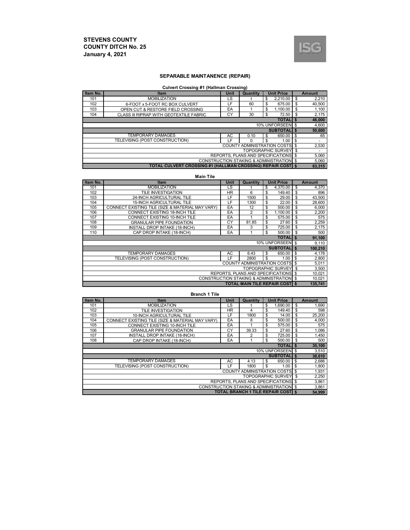

#### **SEPARABLE MAINTANENCE (REPAIR)**

#### **Culvert Crossing #1 (Hallman Crossing)**

| Item No.                                 | <b>Item</b>                                                       | <b>Unit</b> | Quantity |    | <b>Unit Price</b> |     | Amount         |
|------------------------------------------|-------------------------------------------------------------------|-------------|----------|----|-------------------|-----|----------------|
| 101                                      | <b>MOBILIZATION</b>                                               | LS          |          | \$ | 2.210.00          | \$  | 2,210          |
| 102                                      | 6-FOOT x 5-FOOT RC BOX CULVERT                                    | LF          | 60       | \$ | 675.00            | \$  | 40,500         |
| 103                                      | OPEN CUT & RESTORE FIELD CROSSING                                 | EA          |          | \$ | 1.100.00          | \$  | 1,100          |
| 104                                      | CLASS III RIPRAP WITH GEOTEXTILE FABRIC                           | СY          | 30       | \$ | 72.50             | \$  | 2,175          |
| <b>TOTALIS</b>                           |                                                                   |             |          |    |                   |     | 46,000         |
| 10% UNFORSEEN \$                         |                                                                   |             |          |    |                   |     | 4,600          |
|                                          | <b>SUBTOTALI \$</b>                                               |             |          |    |                   |     | 50,600         |
|                                          | <b>TEMPORARY DAMAGES</b>                                          | AC          | 0.10     | \$ | 650.00            | -\$ | 65             |
|                                          | TELEVISING (POST CONSTRUCTION)                                    | ΙF          | ŋ        | \$ | 1.00              | \$  | ٠              |
| <b>COUNTY ADMINISTRATION COSTS \$</b>    |                                                                   |             |          |    |                   |     | 2,530          |
| <b>TOPOGRAPHIC SURVEY</b>                |                                                                   |             |          |    |                   | -\$ | $\overline{a}$ |
| REPORTS. PLANS AND SPECIFICATIONS \$     |                                                                   |             |          |    |                   |     | 5,060          |
| CONSTRUCTION STAKING & ADMINISTRATION \$ |                                                                   |             |          |    |                   |     | 5,060          |
|                                          | <b>TOTAL CULVERT CROSSING #1 (HALLMAN CROSSING) REPAIR COST 5</b> |             |          |    |                   |     | 63.315         |

#### **Main Tile**

| Item No.                                            | <b>Item</b>                                      | Unit      | <b>Unit Price</b><br>Quantity          |    |                  |        | <b>Amount</b> |
|-----------------------------------------------------|--------------------------------------------------|-----------|----------------------------------------|----|------------------|--------|---------------|
| 101                                                 | <b>MOBILIZATION</b>                              | LS        |                                        | \$ | 4.370.00         | \$     | 4,370         |
| 102                                                 | TILE INVESTIGATION                               | <b>HR</b> | 6                                      | \$ | 149.40           | \$     | 896           |
| 103                                                 | 24-INCH AGRICULTURAL TILE                        | LF        | 1500                                   | \$ | 29.00            | \$     | 43,500        |
| 104                                                 | <b>15-INCH AGRICULTURAL TILE</b>                 | LF        | 1300                                   | \$ | 22.00            | \$     | 28,600        |
| 105                                                 | CONNECT EXISTING TILE (SIZE & MATERIAL MAY VARY) | EA        | 12                                     | \$ | 500.00           | \$     | 6,000         |
| 106                                                 | CONNECT EXISTING 18-INCH TILE                    | EA        | $\overline{c}$                         | \$ | 1,100.00         | \$     | 2,200         |
| 107                                                 | CONNECT EXISTING 10-INCH TILE                    | EA        |                                        | \$ | 575.00           | \$     | 575           |
| 108                                                 | <b>GRANULAR PIPE FOUNDATION</b>                  | CY        | 81.85                                  | \$ | 27.60            | \$     | 2,259         |
| 109                                                 | INSTALL DROP INTAKE (18-INCH)                    | EA        | 3                                      | \$ | 725.00           | \$     | 2,175         |
| 110                                                 | CAP DROP INTAKE (18-INCH)                        | EA        |                                        | \$ | 500.00           | \$     | 500           |
|                                                     |                                                  |           |                                        |    | <b>TOTAL</b>     | $\sim$ | 91,100        |
|                                                     |                                                  |           |                                        |    | 10% UNFORSEEN \$ |        | 9,110         |
|                                                     |                                                  |           |                                        |    | <b>SUBTOTAL</b>  | - \$   | 100,210       |
|                                                     | <b>TEMPORARY DAMAGES</b>                         | AC        | 6.43                                   | \$ | 650.00           | \$     | 4.178         |
|                                                     | TELEVISING (POST CONSTRUCTION)                   | LF        | 2800                                   | \$ | 1.00             | \$     | 2,800         |
| <b>COUNTY ADMINISTRATION COSTS</b>                  |                                                  |           |                                        |    |                  | \$     | 5,011         |
| <b>TOPOGRAPHIC SURVEY</b>                           |                                                  |           |                                        |    |                  | \$     | 3,500         |
| REPORTS, PLANS AND SPECIFICATIONS                   |                                                  |           |                                        |    |                  | \$     | 10,021        |
| <b>CONSTRUCTION STAKING &amp; ADMINISTRATION \$</b> |                                                  |           |                                        |    |                  |        | 10,021        |
|                                                     |                                                  |           | <b>TOTAL MAIN TILE REPAIR COSTI \$</b> |    |                  |        | 135,741       |

**Branch 1 Tile**

| Item No. | <b>Item</b>                                      | Unit | Quantity<br><b>Unit Price</b>                       |    |                  |          | <b>Amount</b> |
|----------|--------------------------------------------------|------|-----------------------------------------------------|----|------------------|----------|---------------|
| 101      | <b>MOBILIZATION</b>                              | LS   |                                                     | \$ | 1.690.00         | \$       | 1,690         |
| 102      | TILE INVESTIGATION                               | HR.  | 4                                                   | \$ | 149.40           | \$       | 598           |
| 103      | 10-INCH AGRICULTURAL TILE                        | ΙF   | 1800                                                | \$ | 14.00            | \$       | 25,200        |
| 104      | CONNECT EXISTING TILE (SIZE & MATERIAL MAY VARY) | EA   | 8                                                   | \$ | 500.00           | \$       | 4,000         |
| 105      | CONNECT EXISTING 10-INCH TILE                    | EA   |                                                     | \$ | 575.00           | \$       | 575           |
| 106      | <b>GRANULAR PIPE FOUNDATION</b>                  | CY   | 39.33                                               | \$ | 27.60            | \$       | 1,086         |
| 107      | INSTALL DROP INTAKE (18-INCH)                    | EA   | 2                                                   | \$ | 725.00           | \$       | 1,450         |
| 108      | CAP DROP INTAKE (18-INCH)                        | EA   |                                                     | \$ | 500.00           | \$       | 500           |
|          |                                                  |      |                                                     |    | <b>TOTAL</b>     | <b>S</b> | 35,100        |
|          |                                                  |      |                                                     |    | 10% UNFORSEEN \$ |          | 3,510         |
|          |                                                  |      |                                                     |    | <b>SUBTOTALI</b> | - 5      | 38,610        |
|          | <b>TEMPORARY DAMAGES</b>                         | AC   | 4.13                                                | \$ | 650.00           | \$       | 2,686         |
|          | TELEVISING (POST CONSTRUCTION)                   | ΙF   | 1800                                                | \$ | 1.00             | \$       | 1,800         |
|          |                                                  |      | <b>COUNTY ADMINISTRATION COSTS</b> \$               |    |                  |          | 1,931         |
|          |                                                  |      | <b>TOPOGRAPHIC SURVEY</b>                           |    |                  | \$       | 2,250         |
|          |                                                  |      | REPORTS. PLANS AND SPECIFICATIONS \$                |    |                  |          | 3,861         |
|          |                                                  |      | <b>CONSTRUCTION STAKING &amp; ADMINISTRATION \$</b> |    |                  |          | 3,861         |
|          |                                                  |      | <b>TOTAL BRANCH 1 TILE REPAIR COST IS</b>           |    |                  |          | 54,999        |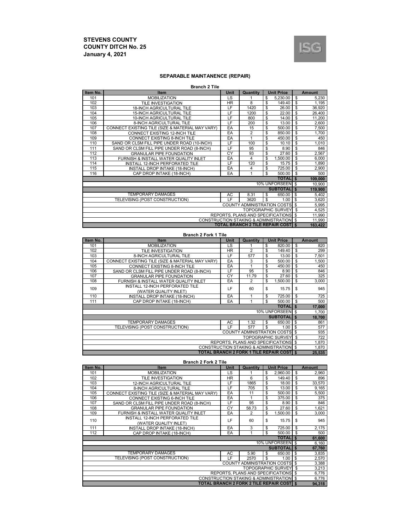

## **SEPARABLE MAINTANENCE (REPAIR)**

| <b>Branch 2 Tile</b> |  |
|----------------------|--|
|----------------------|--|

| Item No.                                            | Item                                             | Unit | <b>Unit Price</b><br>Quantity              |    |                    |              | <b>Amount</b> |  |
|-----------------------------------------------------|--------------------------------------------------|------|--------------------------------------------|----|--------------------|--------------|---------------|--|
| 101                                                 | <b>MOBILIZATION</b>                              | LS   |                                            | \$ | 5,230.00           | \$           | 5,230         |  |
| 102                                                 | <b>TILE INVESTIGATION</b>                        | HR.  | 8                                          | \$ | 149.40             | \$           | 1,195         |  |
| 103                                                 | <b>18-INCH AGRICULTURAL TILE</b>                 | LF   | 1420                                       | \$ | 26.00              | \$           | 36,920        |  |
| 104                                                 | <b>15-INCH AGRICULTURAL TILE</b>                 | LF   | 1200                                       | \$ | 22.00              | \$           | 26,400        |  |
| 105                                                 | 10-INCH AGRICULTURAL TILE                        | LF   | 800                                        | \$ | 14.00              | \$           | 11,200        |  |
| 106                                                 | 8-INCH AGRICULTURAL TILE                         | LF   | 200                                        | \$ | 13.00              | \$           | 2,600         |  |
| 107                                                 | CONNECT EXISTING TILE (SIZE & MATERIAL MAY VARY) | EA   | 15                                         | \$ | 500.00             | \$           | 7,500         |  |
| 108                                                 | <b>CONNECT EXISTING 12-INCH TILE</b>             | EA   | 2                                          | \$ | 850.00             | \$           | 1,700         |  |
| 109                                                 | CONNECT EXISTING 8-INCH TILE                     | EA   | 1                                          | \$ | 450.00             | \$           | 450           |  |
| 110                                                 | SAND OR CLSM FILL PIPE UNDER ROAD (10-INCH)      | LF   | 100                                        | \$ | 10.10              | \$           | 1,010         |  |
| 111                                                 | SAND OR CLSM FILL PIPE UNDER ROAD (8-INCH)       | LF   | 95                                         | \$ | 8.90               | \$           | 846           |  |
| 112                                                 | <b>GRANULAR PIPE FOUNDATION</b>                  | CY   | 93                                         | \$ | $\overline{27.60}$ | \$           | 2,567         |  |
| 113                                                 | FURNISH & INSTALL WATER QUALITY INLET            | EA   | 4                                          | \$ | 1,500.00           | \$           | 6,000         |  |
| 114                                                 | INSTALL 12-INCH PERFORATED TILE                  | LF   | 120                                        | \$ | 15.75              | \$           | 1,890         |  |
| 115                                                 | INSTALL DROP INTAKE (18-INCH)                    | EA   | 4                                          | \$ | 725.00             | \$           | 2,900         |  |
| 116                                                 | CAP DROP INTAKE (18-INCH)                        | EA   | 1                                          | \$ | 500.00             | \$           | 500           |  |
|                                                     |                                                  |      |                                            |    | <b>TOTALIS</b>     |              | 109,000       |  |
|                                                     |                                                  |      |                                            |    | 10% UNFORSEEN \$   |              | 10,900        |  |
|                                                     |                                                  |      |                                            |    | <b>SUBTOTAL</b>    | $\mathbf{s}$ | 119,900       |  |
|                                                     | <b>TEMPORARY DAMAGES</b>                         | AC   | 8.31                                       | \$ | 650.00             | \$           | 5,402         |  |
|                                                     | TELEVISING (POST CONSTRUCTION)                   | IF.  | 3620                                       | \$ | 1.00               | \$           | 3,620         |  |
| <b>COUNTY ADMINISTRATION COSTS</b>                  |                                                  |      |                                            |    |                    |              | 5,995         |  |
| <b>TOPOGRAPHIC SURVEY</b>                           |                                                  |      |                                            |    |                    | \$           | 4,525         |  |
| REPORTS, PLANS AND SPECIFICATIONS                   |                                                  |      |                                            |    |                    | $\mathbf{s}$ | 11,990        |  |
| <b>CONSTRUCTION STAKING &amp; ADMINISTRATION \$</b> |                                                  |      |                                            |    |                    |              | 11,990        |  |
|                                                     |                                                  |      | <b>TOTAL BRANCH 2 TILE REPAIR COSTI \$</b> |    |                    |              | 163,422       |  |

#### **Branch 2 Fork 1 Tile**

| Item No.                                 | Item                                             | Unit | Quantity                                         |    | <b>Amount</b>    |              |        |
|------------------------------------------|--------------------------------------------------|------|--------------------------------------------------|----|------------------|--------------|--------|
| 101                                      | <b>MOBILIZATION</b>                              | LS   |                                                  | \$ | 820.00           | \$           | 820    |
| 102                                      | TILE INVESTIGATION                               | HR.  | 2                                                | \$ | 149.40           | \$           | 299    |
| 103                                      | 8-INCH AGRICULTURAL TILE                         | LF   | 577                                              | \$ | 13.00            | \$           | 7,501  |
| 104                                      | CONNECT EXISTING TILE (SIZE & MATERIAL MAY VARY) | EA   | 3                                                | \$ | 500.00           | \$           | 1,500  |
| 105                                      | CONNECT EXISTING 8-INCH TILE                     | EA   |                                                  | \$ | 450.00           | \$           | 450    |
| 106                                      | SAND OR CLSM FILL PIPE UNDER ROAD (8-INCH)       | LF   | 95                                               | \$ | 8.90             | \$           | 846    |
| 107                                      | <b>GRANULAR PIPE FOUNDATION</b>                  | CY   | 11.79                                            | \$ | 27.60            | \$           | 325    |
| 108                                      | FURNISH & INSTALL WATER QUALITY INLET            | EA   | 2                                                | \$ | 1.500.00         | \$           | 3.000  |
| 109                                      | INSTALL 12-INCH PERFORATED TILE                  | LF   | 60                                               | \$ | 15.75            | \$           | 945    |
|                                          | (WATER QUALITY INLET)                            |      |                                                  |    |                  |              |        |
| 110                                      | INSTALL DROP INTAKE (18-INCH)                    | EA   | 1                                                | \$ | 725.00           | \$           | 725    |
| 111                                      | CAP DROP INTAKE (18-INCH)                        | EA   | 1                                                | \$ | 500.00           | \$           | 500    |
|                                          |                                                  |      |                                                  |    | <b>TOTALIS</b>   |              | 17,000 |
|                                          |                                                  |      |                                                  |    | 10% UNFORSEEN \$ |              | 1,700  |
|                                          |                                                  |      |                                                  |    | <b>SUBTOTAL</b>  | $\mathbf{s}$ | 18,700 |
|                                          | <b>TEMPORARY DAMAGES</b>                         | AC   | 1.32                                             | \$ | 650.00           | \$           | 861    |
|                                          | TELEVISING (POST CONSTRUCTION)                   | LF   | 577                                              | \$ | 1.00             | \$           | 577    |
| <b>COUNTY ADMINISTRATION COSTS \$</b>    |                                                  |      |                                                  |    |                  |              | 935    |
| <b>TOPOGRAPHIC SURVEY</b>                |                                                  |      |                                                  |    |                  | l \$         | 722    |
| REPORTS, PLANS AND SPECIFICATIONS \$     |                                                  |      |                                                  |    |                  |              | 1,870  |
| CONSTRUCTION STAKING & ADMINISTRATION \$ |                                                  |      |                                                  |    |                  |              | 1,870  |
|                                          |                                                  |      | <b>TOTAL BRANCH 2 FORK 1 TILE REPAIR COST IS</b> |    |                  |              | 25,535 |

**Branch 2 Fork 2 Tile**

| Item No. | <b>Item</b>                                      | Unit                              | Quantity                                            |                           | <b>Amount</b> |        |
|----------|--------------------------------------------------|-----------------------------------|-----------------------------------------------------|---------------------------|---------------|--------|
| 101      | <b>MOBILIZATION</b>                              | LS                                |                                                     | \$<br>2,960.00            | \$            | 2,960  |
| 102      | TILE INVESTIGATION                               | HR.                               | 6                                                   | \$<br>149.40              | \$            | 896    |
| 103      | <b>12-INCH AGRICULTURAL TILE</b>                 | LF                                | 1865                                                | \$<br>18.00               | \$            | 33,570 |
| 104      | 8-INCH AGRICULTURAL TILE                         | LF                                | 705                                                 | \$<br>13.00               | \$            | 9,165  |
| 105      | CONNECT EXISTING TILE (SIZE & MATERIAL MAY VARY) | EA                                | 11                                                  | \$<br>500.00              | \$            | 5,500  |
| 106      | <b>CONNECT EXISTING 6-INCH TILE</b>              | EA                                | 1                                                   | \$<br>375.00              | \$            | 375    |
| 107      | SAND OR CLSM FILL PIPE UNDER ROAD (8-INCH)       | LF                                | 95                                                  | \$<br>8.90                | \$            | 846    |
| 108      | <b>GRANULAR PIPE FOUNDATION</b>                  | CY                                | 58.73                                               | \$<br>27.60               | \$            | 1,621  |
| 109      | FURNISH & INSTALL WATER QUALITY INLET            | EA                                | $\overline{2}$                                      | \$<br>1.500.00            | \$            | 3,000  |
| 110      | INSTALL 12-INCH PERFORATED TILE                  | LF<br>60<br>(WATER QUALITY INLET) |                                                     | \$<br>15.75               | \$            | 945    |
|          |                                                  |                                   |                                                     |                           |               |        |
| 111      | INSTALL DROP INTAKE (18-INCH)                    | EA                                | 3                                                   | \$<br>725.00              | \$            | 2,175  |
| 112      | CAP DROP INTAKE (18-INCH)                        | EA                                |                                                     | \$<br>500.00              | $\mathbf{s}$  | 500    |
|          |                                                  |                                   |                                                     | <b>TOTALIS</b>            |               | 61,600 |
|          |                                                  |                                   |                                                     | 10% UNFORSEEN \$          |               | 6,160  |
|          |                                                  |                                   |                                                     | <b>SUBTOTAL</b>           | \$            | 67,760 |
|          | <b>TEMPORARY DAMAGES</b>                         | AC.                               | 5.90                                                | \$<br>650.00              | \$            | 3,835  |
|          | TELEVISING (POST CONSTRUCTION)                   | LF                                | 2570                                                | \$<br>1.00                | \$            | 2,570  |
|          |                                                  |                                   | <b>COUNTY ADMINISTRATION COSTS</b>                  |                           | \$            | 3,388  |
|          |                                                  |                                   |                                                     | <b>TOPOGRAPHIC SURVEY</b> | \$            | 3,213  |
|          |                                                  |                                   | REPORTS, PLANS AND SPECIFICATIONS \$                |                           |               | 6,776  |
|          |                                                  |                                   | <b>CONSTRUCTION STAKING &amp; ADMINISTRATION \$</b> |                           |               | 6,776  |
|          |                                                  |                                   | <b>TOTAL BRANCH 2 FORK 2 TILE REPAIR COSTI \$</b>   |                           |               | 94,318 |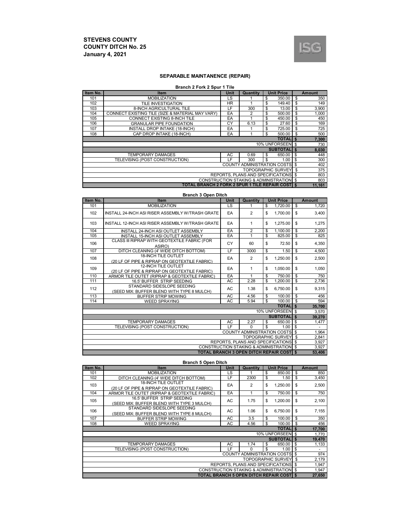

## **SEPARABLE MAINTANENCE (REPAIR)**

#### **Branch 2 Fork 2 Spur 1 Tile**

| Item No.                    | Item                                                     | Unit      | Quantity                                            |    | <b>Unit Price</b>         | <b>Amount</b> |
|-----------------------------|----------------------------------------------------------|-----------|-----------------------------------------------------|----|---------------------------|---------------|
| 101                         | <b>MOBILIZATION</b>                                      | LS        |                                                     | \$ | 350.00                    | \$<br>350     |
| 102                         | TILE INVESTIGATION                                       | <b>HR</b> |                                                     | \$ | 149.40                    | \$<br>149     |
| 103                         | 8-INCH AGRICULTURAL TILE                                 | LF        | 300                                                 | \$ | 13.00                     | \$<br>3,900   |
| 104                         | CONNECT EXISTING TILE (SIZE & MATERIAL MAY VARY)         | EA        | 2                                                   | \$ | 500.00                    | \$<br>1,000   |
| 105                         | CONNECT EXISTING 8-INCH TILE                             | EA        |                                                     | \$ | 450.00                    | \$<br>450     |
| 106                         | <b>GRANULAR PIPE FOUNDATION</b>                          | CY        | 6.13                                                | \$ | 27.60                     | \$<br>169     |
| 107                         | INSTALL DROP INTAKE (18-INCH)                            | EA        |                                                     | \$ | 725.00                    | \$<br>725     |
| 108                         | CAP DROP INTAKE (18-INCH)                                | EA        |                                                     | \$ | 500.00                    | \$<br>500     |
|                             |                                                          |           |                                                     |    | <b>TOTALIS</b>            | 7,300         |
|                             |                                                          |           |                                                     |    | 10% UNFORSEEN             | \$<br>730     |
|                             |                                                          |           |                                                     |    | <b>SUBTOTALIS</b>         | 8,030         |
|                             | <b>TEMPORARY DAMAGES</b>                                 | AC        | 0.69                                                | \$ | 650.00                    | \$<br>448     |
|                             | TELEVISING (POST CONSTRUCTION)                           | LF        | 300                                                 | \$ | 1.00                      | \$<br>300     |
| COUNTY ADMINISTRATION COSTS |                                                          |           |                                                     |    |                           | \$<br>402     |
|                             |                                                          |           |                                                     |    | <b>TOPOGRAPHIC SURVEY</b> | \$<br>375     |
|                             |                                                          |           | REPORTS, PLANS AND SPECIFICATIONS \$                |    |                           | 803           |
|                             |                                                          |           | <b>CONSTRUCTION STAKING &amp; ADMINISTRATION \$</b> |    |                           | 803           |
|                             | <b>TOTAL BRANCH 2 FORK 2 SPUR 1 TILE REPAIR COSTI \$</b> |           |                                                     |    |                           | 11,161        |

#### **Branch 3 Open Ditch**

| Item No.                             | <b>Item</b>                                                                 | Unit                   | <b>Unit Price</b><br>Quantity                       |                     |                           |    | <b>Amount</b> |  |
|--------------------------------------|-----------------------------------------------------------------------------|------------------------|-----------------------------------------------------|---------------------|---------------------------|----|---------------|--|
| 101                                  | <b>MOBILIZATION</b>                                                         | $\overline{\text{LS}}$ | 1                                                   | \$                  | 1.720.00                  | s, | 1.720         |  |
| 102                                  | INSTALL 24-INCH ASI RISER ASSEMBLY W/TRASH GRATE                            | EA                     | $\overline{2}$                                      | \$                  | 1.700.00                  | \$ | 3,400         |  |
| 103                                  | INSTALL 12-INCH ASI RISER ASSEMBLY W/TRASH GRATE                            | EA                     | 1                                                   | \$                  | 1,275.00                  | \$ | 1,275         |  |
| 104                                  | INSTALL 24-INCH ASI OUTLET ASSEMBLY                                         | EA                     | $\overline{2}$                                      | \$                  | 1,100.00                  | \$ | 2,200         |  |
| 105                                  | INSTALL 15-INCH ASI OUTLET ASSEMBLY                                         | EA                     | 1                                                   | \$                  | 825.00                    | \$ | 825           |  |
| 106                                  | CLASS III RIPRAP WITH GEOTEXTILE FABRIC (FOR<br>ASIRO)                      | CY                     | 60                                                  | \$                  | 72.50                     | \$ | 4,350         |  |
| 107                                  | DITCH CLEANING (4' WIDE DITCH BOTTOM)                                       | LF                     | 3000                                                | \$                  | 1.50                      | \$ | 4,500         |  |
| 108                                  | <b>18-INCH TILE OUTLET</b><br>(20 LF OF PIPE & RIPRAP ON GEOTEXTILE FABRIC) | EA                     | 2                                                   | \$                  | 1.250.00                  | \$ | 2,500         |  |
| 109                                  | 12-INCH TILE OUTLET<br>(20 LF OF PIPE & RIPRAP ON GEOTEXTILE FABRIC)        | EA                     | 1                                                   | \$                  | 1,050.00                  | \$ | 1,050         |  |
| 110                                  | ARMOR TILE OUTET (RIPRAP & GEOTEXTILE FABRIC)                               | EA                     |                                                     | \$                  | 750.00                    | \$ | 750           |  |
| 111                                  | 16.5' BUFFER STRIP SEEDING                                                  | AC                     | 2.28                                                | \$                  | 1,200.00                  | \$ | 2,736         |  |
| 112                                  | STANDARD SIDESLOPE SEEDING<br>(SEED MIX: BUFFER BLEND WITH TYPE 8 MULCH)    | AC                     | 1.38                                                | \$                  | 6.750.00                  | \$ | 9,315         |  |
| 113                                  | <b>BUFFER STRIP MOWING</b>                                                  | <b>AC</b>              | 4.56                                                | \$                  | 100.00                    | \$ | 456           |  |
| 114                                  | <b>WEED SPRAYING</b>                                                        | AC                     | 5.94                                                | \$                  | 100.00                    | \$ | 594           |  |
|                                      |                                                                             |                        |                                                     |                     | <b>TOTALIS</b>            |    | 35,700        |  |
|                                      |                                                                             |                        |                                                     |                     | 10% UNFORSEEN \$          |    | 3.570         |  |
|                                      |                                                                             |                        |                                                     | <b>SUBTOTALI \$</b> |                           |    | 39,270        |  |
|                                      | <b>TEMPORARY DAMAGES</b>                                                    | AC                     | 2.27                                                | \$                  | 650.00                    | \$ | 1,477         |  |
|                                      | TELEVISING (POST CONSTRUCTION)                                              | LF                     | $\Omega$                                            | $\mathbf{s}$        | 1.00                      | \$ |               |  |
|                                      |                                                                             |                        | COUNTY ADMINISTRATION COSTS \$                      |                     |                           |    | 1,964         |  |
|                                      |                                                                             |                        |                                                     |                     | <b>TOPOGRAPHIC SURVEY</b> | \$ | 2,841         |  |
| REPORTS, PLANS AND SPECIFICATIONS \$ |                                                                             |                        |                                                     |                     |                           |    | 3,927         |  |
|                                      |                                                                             |                        | <b>CONSTRUCTION STAKING &amp; ADMINISTRATION \$</b> |                     |                           |    | 3,927         |  |
|                                      |                                                                             |                        | <b>TOTAL BRANCH 3 OPEN DITCH REPAIR COST S</b>      |                     |                           |    | 53.406        |  |

**Branch 5 Open Ditch**

| Item No.                                 | <b>Item</b>                                                              | <b>Unit</b> | <b>Unit Price</b><br>Quantity             |    |                           |          | <b>Amount</b>            |  |
|------------------------------------------|--------------------------------------------------------------------------|-------------|-------------------------------------------|----|---------------------------|----------|--------------------------|--|
| 101                                      | <b>MOBILIZATION</b>                                                      | LS          |                                           | \$ | 850.00                    | \$       | 850                      |  |
| 102                                      | DITCH CLEANING (4' WIDE DITCH BOTTOM)                                    | LF          | 2300                                      | \$ | 1.50                      | \$       | 3,450                    |  |
| 103                                      | 18-INCH TILE OUTLET<br>(20 LF OF PIPE & RIPRAP ON GEOTEXTILE FABRIC)     | EA          | 2                                         | \$ | 1.250.00                  | \$       | 2,500                    |  |
| 104                                      | ARMOR TILE OUTET (RIPRAP & GEOTEXTILE FABRIC)                            | EA          | 1                                         | \$ | 750.00                    | \$       | 750                      |  |
| 105                                      | 16.5' BUFFER STRIP SEEDING                                               | <b>AC</b>   | 1.75                                      | \$ | 1,200.00                  | \$       | 2,100                    |  |
|                                          | (SEED MIX: BUFFER BLEND WITH TYPE 3 MULCH)                               |             |                                           |    |                           |          |                          |  |
| 106                                      | STANDARD SIDESLOPE SEEDING<br>(SEED MIX: BUFFER BLEND WITH TYPE 8 MULCH) | <b>AC</b>   | 1.06                                      | \$ | 6,750.00                  | \$       | 7,155                    |  |
| 107                                      | <b>BUFFER STRIP MOWING</b>                                               | AC          | 3.5                                       | \$ | 100.00                    | \$       | 350                      |  |
| 108                                      | <b>WEED SPRAYING</b>                                                     | <b>AC</b>   | 4.56                                      | \$ | 100.00                    | \$       | 456                      |  |
|                                          |                                                                          |             |                                           |    | <b>TOTALIS</b>            |          | 17,700                   |  |
|                                          |                                                                          |             |                                           |    | 10% UNFORSEEN \$          |          | 1,770                    |  |
|                                          |                                                                          |             |                                           |    | <b>SUBTOTAL</b>           | - \$     | 19,470                   |  |
|                                          | <b>TEMPORARY DAMAGES</b>                                                 | AC          | 1.74                                      | \$ | 650.00                    | \$       | 1,133                    |  |
|                                          | TELEVISING (POST CONSTRUCTION)                                           | LF          | $\Omega$                                  | \$ | 1.00                      | \$       | $\overline{\phantom{a}}$ |  |
| <b>COUNTY ADMINISTRATION COSTS</b>       |                                                                          |             |                                           |    |                           | \$       | 974                      |  |
|                                          |                                                                          |             |                                           |    | <b>TOPOGRAPHIC SURVEY</b> | - \$     | 2,179                    |  |
| REPORTS, PLANS AND SPECIFICATIONS        |                                                                          |             |                                           |    |                           | <b>S</b> | 1,947                    |  |
| CONSTRUCTION STAKING & ADMINISTRATION \$ |                                                                          |             |                                           |    |                           |          | 1,947                    |  |
|                                          |                                                                          |             | TOTAL BRANCH 5 OPEN DITCH REPAIR COSTI \$ |    |                           |          | 27,650                   |  |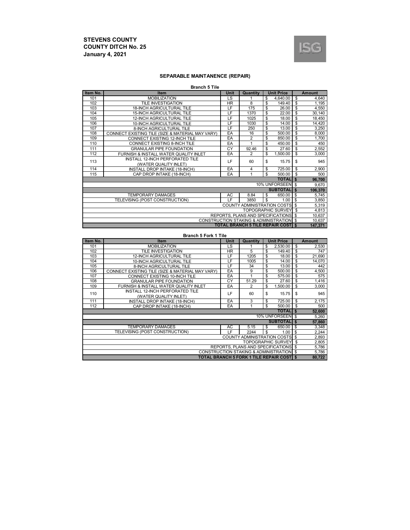

## **SEPARABLE MAINTANENCE (REPAIR)**

| <b>Branch 5 Tile</b> |
|----------------------|
|----------------------|

| Item No.                                            | Item                                             | Unit | Quantity                           |    | <b>Unit Price</b>         |                | Amount  |    |  |  |  |
|-----------------------------------------------------|--------------------------------------------------|------|------------------------------------|----|---------------------------|----------------|---------|----|--|--|--|
| 101                                                 | <b>MOBILIZATION</b>                              | LS   |                                    | \$ | 4.640.00                  | \$             | 4,640   |    |  |  |  |
| 102                                                 | TILE INVESTIGATION                               | HR.  | 8                                  | \$ | 149.40                    | \$             | 1,195   |    |  |  |  |
| 103                                                 | <b>18-INCH AGRICULTURAL TILE</b>                 | LF   | 175                                | \$ | 26.00                     | \$             | 4,550   |    |  |  |  |
| 104                                                 | <b>15-INCH AGRICULTURAL TILE</b>                 | LF   | 1370                               | \$ | 22.00                     | \$             | 30,140  |    |  |  |  |
| 105                                                 | <b>12-INCH AGRICULTURAL TILE</b>                 | LF   | 1025                               | \$ | 18.00                     | \$             | 18,450  |    |  |  |  |
| 106                                                 | 10-INCH AGRICULTURAL TILE                        | ΙF   | 1030                               | \$ | 14.00                     | \$             | 14,420  |    |  |  |  |
| 107                                                 | 8-INCH AGRICULTURAL TILE                         | LF   | 250                                | \$ | 13.00                     | \$             | 3,250   |    |  |  |  |
| 108                                                 | CONNECT EXISTING TILE (SIZE & MATERIAL MAY VARY) | EA   | 16                                 | \$ | 500.00                    | \$             | 8,000   |    |  |  |  |
| 109                                                 | CONNECT EXISTING 12-INCH TILE                    | EA   | $\overline{2}$                     | \$ | 850.00                    | \$             | 1,700   |    |  |  |  |
| 110                                                 | CONNECT EXISTING 8-INCH TILE                     | EA   | 1                                  | \$ | 450.00                    | \$             | 450     |    |  |  |  |
| 111                                                 | <b>GRANULAR PIPE FOUNDATION</b>                  | CY   | 92.46                              | \$ | 27.60                     | \$             | 2,552   |    |  |  |  |
| 112                                                 | FURNISH & INSTALL WATER QUALITY INLET            | EA   | $\overline{2}$                     | \$ | 1.500.00                  | \$             | 3,000   |    |  |  |  |
| 113                                                 | INSTALL 12-INCH PERFORATED TILE                  | LF   | 60                                 |    | 15.75                     | \$             | 945     |    |  |  |  |
|                                                     | (WATER QUALITY INLET)                            |      |                                    |    |                           |                |         | \$ |  |  |  |
| 114                                                 | INSTALL DROP INTAKE (18-INCH)                    | EA   | $\overline{4}$                     | \$ | 725.00                    | \$             | 2,900   |    |  |  |  |
| 115                                                 | CAP DROP INTAKE (18-INCH)                        | EA   | 1                                  | S  | 500.00                    | \$             | 500     |    |  |  |  |
|                                                     |                                                  |      |                                    |    | <b>TOTALI</b>             | $\mathbf{s}$   | 96,700  |    |  |  |  |
|                                                     |                                                  |      |                                    |    | 10% UNFORSEEN \$          |                | 9,670   |    |  |  |  |
|                                                     |                                                  |      |                                    |    | SUBTOTAL S                |                | 106,370 |    |  |  |  |
|                                                     | <b>TEMPORARY DAMAGES</b>                         | AC   | 8.84                               | \$ | 650.00                    | \$             | 5,745   |    |  |  |  |
|                                                     | TELEVISING (POST CONSTRUCTION)                   | IF.  | 3850                               | \$ | 1.00                      | \$             | 3,850   |    |  |  |  |
|                                                     |                                                  |      | <b>COUNTY ADMINISTRATION COSTS</b> |    |                           | \$             | 5,319   |    |  |  |  |
|                                                     |                                                  |      |                                    |    | <b>TOPOGRAPHIC SURVEY</b> | $\mathfrak{L}$ | 4,813   |    |  |  |  |
|                                                     |                                                  |      | REPORTS, PLANS AND SPECIFICATIONS  |    |                           | \$             | 10,637  |    |  |  |  |
| <b>CONSTRUCTION STAKING &amp; ADMINISTRATION \$</b> |                                                  |      |                                    |    |                           |                |         |    |  |  |  |
|                                                     | <b>TOTAL BRANCH 5 TILE REPAIR COST S</b>         |      |                                    |    |                           |                |         |    |  |  |  |

#### **Branch 5 Fork 1 Tile**

| Item No.                                 | Item                                             | <b>Unit</b> | Quantity                                   |    | <b>Unit Price</b>         |              | <b>Amount</b> |     |
|------------------------------------------|--------------------------------------------------|-------------|--------------------------------------------|----|---------------------------|--------------|---------------|-----|
| 101                                      | <b>MOBILIZATION</b>                              | LS          |                                            | \$ | 2.530.00                  | \$           | 2,530         |     |
| 102                                      | TILE INVESTIGATION                               | HR.         | 5                                          | \$ | 149.40                    | \$           | 747           |     |
| 103                                      | <b>12-INCH AGRICULTURAL TILE</b>                 | LF          | 1205                                       | \$ | 18.00                     | \$           | 21,690        |     |
| 104                                      | 10-INCH AGRICULTURAL TILE                        | LF          | 1005                                       | \$ | 14.00                     | \$           | 14,070        |     |
| 105                                      | 8-INCH AGRICULTURAL TILE                         | LF          | 34                                         | \$ | 13.00                     | \$           | 442           |     |
| 106                                      | CONNECT EXISTING TILE (SIZE & MATERIAL MAY VARY) | EA          | 9                                          | \$ | 500.00                    | \$           | 4,500         |     |
| 107                                      | CONNECT EXISTING 10-INCH TILE                    | EA          |                                            | \$ | 575.00                    | \$           | 575           |     |
| 108                                      | <b>GRANULAR PIPE FOUNDATION</b>                  | CY          | 51.29                                      | \$ | 27.60                     | \$           | 1,416         |     |
| 109                                      | FURNISH & INSTALL WATER QUALITY INLET            | EA          | 2                                          | \$ | 1,500.00                  | \$           | 3,000         |     |
| 110                                      | INSTALL 12-INCH PERFORATED TILE                  | LF          |                                            | 60 | \$                        | 15.75        | \$            | 945 |
|                                          | (WATER QUALITY INLET)                            |             |                                            |    |                           |              |               |     |
| 111                                      | INSTALL DROP INTAKE (18-INCH)                    | EA          | 3                                          | \$ | 725.00                    | \$           | 2,175         |     |
| 112                                      | CAP DROP INTAKE (18-INCH)                        | EA          |                                            | \$ | 500.00                    | \$           | 500           |     |
|                                          |                                                  |             |                                            |    | <b>TOTAL</b>              | $\mathbf{s}$ | 52,600        |     |
|                                          |                                                  |             |                                            |    | 10% UNFORSEEN \$          |              | 5.260         |     |
|                                          |                                                  |             |                                            |    | <b>SUBTOTAL</b>           | \$           | 57,860        |     |
|                                          | <b>TEMPORARY DAMAGES</b>                         | AC.         | 5.15                                       | \$ | 650.00                    | \$           | 3,348         |     |
|                                          | TELEVISING (POST CONSTRUCTION)                   | LF          | 2244                                       | \$ | 1.00                      | \$           | 2,244         |     |
|                                          |                                                  |             | <b>COUNTY ADMINISTRATION COSTS</b>         |    |                           | -\$          | 2,893         |     |
|                                          |                                                  |             |                                            |    | <b>TOPOGRAPHIC SURVEY</b> | \$           | 2,805         |     |
|                                          |                                                  |             | REPORTS, PLANS AND SPECIFICATIONS          |    |                           | l \$         | 5,786         |     |
| CONSTRUCTION STAKING & ADMINISTRATION \$ |                                                  |             |                                            |    |                           |              |               |     |
|                                          |                                                  |             | TOTAL BRANCH 5 FORK 1 TILE REPAIR COSTI \$ |    |                           |              | 80,722        |     |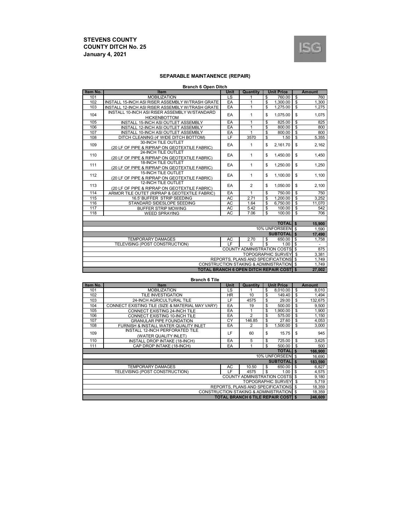

## **SEPARABLE MAINTANENCE (REPAIR)**

| <b>Branch 6 Open Ditch</b> |  |  |
|----------------------------|--|--|
|                            |  |  |

| Item No.                                       | Adileii e Open Diten<br>Item                     | Unit      | Quantity                              |                | <b>Unit Price</b>         |                          | <b>Amount</b>  |  |  |  |  |          |    |       |
|------------------------------------------------|--------------------------------------------------|-----------|---------------------------------------|----------------|---------------------------|--------------------------|----------------|--|--|--|--|----------|----|-------|
| 101                                            | <b>MOBILIZATION</b>                              | LS        | 1                                     | \$             | 760.00                    | \$                       | 760            |  |  |  |  |          |    |       |
| 102                                            | INSTALL 15-INCH ASI RISER ASSEMBLY W/TRASH GRATE | EA        | $\mathbf{1}$                          | \$             | 1,300.00                  | $\mathsf{\$}$            | 1,300          |  |  |  |  |          |    |       |
| 103                                            | INSTALL 12-INCH ASI RISER ASSEMBLY W/TRASH GRATE | EA        | $\overline{1}$                        | \$             | 1.275.00                  | $\mathsf{\$}$            | 1.275          |  |  |  |  |          |    |       |
|                                                | INSTALL 10-INCH ASI RISER ASSEMBLY W/STANDARD    |           |                                       |                |                           |                          |                |  |  |  |  |          |    |       |
| 104                                            | <b>HICKENBOTTOM</b>                              | EA        | $\mathbf{1}$                          | \$             | 1.075.00                  | \$                       | 1.075          |  |  |  |  |          |    |       |
| 105                                            | INSTALL 15-INCH ASI OUTLET ASSEMBLY              | EA        | 1                                     | \$             | 825.00                    | \$                       | 825            |  |  |  |  |          |    |       |
| 106                                            | INSTALL 12-INCH ASI OUTLET ASSEMBLY              | EA        | $\overline{1}$                        | \$             | 800.00                    | $\overline{\mathcal{S}}$ | 800            |  |  |  |  |          |    |       |
| 107                                            | INSTALL 10-INCH ASI OUTLET ASSEMBLY              | EA        | 1                                     | \$             | 800.00                    | $\overline{\$}$          | 800            |  |  |  |  |          |    |       |
| 108                                            | DITCH CLEANING (4' WIDE DITCH BOTTOM)            | LF        | 3570                                  | \$             | 1.50                      | $\overline{\mathcal{S}}$ | 5,355          |  |  |  |  |          |    |       |
| 109                                            | 30-INCH TILE OUTLET                              | EA        | 1                                     | \$<br>2.161.70 |                           | \$                       | 2,162          |  |  |  |  |          |    |       |
|                                                | (20 LF OF PIPE & RIPRAP ON GEOTEXTILE FABRIC)    |           |                                       |                |                           |                          |                |  |  |  |  |          |    |       |
| 110                                            | 24-INCH TILE OUTLET                              | EA        | 1                                     | \$             | 1,450.00                  | \$                       | 1,450          |  |  |  |  |          |    |       |
|                                                | (20 LF OF PIPE & RIPRAP ON GEOTEXTILE FABRIC)    |           |                                       |                |                           |                          |                |  |  |  |  |          |    |       |
| 111                                            | 18-INCH TILE OUTLET                              | EA        | 1                                     |                |                           | \$                       |                |  |  |  |  | 1.250.00 | \$ | 1,250 |
|                                                | (20 LF OF PIPE & RIPRAP ON GEOTEXTILE FABRIC)    |           |                                       |                |                           |                          |                |  |  |  |  |          |    |       |
| 112                                            | <b>15-INCH TILE OUTLET</b>                       | EA        | 1                                     | \$             | 1.100.00                  | \$                       | 1,100          |  |  |  |  |          |    |       |
|                                                | (20 LF OF PIPE & RIPRAP ON GEOTEXTILE FABRIC)    |           |                                       |                |                           |                          |                |  |  |  |  |          |    |       |
| 113                                            | 12-INCH TILE OUTLET                              | EA        | $\overline{2}$                        | \$             | 1,050.00                  | \$                       | 2,100          |  |  |  |  |          |    |       |
|                                                | (20 LF OF PIPE & RIPRAP ON GEOTEXTILE FABRIC)    |           |                                       |                |                           |                          |                |  |  |  |  |          |    |       |
| 114                                            | ARMOR TILE OUTET (RIPRAP & GEOTEXTILE FABRIC)    | EA        | $\mathbf{1}$                          | \$             | 750.00                    | \$                       | 750            |  |  |  |  |          |    |       |
| 115                                            | 16.5' BUFFER STRIP SEEDING                       | <b>AC</b> | 2.71                                  | \$             | 1.200.00                  | $\overline{\mathbb{S}}$  | 3.252          |  |  |  |  |          |    |       |
| 116                                            | STANDARD SIDESLOPE SEEDING                       | <b>AC</b> | 1.64                                  | \$             | 6.750.00                  | \$                       | 11.070         |  |  |  |  |          |    |       |
| 117                                            | <b>BUFFER STRIP MOWING</b>                       | <b>AC</b> | 5.42                                  | \$             | 100.00                    | \$                       | 542            |  |  |  |  |          |    |       |
| 118                                            | <b>WEED SPRAYING</b>                             | <b>AC</b> | 7.06                                  | \$             | 100.00                    | $\overline{\mathbb{S}}$  | 706            |  |  |  |  |          |    |       |
|                                                |                                                  |           |                                       |                |                           |                          |                |  |  |  |  |          |    |       |
|                                                |                                                  |           |                                       |                | <b>TOTALIS</b>            |                          | 15.900         |  |  |  |  |          |    |       |
|                                                |                                                  |           |                                       |                | 10% UNFORSEEN \$          |                          | 1,590          |  |  |  |  |          |    |       |
|                                                |                                                  |           |                                       |                | <b>SUBTOTAL</b>           | \$                       | 17.490         |  |  |  |  |          |    |       |
|                                                | <b>TEMPORARY DAMAGES</b>                         | AC        | 2.70                                  | \$             | 650.00                    | \$                       | 1,758          |  |  |  |  |          |    |       |
|                                                | TELEVISING (POST CONSTRUCTION)                   | LE.       | $\Omega$                              | \$             | 1.00                      | s,                       | ä,             |  |  |  |  |          |    |       |
|                                                |                                                  |           | <b>COUNTY ADMINISTRATION COSTS \$</b> |                |                           |                          | 875            |  |  |  |  |          |    |       |
|                                                |                                                  |           |                                       |                | <b>TOPOGRAPHIC SURVEY</b> | $\overline{\mathbf{s}}$  | 3,381<br>1,749 |  |  |  |  |          |    |       |
| REPORTS, PLANS AND SPECIFICATIONS \$           |                                                  |           |                                       |                |                           |                          |                |  |  |  |  |          |    |       |
| CONSTRUCTION STAKING & ADMINISTRATION \$       |                                                  |           |                                       |                |                           |                          | 1,749          |  |  |  |  |          |    |       |
| <b>TOTAL BRANCH 6 OPEN DITCH REPAIR COST S</b> |                                                  |           |                                       |                |                           |                          |                |  |  |  |  |          |    |       |

**Branch 6 Tile**

| Item No.                                            | <b>Item</b>                                      | Unit | Quantity                                 | <b>Unit Price</b> |                             |      | <b>Amount</b> |  |
|-----------------------------------------------------|--------------------------------------------------|------|------------------------------------------|-------------------|-----------------------------|------|---------------|--|
| 101                                                 | <b>MOBILIZATION</b>                              | LS   |                                          | \$                | 8,010.00                    | \$   | 8,010         |  |
| 102                                                 | TILE INVESTIGATION                               | HR.  | 10                                       | \$                | 149.40                      | \$   | 1,494         |  |
| 103                                                 | 24-INCH AGRICULTURAL TILE                        | LF   | 4575                                     | \$                | 29.00                       | \$   | 132,675       |  |
| 104                                                 | CONNECT EXISTING TILE (SIZE & MATERIAL MAY VARY) | EA   | 19                                       | \$                | 500.00                      | \$   | 9,500         |  |
| 105                                                 | CONNECT EXISTING 24-INCH TILE                    | EA   |                                          | \$                | 1.900.00                    | \$   | 1,900         |  |
| 106                                                 | CONNECT EXISTING 10-INCH TILE                    | EA   | 2                                        | \$                | 575.00                      | \$   | 1,150         |  |
| 107                                                 | <b>GRANULAR PIPE FOUNDATION</b>                  | CY   | 146.85                                   | \$                | 27.60                       | \$   | 4,053         |  |
| 108                                                 | FURNISH & INSTALL WATER QUALITY INLET            | EA   | $\overline{2}$                           | \$                | 1.500.00                    | \$   | 3,000         |  |
| 109                                                 | INSTALL 12-INCH PERFORATED TILE                  | LF   | 60                                       | \$                | 15.75                       | \$   | 945           |  |
|                                                     | (WATER QUALITY INLET)                            |      |                                          |                   |                             |      |               |  |
| 110                                                 | INSTALL DROP INTAKE (18-INCH)                    | EA   | 5                                        | \$                | 725.00                      | \$   | 3,625         |  |
| 111                                                 | CAP DROP INTAKE (18-INCH)                        | EA   |                                          | \$                | 500.00                      | \$   | 500           |  |
|                                                     |                                                  |      |                                          |                   | <b>TOTAL</b> \$             |      | 166,900       |  |
|                                                     |                                                  |      |                                          |                   | 10% UNFORSEEN \$            |      | 16,690        |  |
|                                                     |                                                  |      |                                          |                   | <b>SUBTOTAL</b>             | - \$ | 183,590       |  |
|                                                     | <b>TEMPORARY DAMAGES</b>                         | AC.  | 10.50                                    | \$                | 650.00                      | \$   | 6,827         |  |
|                                                     | TELEVISING (POST CONSTRUCTION)                   | ΙF   | 4575                                     | \$                | 1.00                        | \$   | 4,575         |  |
|                                                     |                                                  |      | <b>COUNTY ADMINISTRATION COSTS \$</b>    |                   |                             |      | 9,180         |  |
|                                                     |                                                  |      |                                          |                   | <b>TOPOGRAPHIC SURVEY 5</b> |      | 5,719         |  |
|                                                     |                                                  |      | REPORTS. PLANS AND SPECIFICATIONS \$     |                   |                             |      | 18,359        |  |
| <b>CONSTRUCTION STAKING &amp; ADMINISTRATION \$</b> |                                                  |      |                                          |                   |                             |      |               |  |
|                                                     |                                                  |      | <b>TOTAL BRANCH 6 TILE REPAIR COST S</b> |                   |                             |      | 246.609       |  |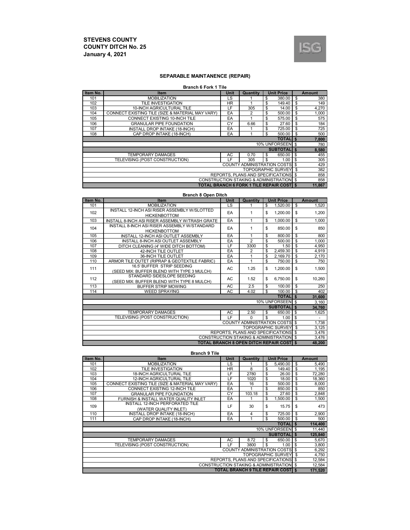

#### **SEPARABLE MAINTANENCE (REPAIR)**

#### **Branch 6 Fork 1 Tile**

| Item No.                      | <b>Item</b>                                      | Unit      | Quantity                                        |    | <b>Unit Price</b>         |     | Amount |
|-------------------------------|--------------------------------------------------|-----------|-------------------------------------------------|----|---------------------------|-----|--------|
| 101                           | <b>MOBILIZATION</b>                              | LS        |                                                 | \$ | 380.00                    | \$  | 380    |
| 102                           | TILE INVESTIGATION                               | <b>HR</b> |                                                 | \$ | 149.40                    | \$  | 149    |
| 103                           | 10-INCH AGRICULTURAL TILE                        | LF        | 305                                             | \$ | 14.00                     | \$  | 4,270  |
| 104                           | CONNECT EXISTING TILE (SIZE & MATERIAL MAY VARY) | EA        | $\overline{2}$                                  | \$ | 500.00                    | \$  | 1,000  |
| 105                           | CONNECT EXISTING 10-INCH TILE                    | EA        |                                                 | \$ | 575.00                    | \$  | 575    |
| 106                           | <b>GRANULAR PIPE FOUNDATION</b>                  | CY        | 6.66                                            | \$ | 27.60                     | \$  | 184    |
| 107                           | INSTALL DROP INTAKE (18-INCH)                    | EA        |                                                 | \$ | 725.00                    | \$  | 725    |
| 108                           | CAP DROP INTAKE (18-INCH)                        | EA        |                                                 | \$ | 500.00                    | \$  | 500    |
| <b>TOTALI</b><br>$\mathbf{s}$ |                                                  |           |                                                 |    |                           |     |        |
|                               |                                                  |           |                                                 |    | 10% UNFORSEEN \$          |     | 780    |
|                               |                                                  |           |                                                 |    | <b>SUBTOTALI \$</b>       |     | 8,580  |
|                               | <b>TEMPORARY DAMAGES</b>                         | AC        | 0.70                                            | \$ | 650.00                    | \$  | 455    |
|                               | TELEVISING (POST CONSTRUCTION)                   | LF        | 305                                             | \$ | 1.00                      | \$  | 305    |
|                               |                                                  |           | <b>COUNTY ADMINISTRATION COSTS</b> \$           |    |                           |     | 429    |
|                               |                                                  |           |                                                 |    | <b>TOPOGRAPHIC SURVEY</b> | \$  | 382    |
|                               |                                                  |           | REPORTS, PLANS AND SPECIFICATIONS               |    |                           | -\$ | 858    |
|                               |                                                  |           | CONSTRUCTION STAKING & ADMINISTRATION           |    |                           | \$  | 858    |
|                               |                                                  |           | <b>TOTAL BRANCH 6 FORK 1 TILE REPAIR COST S</b> |    |                           |     | 11.867 |

#### **Branch 8 Open Ditch**

| Item No.                                            | <b>Item</b>                                                              | <b>Unit Price</b><br>Unit<br>Quantity |                |                                      |              | <b>Amount</b> |  |  |
|-----------------------------------------------------|--------------------------------------------------------------------------|---------------------------------------|----------------|--------------------------------------|--------------|---------------|--|--|
| 101                                                 | <b>MOBILIZATION</b>                                                      | <b>LS</b>                             |                | \$<br>1,520.00                       | \$           | 1,520         |  |  |
| 102                                                 | INSTALL 12-INCH ASI RISER ASSEMBLY W/SLOTTED<br><b>HICKENBOTTOM</b>      | EA                                    | 1              | \$<br>1,200.00                       | \$           | 1,200         |  |  |
| 103                                                 | INSTALL 8-INCH ASI RISER ASSEMBLY W/TRASH GRATE                          | EA                                    | 1              | \$<br>1.000.00                       | \$           | 1.000         |  |  |
| 104                                                 | INSTALL 8-INCH ASI RISER ASSEMBLY W/STANDARD<br><b>HICKENBOTTOM</b>      | EA                                    | 1              | \$<br>850.00                         | \$           | 850           |  |  |
| 105                                                 | INSTALL 12-INCH ASI OUTLET ASSEMBLY                                      | EA                                    | 1              | \$<br>800.00                         | \$           | 800           |  |  |
| 106                                                 | INSTALL 8-INCH ASI OUTLET ASSEMBLY                                       | EA                                    | $\overline{2}$ | \$<br>500.00                         | \$           | 1,000         |  |  |
| 107                                                 | DITCH CLEANING (4' WIDE DITCH BOTTOM)                                    | LF                                    | 3300           | \$<br>1.50                           | \$           | 4,950         |  |  |
| 108                                                 | 42-INCH TILE OUTLET                                                      | EA                                    | $\overline{2}$ | \$<br>2,459.30                       | \$           | 4,919         |  |  |
| 109                                                 | 36-INCH TILE OUTLET                                                      | EA                                    |                | \$<br>2.169.70                       | \$           | 2,170         |  |  |
| 110                                                 | ARMOR TILE OUTET (RIPRAP & GEOTEXTILE FABRIC)                            | EA                                    | 1              | \$<br>750.00                         | \$           | 750           |  |  |
| 111                                                 | 16.5' BUFFER STRIP SEEDING<br>(SEED MIX: BUFFER BLEND WITH TYPE 3 MULCH) | AC                                    | 1.25           | \$<br>1,200.00                       | \$           | 1,500         |  |  |
| 112                                                 | STANDARD SIDESLOPE SEEDING<br>(SEED MIX: BUFFER BLEND WITH TYPE 8 MULCH) | AC.                                   | 1.52           | \$<br>6.750.00                       | \$           | 10,260        |  |  |
| 113                                                 | <b>BUFFER STRIP MOWING</b>                                               | AC                                    | 2.5            | \$<br>100.00                         | \$           | 250           |  |  |
| 114                                                 | <b>WEED SPRAYING</b>                                                     | <b>AC</b>                             | 4.02           | s,<br>100.00                         | \$           | 402           |  |  |
|                                                     |                                                                          |                                       |                | <b>TOTALI</b>                        | $\mathbf{s}$ | 31,600        |  |  |
|                                                     |                                                                          |                                       |                | 10% UNFORSEEN \$                     |              | 3,160         |  |  |
|                                                     |                                                                          |                                       |                | <b>SUBTOTALIS</b>                    |              | 34,760        |  |  |
|                                                     | TEMPORARY DAMAGES                                                        | AC                                    | 2.50           | \$<br>650.00                         | \$.          | 1,625         |  |  |
|                                                     | TELEVISING (POST CONSTRUCTION)                                           | IF.                                   | $\Omega$       | \$<br>1.00                           | \$           |               |  |  |
|                                                     |                                                                          |                                       |                | COUNTY ADMINISTRATION COSTS \$       |              | 1,738         |  |  |
|                                                     |                                                                          |                                       |                | <b>TOPOGRAPHIC SURVEY</b>            | \$           | 3,125         |  |  |
|                                                     |                                                                          |                                       |                | REPORTS. PLANS AND SPECIFICATIONS \$ |              | 3,476         |  |  |
| <b>CONSTRUCTION STAKING &amp; ADMINISTRATION \$</b> |                                                                          |                                       |                |                                      |              |               |  |  |
| TOTAL BRANCH 8 OPEN DITCH REPAIR COSTI \$           |                                                                          |                                       |                |                                      |              |               |  |  |

**Branch 9 Tile**

| Item No.                                    | <b>Item</b>                                      | Unit      | Quantity                                 |    | <b>Unit Price</b>         |    | <b>Amount</b> |
|---------------------------------------------|--------------------------------------------------|-----------|------------------------------------------|----|---------------------------|----|---------------|
| 101                                         | <b>MOBILIZATION</b>                              | LS        |                                          | \$ | 5,490.00                  | \$ | 5,490         |
| 102                                         | TILE INVESTIGATION                               | <b>HR</b> | 8                                        | \$ | 149.40                    | \$ | 1,195         |
| 103                                         | <b>18-INCH AGRICULTURAL TILE</b>                 | LF        | 2780                                     | \$ | 26.00                     | \$ | 72,280        |
| 104                                         | <b>12-INCH AGRICULTURAL TILE</b>                 | LF        | 1020                                     | \$ | 18.00                     | \$ | 18,360        |
| 105                                         | CONNECT EXISTING TILE (SIZE & MATERIAL MAY VARY) | EA        | 16                                       | \$ | 500.00                    | \$ | 8,000         |
| 106                                         | CONNECT EXISTING 12-INCH TILE                    | EA        |                                          | \$ | 850.00                    | \$ | 850           |
| 107                                         | <b>GRANULAR PIPE FOUNDATION</b>                  | CY        | 103.18                                   | \$ | 27.60                     | \$ | 2,848         |
| 108                                         | FURNISH & INSTALL WATER QUALITY INLET            | EA        |                                          | \$ | 1,500.00                  | \$ | 1,500         |
| 109                                         | INSTALL 12-INCH PERFORATED TILE                  | LF        | 30                                       | \$ | 15.75                     | \$ | 473           |
|                                             | (WATER QUALITY INLET)                            |           |                                          |    |                           |    |               |
| 110                                         | INSTALL DROP INTAKE (18-INCH)                    | EA        | 4                                        | \$ | 725.00                    | \$ | 2,900         |
| 111                                         | CAP DROP INTAKE (18-INCH)                        | EA        | 1                                        | \$ | 500.00                    | \$ | 500           |
|                                             |                                                  |           |                                          |    | <b>TOTAL</b>              | \$ | 114,400       |
|                                             |                                                  |           |                                          |    | 10% UNFORSEEN             | \$ | 11,440        |
|                                             |                                                  |           |                                          |    | <b>SUBTOTAL</b>           | \$ | 125,840       |
|                                             | <b>TEMPORARY DAMAGES</b>                         | AC        | 8.72                                     | \$ | 650.00                    | \$ | 5,670         |
|                                             | TELEVISING (POST CONSTRUCTION)                   | ΙF        | 3800                                     | \$ | 1.00                      | \$ | 3,800         |
|                                             |                                                  |           | <b>COUNTY ADMINISTRATION COSTS</b>       |    |                           | \$ | 6,292         |
|                                             |                                                  |           |                                          |    | <b>TOPOGRAPHIC SURVEY</b> | \$ | 4,750         |
|                                             |                                                  |           | <b>REPORTS, PLANS AND SPECIFICATIONS</b> |    |                           | \$ | 12,584        |
| CONSTRUCTION STAKING & ADMINISTRATION<br>\$ |                                                  |           |                                          |    |                           |    |               |
|                                             |                                                  |           | <b>TOTAL BRANCH 9 TILE REPAIR COST S</b> |    |                           |    | 171,520       |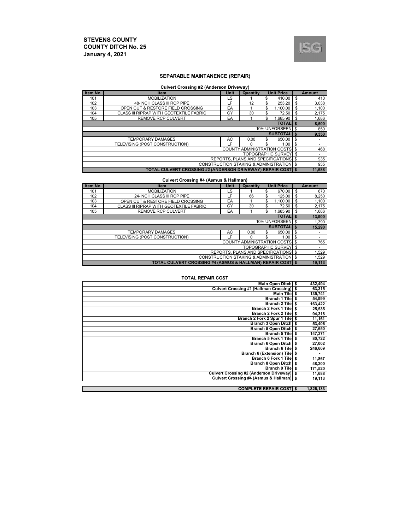п



#### **SEPARABLE MAINTANENCE (REPAIR)**

#### **Culvert Crossing #2 (Anderson Driveway)**

| Item No.                             | Item                                                                | Unit | Quantity                                            |    | <b>Unit Price</b>            |    | <b>Amount</b>            |  |
|--------------------------------------|---------------------------------------------------------------------|------|-----------------------------------------------------|----|------------------------------|----|--------------------------|--|
| 101                                  | <b>MOBILIZATION</b>                                                 | LS   |                                                     | \$ | 410.00                       | \$ | 410                      |  |
| 102                                  | 48-INCH CLASS III RCP PIPE                                          | LF   | 12                                                  | \$ | 253.20                       | \$ | 3,038                    |  |
| 103                                  | OPEN CUT & RESTORE FIELD CROSSING                                   | EA   |                                                     | \$ | 1.100.00                     | \$ | 1,100                    |  |
| 104                                  | CLASS III RIPRAP WITH GEOTEXTILE FABRIC                             | CY   | 30                                                  | S  | 72.50                        | \$ | 2,175                    |  |
| 105                                  | <b>REMOVE RCP CULVERT</b>                                           | EA   |                                                     | \$ | 1.685.90                     | \$ | 1,686                    |  |
| <b>TOTALIS</b>                       |                                                                     |      |                                                     |    |                              |    |                          |  |
| 10% UNFORSEEN \$                     |                                                                     |      |                                                     |    |                              |    |                          |  |
|                                      |                                                                     |      |                                                     |    | <b>SUBTOTALI \$</b>          |    | 9,350                    |  |
|                                      | <b>TEMPORARY DAMAGES</b>                                            | AC   | 0.00                                                | S  | 650.00                       | \$ | ٠                        |  |
|                                      | TELEVISING (POST CONSTRUCTION)                                      | LF   | 0                                                   | \$ | 1.00                         | \$ | $\overline{\phantom{a}}$ |  |
|                                      |                                                                     |      | <b>COUNTY ADMINISTRATION COSTS \$</b>               |    |                              |    | 468                      |  |
|                                      |                                                                     |      |                                                     |    | <b>TOPOGRAPHIC SURVEY \$</b> |    | $\overline{\phantom{a}}$ |  |
| REPORTS. PLANS AND SPECIFICATIONS \$ |                                                                     |      |                                                     |    |                              |    |                          |  |
|                                      |                                                                     |      | <b>CONSTRUCTION STAKING &amp; ADMINISTRATION \$</b> |    |                              |    | 935                      |  |
|                                      | <b>TOTAL CULVERT CROSSING #2 (ANDERSON DRIVEWAY) REPAIR COST \$</b> |      |                                                     |    |                              |    | 11.688                   |  |

#### **Culvert Crossing #4 (Asmus & Hallman)**

| Item No.         | Item                                                      | <b>Unit</b> | Quantity | <b>Unit Price</b>                                   |     | <b>Amount</b> |  |  |  |
|------------------|-----------------------------------------------------------|-------------|----------|-----------------------------------------------------|-----|---------------|--|--|--|
| 101              | <b>MOBILIZATION</b>                                       | LS          |          | 670.00<br>\$                                        | \$  | 670           |  |  |  |
| 102              | 24-INCH CLASS III RCP PIPE                                | LF.         | 66       | \$<br>125.00                                        | \$  | 8,250         |  |  |  |
| 103              | OPEN CUT & RESTORE FIELD CROSSING                         | EA          |          | 1.100.00<br>\$                                      | \$  | 1,100         |  |  |  |
| 104              | CLASS III RIPRAP WITH GEOTEXTILE FABRIC                   | CY          | 30       | 72.50<br>\$                                         | \$  | 2,175         |  |  |  |
| 105              | <b>REMOVE RCP CULVERT</b>                                 | EA          |          | 1.685.90<br>\$                                      | -\$ | 1,686         |  |  |  |
| <b>TOTALI \$</b> |                                                           |             |          |                                                     |     |               |  |  |  |
|                  | 10% UNFORSEEN \$                                          |             |          |                                                     |     |               |  |  |  |
|                  |                                                           |             |          | <b>SUBTOTALIS</b>                                   |     | 15,290        |  |  |  |
|                  | <b>TEMPORARY DAMAGES</b>                                  | AC          | 0.00     | 650.00<br>\$                                        | \$  | ۰             |  |  |  |
|                  | TELEVISING (POST CONSTRUCTION)                            | LF          | 0        | \$<br>1.00                                          | \$  | ۰             |  |  |  |
|                  |                                                           |             |          | <b>COUNTY ADMINISTRATION COSTS \$</b>               |     | 765           |  |  |  |
|                  |                                                           |             |          | <b>TOPOGRAPHIC SURVEY \$</b>                        |     | ٠             |  |  |  |
|                  | REPORTS. PLANS AND SPECIFICATIONS \$                      |             |          |                                                     |     |               |  |  |  |
|                  |                                                           |             |          | <b>CONSTRUCTION STAKING &amp; ADMINISTRATION \$</b> |     | 1,529         |  |  |  |
|                  | TOTAL CULVERT CROSSING #4 (ASMUS & HALLMAN) REPAIR COST S |             |          |                                                     |     | 19.113        |  |  |  |

#### **TOTAL REPAIR COST**

| Main Open Ditch \$                         | 432,494 |
|--------------------------------------------|---------|
| Culvert Crossing #1 (Hallman Crossing) \$  | 63,315  |
| Main Tile \$                               | 135,741 |
| Branch 1 Tile   \$                         | 54,999  |
| Branch 2 Tile S                            | 163,422 |
| Branch 2 Fork 1 Tile S                     | 25,535  |
| Branch 2 Fork 2 Tile S                     | 94,318  |
| Branch 2 Fork 2 Spur 1 Tile                | 11,161  |
| Branch 3 Open Ditch \$                     | 53,406  |
| Branch 5 Open Ditch \$                     | 27,650  |
| Branch 5 Tile \$                           | 147,371 |
| Branch 5 Fork 1 Tile \$                    | 80,722  |
| Branch 6 Open Ditch \$                     | 27,002  |
| Branch 6 Tile   \$                         | 246,609 |
| Branch 6 (Extension) Tile \$               |         |
| Branch 6 Fork 1 Tile \$                    | 11,867  |
| Branch 8 Open Ditch \$                     | 48,200  |
| Branch 9 Tile   \$                         | 171,520 |
| Culvert Crossing #2 (Anderson Driveway) \$ | 11,688  |
| Culvert Crossing #4 (Asmus & Hallman) \$   | 19,113  |
|                                            |         |

**\$ 1,826,133 COMPLETE REPAIR COST**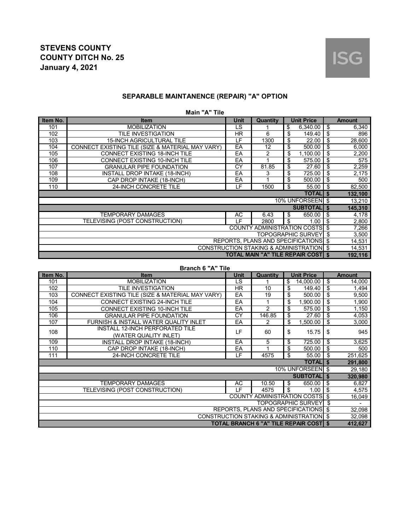## **SEPARABLE MAINTANENCE (REPAIR) "A" OPTION**

**Main "A" Tile**

| Item No.     | <b>Item</b>                                      | Unit | Quantity | <b>Unit Price</b>                                   |    | <b>Amount</b> |  |
|--------------|--------------------------------------------------|------|----------|-----------------------------------------------------|----|---------------|--|
| 101          | <b>MOBILIZATION</b>                              | LS   |          | \$<br>6,340.00                                      | \$ | 6,340         |  |
| 102          | TILE INVESTIGATION                               | HR.  | 6        | \$<br>149.40                                        | \$ | 896           |  |
| 103          | <b>15-INCH AGRICULTURAL TILE</b>                 | LF   | 1300     | \$<br>22.00                                         | \$ | 28,600        |  |
| 104          | CONNECT EXISTING TILE (SIZE & MATERIAL MAY VARY) | EA   | 12       | \$<br>500.00                                        | \$ | 6,000         |  |
| 105          | <b>CONNECT EXISTING 18-INCH TILE</b>             | EA   | 2        | \$<br>1,100.00                                      | \$ | 2,200         |  |
| 106          | <b>CONNECT EXISTING 10-INCH TILE</b>             | EA   |          | \$<br>575.00                                        | \$ | 575           |  |
| 107          | <b>GRANULAR PIPE FOUNDATION</b>                  | CY   | 81.85    | \$<br>27.60                                         | \$ | 2,259         |  |
| 108          | INSTALL DROP INTAKE (18-INCH)                    | EA   | 3        | \$<br>725.00                                        | \$ | 2,175         |  |
| 109          | CAP DROP INTAKE (18-INCH)                        | EA   |          | \$<br>500.00                                        | \$ | 500           |  |
| 110          | 24-INCH CONCRETE TILE                            | LF   | 1500     | \$<br>55.00                                         | \$ | 82,500        |  |
| <b>TOTAL</b> |                                                  |      |          |                                                     |    |               |  |
|              |                                                  |      |          | 10% UNFORSEEN \$                                    |    | 13,210        |  |
|              |                                                  |      |          | <b>SUBTOTALI \$</b>                                 |    | 145,310       |  |
|              | TEMPORARY DAMAGES                                | AC   | 6.43     | \$<br>650.00                                        | \$ | 4,178         |  |
|              | TELEVISING (POST CONSTRUCTION)                   | ΙF   | 2800     | \$<br>1.00                                          | \$ | 2,800         |  |
|              |                                                  |      |          | <b>COUNTY ADMINISTRATION COSTS</b>                  | \$ | 7,266         |  |
|              |                                                  |      |          | <b>TOPOGRAPHIC SURVEY</b>                           | \$ | 3,500         |  |
|              |                                                  |      |          | <b>REPORTS, PLANS AND SPECIFICATIONS \$</b>         |    | 14,531        |  |
|              |                                                  |      |          | <b>CONSTRUCTION STAKING &amp; ADMINISTRATION \$</b> |    | 14,531        |  |
|              |                                                  |      |          | <b>TOTAL MAIN "A" TILE REPAIR COSTI \$</b>          |    | 192,116       |  |

| <b>Branch 6 "A" Tile</b> |  |
|--------------------------|--|
|--------------------------|--|

| Item No. | <b>Item</b>                                      | <b>Unit</b> | Quantity                                      |    | <b>Unit Price</b>  |    | <b>Amount</b> |  |
|----------|--------------------------------------------------|-------------|-----------------------------------------------|----|--------------------|----|---------------|--|
| 101      | <b>MOBILIZATION</b>                              | LS          |                                               | \$ | 14,000.00          | \$ | 14,000        |  |
| 102      | TILE INVESTIGATION                               | <b>HR</b>   | 10                                            | \$ | 149.40             | \$ | 1,494         |  |
| 103      | CONNECT EXISTING TILE (SIZE & MATERIAL MAY VARY) | EA          | 19                                            | \$ | 500.00             | \$ | 9,500         |  |
| 104      | <b>CONNECT EXISTING 24-INCH TILE</b>             | EA          |                                               | \$ | 1,900.00           | \$ | 1,900         |  |
| 105      | <b>CONNECT EXISTING 10-INCH TILE</b>             | EA          | 2                                             | \$ | 575.00             | \$ | 1,150         |  |
| 106      | <b>GRANULAR PIPE FOUNDATION</b>                  | CY          | 146.85                                        | \$ | 27.60              | \$ | 4,053         |  |
| 107      | FURNISH & INSTALL WATER QUALITY INLET            | EA          | 2                                             | \$ | 1,500.00           | \$ | 3,000         |  |
| 108      | INSTALL 12-INCH PERFORATED TILE                  | LF          | 60                                            | \$ | 15.75              | \$ | 945           |  |
|          | (WATER QUALITY INLET)                            |             |                                               |    |                    |    |               |  |
| 109      | <b>INSTALL DROP INTAKE (18-INCH)</b>             | EA          | 5                                             | \$ | 725.00             | \$ | 3,625         |  |
| 110      | CAP DROP INTAKE (18-INCH)                        | EA          | 1                                             | \$ | 500.00             | \$ | 500           |  |
| 111      | 24-INCH CONCRETE TILE                            | LF.         | 4575                                          | \$ | 55.00              | \$ | 251,625       |  |
|          |                                                  |             |                                               |    | <b>TOTAL</b> \$    |    | 291,800       |  |
|          |                                                  |             |                                               |    | 10% UNFORSEEN \$   |    | 29,180        |  |
|          |                                                  |             |                                               |    | <b>SUBTOTAL</b> \$ |    | 320,980       |  |
|          | <b>TEMPORARY DAMAGES</b>                         | AC          | 10.50                                         | \$ | 650.00             | \$ | 6,827         |  |
|          | TELEVISING (POST CONSTRUCTION)                   | LF          | 4575                                          | \$ | 1.00               | \$ | 4,575         |  |
|          |                                                  |             | <b>COUNTY ADMINISTRATION COSTS \$</b>         |    |                    |    | 16,049        |  |
|          | <b>TOPOGRAPHIC SURVEY</b>                        |             |                                               |    |                    |    |               |  |
|          |                                                  |             | REPORTS, PLANS AND SPECIFICATIONS \$          |    |                    |    | 32,098        |  |
|          |                                                  |             | CONSTRUCTION STAKING & ADMINISTRATION \$      |    |                    |    | 32,098        |  |
|          |                                                  |             | <b>TOTAL BRANCH 6 "A" TILE REPAIR COST \$</b> |    |                    |    | 412,627       |  |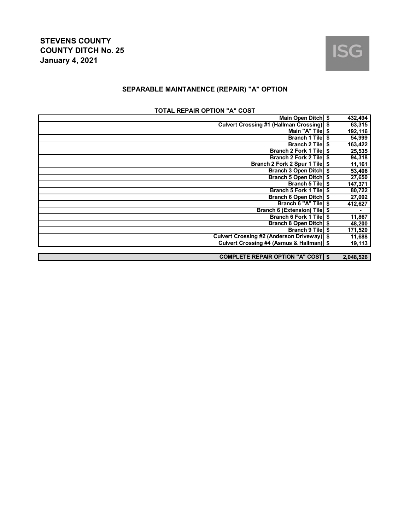

## **SEPARABLE MAINTANENCE (REPAIR) "A" OPTION**

|  | <b>TOTAL REPAIR OPTION "A" COST</b> |  |  |  |
|--|-------------------------------------|--|--|--|
|--|-------------------------------------|--|--|--|

| Main Open Ditch \$                               |    | 432,494   |
|--------------------------------------------------|----|-----------|
| <b>Culvert Crossing #1 (Hallman Crossing) \$</b> |    | 63,315    |
| Main "A" Tile                                    |    | 192,116   |
| <b>Branch 1 Tilel</b>                            | \$ | 54,999    |
| <b>Branch 2 Tile</b>                             | S  | 163,422   |
| <b>Branch 2 Fork 1 Tile</b>                      |    | 25,535    |
| <b>Branch 2 Fork 2 Tile</b>                      | S  | 94,318    |
| Branch 2 Fork 2 Spur 1 Tile                      |    | 11,161    |
| Branch 3 Open Ditch \$                           |    | 53,406    |
| Branch 5 Open Ditch \$                           |    | 27,650    |
| <b>Branch 5 Tile</b>                             | \$ | 147,371   |
| Branch 5 Fork 1 Tile                             | Ŝ. | 80,722    |
| Branch 6 Open Ditch \$                           |    | 27,002    |
| Branch 6 "A" Tile                                | \$ | 412,627   |
| <b>Branch 6 (Extension) Tile</b>                 |    | ٠         |
| <b>Branch 6 Fork 1 Tile</b>                      |    | 11,867    |
| Branch 8 Open Ditch \$                           |    | 48,200    |
| <b>Branch 9 Tile</b>                             | \$ | 171,520   |
| <b>Culvert Crossing #2 (Anderson Driveway)</b>   |    | 11,688    |
| Culvert Crossing #4 (Asmus & Hallman) \$         |    | 19,113    |
|                                                  |    |           |
| <b>COMPLETE REPAIR OPTION "A" COST \$</b>        |    | 2,048,526 |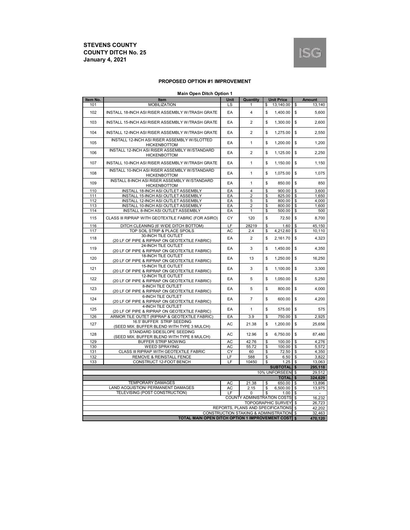

#### **PROPOSED OPTION #1 IMPROVEMENT**

|  | <b>Main Open Ditch Option 1</b> |  |
|--|---------------------------------|--|
|  |                                 |  |

| Item No.                        | mani open piten opuon<br>Item                                               | Unit | Quantity                                 |    | <b>Unit Price</b> |               | <b>Amount</b>    |
|---------------------------------|-----------------------------------------------------------------------------|------|------------------------------------------|----|-------------------|---------------|------------------|
| 101                             | <b>MOBILIZATION</b>                                                         | LS   |                                          | \$ | 13,140.00         | S             | 13,140           |
| 102                             | INSTALL 18-INCH ASI RISER ASSEMBLY W/TRASH GRATE                            | EA   | $\overline{\mathbf{4}}$                  | \$ | 1,400.00          | \$            | 5,600            |
| 103                             | INSTALL 15-INCH ASI RISER ASSEMBLY W/TRASH GRATE                            | EA   | $\overline{2}$                           | \$ | 1,300.00          | \$            | 2,600            |
| 104                             | INSTALL 12-INCH ASI RISER ASSEMBLY W/TRASH GRATE                            | EA   | $\overline{2}$                           | \$ | 1,275.00          | \$            | 2.550            |
| 105                             | INSTALL 12-INCH ASI RISER ASSEMBLY W/SLOTTED<br><b>HICKENBOTTOM</b>         | EA   | $\mathbf{1}$                             | \$ | 1,200.00          | \$            | 1,200            |
| 106                             | INSTALL 12-INCH ASI RISER ASSEMBLY W/STANDARD<br><b>HICKENBOTTOM</b>        | EA   | $\overline{2}$                           | \$ | 1,125.00          | \$            | 2,250            |
| 107                             | INSTALL 10-INCH ASI RISER ASSEMBLY W/TRASH GRATE                            | EA   | 1                                        | \$ | 1,150.00          | \$            | 1,150            |
| 108                             | INSTALL 10-INCH ASI RISER ASSEMBLY W/STANDARD<br><b>HICKENBOTTOM</b>        | EA   | 1                                        | \$ | 1,075.00          | \$            | 1,075            |
| 109                             | INSTALL 8-INCH ASI RISER ASSEMBLY W/STANDARD<br><b>HICKENBOTTOM</b>         | EA   | $\mathbf{1}$                             | \$ | 850.00            | $\mathsf{\$}$ | 850              |
| 110                             | INSTALL 18-INCH ASI OUTLET ASSEMBLY                                         | EA   | $\overline{4}$                           | \$ | 900.00            | \$            | 3,600            |
| 111                             | INSTALL 15-INCH ASI OUTLET ASSEMBLY                                         | EA   | $\overline{2}$                           | \$ | 825.00            | \$            | 1,650            |
| 112                             | INSTALL 12-INCH ASI OUTLET ASSEMBLY                                         | EA   | 5                                        | \$ | 800.00            | \$            | 4,000            |
| 113                             | INSTALL 10-INCH ASI OUTLET ASSEMBLY                                         | EA   | $\overline{2}$                           | \$ | 800.00            | \$            | 1,600            |
|                                 |                                                                             |      |                                          |    |                   |               |                  |
| 114                             | INSTALL 8-INCH ASI OUTLET ASSEMBLY                                          | EA   | 1                                        | \$ | 500.00            | \$            | 500              |
| 115                             | CLASS III RIPRAP WITH GEOTEXTILE FABRIC (FOR ASIRO)                         | CY   | 120                                      | \$ | 72.50             | \$            | 8,700            |
| 116                             | DITCH CLEANING (6' WIDE DITCH BOTTOM)                                       | LF   | 28219                                    | \$ | 1.60              | S             | 45.150           |
| 117                             | TOP SOIL STRIP & PLACE SPOILS                                               | AC   | 2.4                                      | \$ | 4,212.60          | \$            | 10,110           |
| 118                             | 30-INCH TILE OUTLET<br>(20 LF OF PIPE & RIPRAP ON GEOTEXTILE FABRIC)        | EA   | $\overline{2}$                           | \$ | 2.161.70          | \$            | 4.323            |
| 119                             | 24-INCH TILE OUTLET<br>(20 LF OF PIPE & RIPRAP ON GEOTEXTILE FABRIC)        | EA   | 3                                        | \$ | 1,450.00          | \$            | 4,350            |
| 120                             | <b>18-INCH TILE OUTLET</b><br>(20 LF OF PIPE & RIPRAP ON GEOTEXTILE FABRIC) | EA   | 13                                       | \$ | 1,250.00          | \$            | 16,250           |
| 121                             | 15-INCH TILE OUTLET<br>(20 LF OF PIPE & RIPRAP ON GEOTEXTILE FABRIC)        | EA   | 3                                        | \$ | 1,100.00          | \$            | 3,300            |
| 122                             | <b>12-INCH TILE OUTLET</b><br>(20 LF OF PIPE & RIPRAP ON GEOTEXTILE FABRIC) | EA   | 5                                        | \$ | 1,050.00          | \$            | 5,250            |
| 123                             | 8-INCH TILE OUTLET<br>(20 LF OF PIPE & RIPRAP ON GEOTEXTILE FABRIC)         | EA   | 5                                        | \$ | 800.00            | \$            | 4,000            |
| 124                             | 6-INCH TILE OUTLET<br>(20 LF OF PIPE & RIPRAP ON GEOTEXTILE FABRIC)         | EA   | $\overline{7}$                           | \$ | 600.00            | \$            | 4,200            |
| 125                             | <b>4-INCH TILE OUTLET</b><br>(20 LF OF PIPE & RIPRAP ON GEOTEXTILE FABRIC)  | EA   | $\mathbf{1}$                             | \$ | 575.00            | \$            | 575              |
| 126                             | ARMOR TILE OUTET (RIPRAP & GEOTEXTILE FABRIC)                               | EA   | 3.9                                      | \$ | 750.00            | \$            | 2,925            |
| 127                             | 16.5' BUFFER STRIP SEEDING<br>(SEED MIX: BUFFER BLEND WITH TYPE 3 MULCH)    | AC   | 21.38                                    | \$ | 1.200.00          | \$            | 25.656           |
| 128                             | STANDARD SIDESLOPE SEEDING<br>(SEED MIX: BUFFER BLEND WITH TYPE 8 MULCH)    | AC   | 12.96                                    | \$ | 6,750.00          | \$            | 87,480           |
| 129                             | <b>BUFFER STRIP MOWING</b>                                                  | AC   | 42.76                                    | \$ | 100.00            | <b>S</b>      | 4,276            |
| 130                             | <b>WEED SPRAYING</b>                                                        | AC   | 55.72                                    | \$ | 100.00            | \$            | 5,572            |
| 131                             | CLASS III RIPRAP WITH GEOTEXTILE FABRIC                                     | CY   | 60                                       | \$ | 72.50             | \$            | 4,350            |
| 132                             | <b>REMOVE &amp; REINSTALL FENCE</b>                                         | LF   | 588                                      | \$ | 6.50              | - \$          | 3,822            |
| 133                             | CONSTRUCT 12-FOOT BENCH                                                     | LF   | 10450                                    | \$ | 1.25              | $\mathsf{\$}$ | 13,063           |
|                                 |                                                                             |      |                                          |    | <b>SUBTOTAL</b>   | $\sqrt{3}$    | 295,118          |
| 10% UNFORSEEN \$                |                                                                             |      |                                          |    |                   |               |                  |
|                                 |                                                                             |      |                                          |    |                   |               | 29,512           |
|                                 |                                                                             |      |                                          |    | <b>TOTAL</b>      | \$            | 324,629          |
|                                 | <b>TEMPORARY DAMAGES</b>                                                    | AC   | 21.38                                    | \$ | 650.00            | -\$           | 13,896           |
|                                 | LAND ACQUISTION/ PERMANENT DAMAGES                                          | AC   | 2.15                                     | \$ | 6,500.00          | \$            | 13,975           |
|                                 | TELEVISING (POST CONSTRUCTION)                                              | LF   | $\Omega$                                 | \$ | 1.00              | \$            |                  |
| COUNTY ADMINISTRATION COSTS     |                                                                             |      |                                          |    |                   |               |                  |
| <b>\$</b><br>TOPOGRAPHIC SURVEY |                                                                             |      |                                          |    |                   |               |                  |
|                                 |                                                                             |      | REPORTS, PLANS AND SPECIFICATIONS        |    |                   | \$<br>\$      | 26.723<br>42,202 |
|                                 |                                                                             |      | CONSTRUCTION STAKING & ADMINISTRATION \$ |    |                   |               | 32,463           |
|                                 |                                                                             |      |                                          |    |                   |               |                  |
|                                 | TOTAL MAIN OPEN DITCH OPTION 1 IMPROVEMENT COST \$                          |      |                                          |    |                   |               | 470,120          |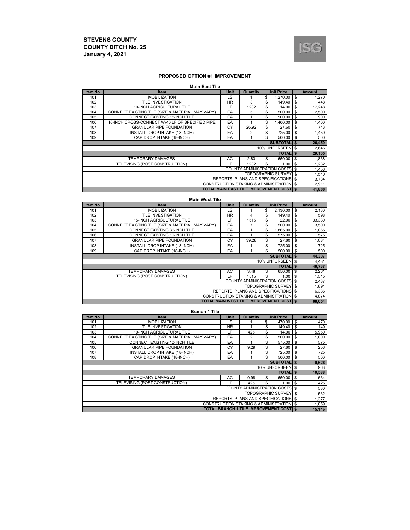

#### **PROPOSED OPTION #1 IMPROVEMENT**

#### **Main East Tile**

| Item No. | <b>Item</b>                                      | <b>Unit</b> | Quantity                                       | <b>Unit Price</b> |                |          | <b>Amount</b> |  |
|----------|--------------------------------------------------|-------------|------------------------------------------------|-------------------|----------------|----------|---------------|--|
| 101      | <b>MOBILIZATION</b>                              | LS          |                                                | 1.270.00<br>\$    |                | \$       | 1,270         |  |
| 102      | <b>TILE INVESTIGATION</b>                        | <b>HR</b>   | 3                                              | \$                | 149.40         | \$       | 448           |  |
| 103      | 10-INCH AGRICULTURAL TILE                        | LF          | 1232                                           | \$                | 14.00          | \$       | 17,248        |  |
| 104      | CONNECT EXISTING TILE (SIZE & MATERIAL MAY VARY) | EA          | 5                                              | \$                | 500.00         | \$       | 2,500         |  |
| 105      | CONNECT EXISTING 15-INCH TILE                    | EA          |                                                | \$                | 900.00         | \$       | 900           |  |
| 106      | 10-INCH CROSS-CONNECT W/40 LF OF SPECIFIED PIPE  | EA          |                                                | \$<br>1.400.00    |                | \$       | 1,400         |  |
| 107      | <b>GRANULAR PIPE FOUNDATION</b>                  | CY          | 26.92                                          | \$                | 27.60          | \$       | 743           |  |
| 108      | INSTALL DROP INTAKE (18-INCH)                    | EA          | 2                                              | \$                | 725.00         | \$       | 1,450         |  |
| 109      | CAP DROP INTAKE (18-INCH)                        | EA          |                                                | \$                | 500.00         | <b>S</b> | 500           |  |
|          |                                                  |             |                                                | <b>SUBTOTALIS</b> |                |          | 26,459        |  |
|          |                                                  |             |                                                | 10% UNFORSEEN \$  |                |          | 2,646         |  |
|          |                                                  |             |                                                |                   | <b>TOTALIS</b> |          | 29,105        |  |
|          | <b>TEMPORARY DAMAGES</b>                         | AC          | 2.83                                           | \$                | 650.00         | l \$     | 1,838         |  |
|          | TELEVISING (POST CONSTRUCTION)                   | ΙF          | 1232                                           | \$.               | 1.00           | \$       | 1,232         |  |
|          |                                                  |             | <b>COUNTY ADMINISTRATION COSTS \$</b>          |                   |                |          | 1,456         |  |
|          | <b>TOPOGRAPHIC SURVEY</b> \$                     |             |                                                |                   |                |          |               |  |
|          |                                                  |             | REPORTS, PLANS AND SPECIFICATIONS \$           |                   |                |          | 3,784         |  |
|          |                                                  |             | CONSTRUCTION STAKING & ADMINISTRATION \$       |                   |                |          | 2,911         |  |
|          |                                                  |             | <b>TOTAL MAIN EAST TILE IMPROVEMENT COST S</b> |                   |                |          | 41,866        |  |

|                                                            | <b>Main West Tile</b>                            |             |                                           |     |                   |              |               |
|------------------------------------------------------------|--------------------------------------------------|-------------|-------------------------------------------|-----|-------------------|--------------|---------------|
| Item No.                                                   | <b>Item</b>                                      | <b>Unit</b> | Quantity                                  |     | <b>Unit Price</b> |              | <b>Amount</b> |
| 101                                                        | <b>MOBILIZATION</b>                              | LS          |                                           | \$  | 2.130.00          | \$           | 2,130         |
| 102                                                        | TILE INVESTIGATION                               | <b>HR</b>   | 4                                         | \$  | 149.40            | \$           | 598           |
| 103                                                        | <b>15-INCH AGRICULTURAL TILE</b>                 | LF          | 1515                                      | \$  | 22.00             | \$           | 33,330        |
| 104                                                        | CONNECT EXISTING TILE (SIZE & MATERIAL MAY VARY) | EA          | 7                                         | \$  | 500.00            | \$           | 3,500         |
| 105                                                        | CONNECT EXISTING 36-INCH TILE                    | EA          |                                           | S   | 1.865.00          | S            | 1,865         |
| 106                                                        | CONNECT EXISTING 10-INCH TILE                    | EA          |                                           | \$  | 575.00            | \$           | 575           |
| 107                                                        | <b>GRANULAR PIPE FOUNDATION</b>                  | CY          | 39.28                                     | \$  | 27.60             | \$           | 1,084         |
| 108                                                        | INSTALL DROP INTAKE (18-INCH)                    | EA          |                                           | \$  | 725.00            | \$           | 725           |
| 109                                                        | CAP DROP INTAKE (18-INCH)                        | EA          |                                           | \$  | 500.00            | <b>S</b>     | 500           |
|                                                            |                                                  |             |                                           |     | <b>SUBTOTAL</b>   | <b>S</b>     | 44,307        |
|                                                            |                                                  |             |                                           |     | 10% UNFORSEEN \$  |              | 4,431         |
|                                                            |                                                  |             |                                           |     | <b>TOTAL</b>      | $\mathbf{s}$ | 48,737        |
|                                                            | <b>TEMPORARY DAMAGES</b>                         | AC          | 3.48                                      | \$. | 650.00            | \$           | 2,261         |
|                                                            | TELEVISING (POST CONSTRUCTION)                   | ΙF          | 1515                                      | S   | 1.00              | \$           | 1,515         |
|                                                            |                                                  |             | <b>COUNTY ADMINISTRATION COSTS</b> \$     |     |                   |              | 2,437         |
| <b>TOPOGRAPHIC SURVEY</b>                                  |                                                  |             |                                           |     |                   |              | 1,894         |
| <b>REPORTS, PLANS AND SPECIFICATIONS</b><br>$\mathfrak{L}$ |                                                  |             |                                           |     |                   |              | 6,336         |
|                                                            |                                                  |             | CONSTRUCTION STAKING & ADMINISTRATION \$  |     |                   |              | 4,874         |
|                                                            |                                                  |             | TOTAL MAIN WEST TILE IMPROVEMENT COSTI \$ |     |                   |              | 68,054        |

**Branch 1 Tile**

| Item No. | <b>Item</b>                                      | <b>Unit</b> | Quantity                                      |    | <b>Unit Price</b> |          | <b>Amount</b> |  |
|----------|--------------------------------------------------|-------------|-----------------------------------------------|----|-------------------|----------|---------------|--|
| 101      | <b>MOBILIZATION</b>                              | <b>LS</b>   |                                               | \$ | 470.00            | \$       | 470           |  |
| 102      | TILE INVESTIGATION                               | <b>HR</b>   |                                               | \$ | 149.40            | \$       | 149           |  |
| 103      | 10-INCH AGRICULTURAL TILE                        | LF          | 425                                           | \$ | 14.00             | \$       | 5,950         |  |
| 104      | CONNECT EXISTING TILE (SIZE & MATERIAL MAY VARY) | EA          | 2                                             | \$ | 500.00            | \$       | 1,000         |  |
| 105      | CONNECT EXISTING 10-INCH TILE                    | EA          |                                               | \$ | 575.00            | \$       | 575           |  |
| 106      | <b>GRANULAR PIPE FOUNDATION</b>                  | CY          | 9.29                                          | \$ | 27.60             | \$       | 256           |  |
| 107      | <b>INSTALL DROP INTAKE (18-INCH)</b>             | EA          |                                               | \$ | 725.00            | \$       | 725           |  |
| 108      | CAP DROP INTAKE (18-INCH)                        | EA          |                                               | \$ | 500.00            | <b>S</b> | 500           |  |
|          |                                                  |             |                                               |    | <b>SUBTOTALIS</b> |          | 9,626         |  |
|          |                                                  |             |                                               |    | 10% UNFORSEEN \$  |          | 963           |  |
|          |                                                  |             |                                               |    | <b>TOTALIS</b>    |          | 10,588        |  |
|          | <b>TEMPORARY DAMAGES</b>                         | AC          | 0.98                                          | \$ | 650.00            | \$       | 634           |  |
|          | TELEVISING (POST CONSTRUCTION)                   | LF          | 425                                           | \$ | 1.00              | \$       | 425           |  |
|          |                                                  |             | <b>COUNTY ADMINISTRATION COSTS \$</b>         |    |                   |          | 530           |  |
|          | <b>TOPOGRAPHIC SURVEY \$</b>                     |             |                                               |    |                   |          |               |  |
|          | REPORTS. PLANS AND SPECIFICATIONS \$             |             |                                               |    |                   |          |               |  |
|          |                                                  |             | CONSTRUCTION STAKING & ADMINISTRATION \$      |    |                   |          | 1,059         |  |
|          |                                                  |             | <b>TOTAL BRANCH 1 TILE IMPROVEMENT COST S</b> |    |                   |          | 15,146        |  |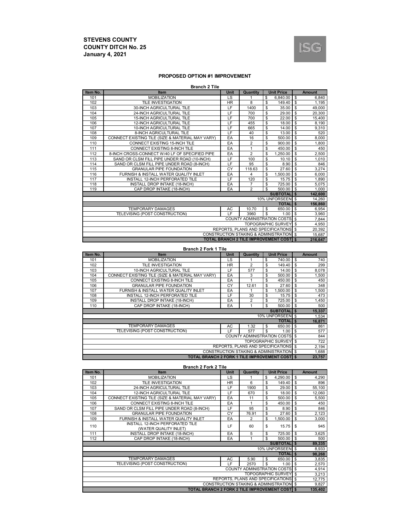

#### **PROPOSED OPTION #1 IMPROVEMENT**

| <b>Branch 2 Tile</b> |                                                  |             |                                                 |    |                           |                         |               |  |  |
|----------------------|--------------------------------------------------|-------------|-------------------------------------------------|----|---------------------------|-------------------------|---------------|--|--|
| Item No.             | Item                                             | <b>Unit</b> | Quantity                                        |    | <b>Unit Price</b>         |                         | <b>Amount</b> |  |  |
| 101                  | <b>MOBILIZATION</b>                              | LS          |                                                 | \$ | 6.840.00                  | \$                      | 6,840         |  |  |
| 102                  | <b>TILE INVESTIGATION</b>                        | <b>HR</b>   | 8                                               | \$ | 149.40                    | \$                      | 1.195         |  |  |
| 103                  | <b>30-INCH AGRICULTURAL TILE</b>                 | LF.         | 1400                                            | \$ | 35.00                     | \$                      | 49.000        |  |  |
| 104                  | <b>24-INCH AGRICULTURAL TILE</b>                 | LF          | 700                                             | \$ | 29.00                     | \$                      | 20,300        |  |  |
| 105                  | <b>15-INCH AGRICULTURAL TILE</b>                 | LF          | 700                                             | \$ | 22.00                     | \$                      | 15,400        |  |  |
| 106                  | <b>12-INCH AGRICULTURAL TILE</b>                 | LF          | 455                                             | \$ | 18.00                     | S                       | 8,190         |  |  |
| 107                  | 10-INCH AGRICULTURAL TILE                        | LF          | 665                                             | \$ | 14.00                     | <b>S</b>                | 9,310         |  |  |
| 108                  | 8-INCH AGRICULTURAL TILE                         | LF          | 40                                              | \$ | 13.00                     | \$                      | 520           |  |  |
| 109                  | CONNECT EXISTING TILE (SIZE & MATERIAL MAY VARY) | EA          | 16                                              | \$ | 500.00                    | \$                      | 8,000         |  |  |
| 110                  | CONNECT EXISTING 15-INCH TILE                    | EA          | $\overline{2}$                                  | \$ | 900.00                    | \$                      | 1,800         |  |  |
| 111                  | <b>CONNECT EXISTING 8-INCH TILE</b>              | EA          | 1                                               | \$ | 450.00                    | \$                      | 450           |  |  |
| 112                  | 8-INCH CROSS-CONNECT W/40 LF OF SPECIFIED PIPE   | EA          | $\overline{2}$                                  | \$ | 1.250.00                  | \$                      | 2,500         |  |  |
| 113                  | SAND OR CLSM FILL PIPE UNDER ROAD (10-INCH)      | LF          | 100                                             | \$ | 10.10                     | \$                      | 1,010         |  |  |
| 114                  | SAND OR CLSM FILL PIPE UNDER ROAD (8-INCH)       | LF          | 95                                              | \$ | 8.90                      | \$                      | 846           |  |  |
| 115                  | <b>GRANULAR PIPE FOUNDATION</b>                  | CY          | 118.63                                          | \$ | 27.60                     | \$                      | 3,274         |  |  |
| 116                  | FURNISH & INSTALL WATER QUALITY INLET            | EA          | 4                                               | \$ | 1.500.00                  | S                       | 6,000         |  |  |
| 117                  | INSTALL 12-INCH PERFORATED TILE                  | LF.         | 120                                             | \$ | 15.75                     | s                       | 1,890         |  |  |
| 118                  | <b>INSTALL DROP INTAKE (18-INCH)</b>             | EA          | $\overline{7}$                                  | \$ | 725.00                    | \$                      | 5.075         |  |  |
| 119                  | CAP DROP INTAKE (18-INCH)                        | EA          | 2                                               | \$ | 500.00                    | <b>S</b>                | 1,000         |  |  |
|                      |                                                  |             |                                                 |    | <b>SUBTOTALIS</b>         |                         | 142,600       |  |  |
|                      |                                                  |             |                                                 |    | 10% UNFORSEEN \$          |                         | 14,260        |  |  |
|                      |                                                  |             |                                                 |    | <b>TOTALIS</b>            |                         | 156,860       |  |  |
|                      | <b>TEMPORARY DAMAGES</b>                         | <b>AC</b>   | 10.70                                           | \$ | 650.00                    | $\mathbf{\hat{s}}$      | 6,954         |  |  |
|                      | TELEVISING (POST CONSTRUCTION)                   | LF.         | 3960                                            | \$ | 1.00                      | \$                      | 3,960         |  |  |
|                      |                                                  |             | <b>COUNTY ADMINISTRATION COSTS</b>              |    |                           | $\overline{\mathbf{s}}$ | 7,844         |  |  |
|                      |                                                  |             |                                                 |    | <b>TOPOGRAPHIC SURVEY</b> | \$                      | 4,950         |  |  |
|                      |                                                  |             | <b>REPORTS, PLANS AND SPECIFICATIONS</b>        |    |                           | $\mathbf{\$}$           | 20.392        |  |  |
|                      |                                                  |             | CONSTRUCTION STAKING & ADMINISTRATION \$        |    |                           |                         | 15.687        |  |  |
|                      |                                                  |             | <b>TOTAL BRANCH 2 TILE IMPROVEMENT COSTI \$</b> |    |                           |                         | 216,647       |  |  |

**Branch 2 Fork 1 Tile**

| Item No. | <b>Item</b>                                      | <b>Unit</b> | Quantity       | <b>Unit Price</b>                                   |                | <b>Amount</b> |  |  |
|----------|--------------------------------------------------|-------------|----------------|-----------------------------------------------------|----------------|---------------|--|--|
| 101      | <b>MOBILIZATION</b>                              | LS          |                | \$<br>740.00                                        | <b>S</b>       | 740           |  |  |
| 102      | <b>TILE INVESTIGATION</b>                        | <b>HR</b>   | $\overline{2}$ | 149.40<br>\$                                        | \$             | 299           |  |  |
| 103      | 10-INCH AGRICULTURAL TILE                        | LF          | 577            | 14.00<br>\$                                         | \$             | 8,078         |  |  |
| 104      | CONNECT EXISTING TILE (SIZE & MATERIAL MAY VARY) | EA          | 3              | 500.00<br>\$                                        | \$             | 1,500         |  |  |
| 105      | <b>CONNECT EXISTING 8-INCH TILE</b>              | EA          |                | \$<br>450.00                                        | \$             | 450           |  |  |
| 106      | <b>GRANULAR PIPE FOUNDATION</b>                  | CY          | 12.61          | 27.60<br>\$                                         | \$             | 348           |  |  |
| 107      | FURNISH & INSTALL WATER QUALITY INLET            | EA          |                | \$<br>1.500.00                                      | \$             | 1,500         |  |  |
| 108      | INSTALL 12-INCH PERFORATED TILE                  | LF          | 30             | 15.75<br>\$                                         | \$             | 473           |  |  |
| 109      | INSTALL DROP INTAKE (18-INCH)                    | EA          | $\overline{2}$ | \$<br>725.00                                        | \$             | 1,450         |  |  |
| 110      | CAP DROP INTAKE (18-INCH)                        | EA          |                | \$<br>500.00                                        | -S             | 500           |  |  |
|          |                                                  |             |                | <b>SUBTOTALIS</b>                                   |                | 15,337        |  |  |
|          |                                                  |             |                | 10% UNFORSEEN \$                                    |                | 1,534         |  |  |
|          |                                                  |             |                | <b>TOTALI</b> \$                                    |                | 16,871        |  |  |
|          | <b>TEMPORARY DAMAGES</b>                         | AC          | 1.32           | 650.00<br>\$                                        | \$             | 861           |  |  |
|          | TELEVISING (POST CONSTRUCTION)                   | LF.         | 577            | \$<br>1.00                                          | $\mathfrak{s}$ | 577           |  |  |
|          |                                                  |             |                | <b>COUNTY ADMINISTRATION COSTS</b> \$               |                | 844           |  |  |
|          | <b>TOPOGRAPHIC SURVEY</b> \$                     |             |                |                                                     |                |               |  |  |
|          | REPORTS. PLANS AND SPECIFICATIONS \$             |             |                |                                                     |                |               |  |  |
|          |                                                  |             |                | <b>CONSTRUCTION STAKING &amp; ADMINISTRATION \$</b> |                | 1,688         |  |  |
|          | TOTAL BRANCH 2 FORK 1 TILE IMPROVEMENT COST S    |             |                |                                                     |                | 23,757        |  |  |

**Branch 2 Fork 2 Tile**

| Item No.                             | <b>Item</b>                                          | <b>Unit</b> | Quantity                                 |    | <b>Unit Price</b>            |              | <b>Amount</b> |
|--------------------------------------|------------------------------------------------------|-------------|------------------------------------------|----|------------------------------|--------------|---------------|
| 101                                  | <b>MOBILIZATION</b>                                  | <b>LS</b>   |                                          | \$ | 4,290.00                     | \$           | 4,290         |
| 102                                  | <b>TILE INVESTIGATION</b>                            | <b>HR</b>   | 6                                        | \$ | 149.40                       | \$           | 896           |
| 103                                  | 24-INCH AGRICULTURAL TILE                            | LF          | 1900                                     | \$ | 29.00                        | \$           | 55,100        |
| 104                                  | 12-INCH AGRICULTURAL TILE                            | LF          | 670                                      | \$ | 18.00                        | \$           | 12,060        |
| 105                                  | CONNECT EXISTING TILE (SIZE & MATERIAL MAY VARY)     | EA          | 11                                       | \$ | 500.00                       | \$           | 5,500         |
| 106                                  | CONNECT EXISTING 8-INCH TILE                         | EA          |                                          | \$ | 450.00                       | \$           | 450           |
| 107                                  | SAND OR CLSM FILL PIPE UNDER ROAD (8-INCH)           | LF          | 95                                       | \$ | 8.90                         | \$           | 846           |
| 108                                  | <b>GRANULAR PIPE FOUNDATION</b>                      | CY          | 76.91                                    | \$ | 27.60                        | \$           | 2,123         |
| 109                                  | FURNISH & INSTALL WATER QUALITY INLET                | EA          | $\overline{2}$                           | \$ | 1.500.00                     | \$           | 3,000         |
| 110                                  | <b>INSTALL 12-INCH PERFORATED TILE</b>               | LF.         | 60                                       | \$ | 15.75                        | \$           | 945           |
|                                      | (WATER QUALITY INLET)                                |             |                                          |    |                              |              |               |
| 111                                  | INSTALL DROP INTAKE (18-INCH)                        | EA          | 5                                        | \$ | 725.00                       | \$           | 3,625         |
| 112                                  | CAP DROP INTAKE (18-INCH)                            | EA          | 1                                        | \$ | 500.00                       | <b>S</b>     | 500           |
|                                      |                                                      |             |                                          |    | <b>SUBTOTALIS</b>            |              | 89,335        |
|                                      |                                                      |             |                                          |    | 10% UNFORSEEN \$             |              | 8,933         |
|                                      |                                                      |             |                                          |    | <b>TOTALIS</b>               |              | 98,268        |
|                                      | <b>TEMPORARY DAMAGES</b>                             | AC          | 5.90                                     | \$ | 650.00                       | $\mathbf{s}$ | 3,835         |
|                                      | TELEVISING (POST CONSTRUCTION)                       | LF.         | 2570                                     | \$ | 1.00                         | \$           | 2,570         |
|                                      |                                                      |             | <b>COUNTY ADMINISTRATION COSTS</b>       |    |                              | $\mathbf{s}$ | 4,914         |
|                                      |                                                      |             |                                          |    | <b>TOPOGRAPHIC SURVEY</b> \$ |              | 3,213         |
| REPORTS, PLANS AND SPECIFICATIONS \$ |                                                      |             |                                          |    |                              |              | 12,775        |
|                                      |                                                      |             | CONSTRUCTION STAKING & ADMINISTRATION \$ |    |                              |              | 9,827         |
|                                      | <b>TOTAL BRANCH 2 FORK 2 TILE IMPROVEMENT COST S</b> |             |                                          |    |                              |              | 135,402       |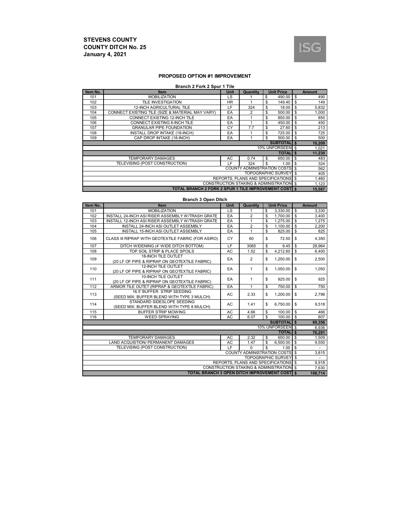

#### **PROPOSED OPTION #1 IMPROVEMENT**

#### **Branch 2 Fork 2 Spur 1 Tile**

| Item No.                                                     | <b>Item</b>                                      | <b>Unit</b> | Quantity                    | <b>Unit Price</b> |                |    | <b>Amount</b> |
|--------------------------------------------------------------|--------------------------------------------------|-------------|-----------------------------|-------------------|----------------|----|---------------|
| 101                                                          | <b>MOBILIZATION</b>                              | LS          |                             | \$                | 490.00         | \$ | 490           |
| 102                                                          | <b>TILE INVESTIGATION</b>                        | HR.         |                             | \$                | 149.40         | \$ | 149           |
| 103                                                          | <b>12-INCH AGRICULTURAL TILE</b>                 | LF          | 324                         | \$                | 18.00          | S  | 5,832         |
| 104                                                          | CONNECT EXISTING TILE (SIZE & MATERIAL MAY VARY) | EA          | 2                           | \$                | 500.00         | S  | 1,000         |
| 105                                                          | CONNECT EXISTING 12-INCH TILE                    | EA          |                             | \$                | 850.00         | \$ | 850           |
| 106                                                          | CONNECT EXISTING 8-INCH TILE                     | EA          |                             | \$                | 450.00         | S  | 450           |
| 107                                                          | <b>GRANULAR PIPE FOUNDATION</b>                  | CY          | 7.7                         | \$                | 27.60          | S  | 213           |
| 108                                                          | INSTALL DROP INTAKE (18-INCH)                    | EA          |                             | \$                | 725.00         | \$ | 725           |
| 109                                                          | CAP DROP INTAKE (18-INCH)                        | EA          |                             | S                 | 500.00         | \$ | 500           |
| <b>SUBTOTALIS</b>                                            |                                                  |             |                             |                   |                |    |               |
|                                                              |                                                  |             |                             | 10% UNFORSEEN \$  |                |    | 1,021         |
|                                                              |                                                  |             |                             |                   | <b>TOTALIS</b> |    | 11,230        |
|                                                              | <b>TEMPORARY DAMAGES</b>                         | AC          | 0.74                        | \$                | 650.00         | \$ | 483           |
|                                                              | TELEVISING (POST CONSTRUCTION)                   | ΙF          | 324                         | S                 | 1.00           | \$ | 324           |
|                                                              |                                                  |             | COUNTY ADMINISTRATION COSTS |                   |                | \$ | 562           |
| <b>TOPOGRAPHIC SURVEY \$</b>                                 |                                                  |             |                             |                   |                |    | 405           |
| <b>REPORTS. PLANS AND SPECIFICATIONS \$</b>                  |                                                  |             |                             |                   |                |    | 1,460         |
| <b>CONSTRUCTION STAKING &amp; ADMINISTRATION \$</b>          |                                                  |             |                             |                   |                |    | 1,123         |
| <b>TOTAL BRANCH 2 FORK 2 SPUR 1 TILE IMPROVEMENT COST IS</b> |                                                  |             |                             |                   |                |    | 15,587        |

| <b>Branch 3 Open Ditch</b>                                                                      |                                                                             |           |                                    |    |                           |               |               |  |
|-------------------------------------------------------------------------------------------------|-----------------------------------------------------------------------------|-----------|------------------------------------|----|---------------------------|---------------|---------------|--|
| Item No.                                                                                        | Item                                                                        | Unit      | Quantity                           |    | <b>Unit Price</b>         |               | <b>Amount</b> |  |
| 101                                                                                             | <b>MOBILIZATION</b>                                                         | LS        | 1                                  | \$ | 3,330.00                  | \$            | 3,330         |  |
| 102                                                                                             | INSTALL 24-INCH ASI RISER ASSEMBLY W/TRASH GRATE                            | EA        | $\overline{2}$                     | \$ | 1,700.00                  | $\mathbb S$   | 3,400         |  |
| 103                                                                                             | INSTALL 12-INCH ASI RISER ASSEMBLY W/TRASH GRATE                            | EA        | $\mathbf{1}$                       | \$ | 1,275.00                  | S             | 1,275         |  |
| 104                                                                                             | INSTALL 24-INCH ASI OUTLET ASSEMBLY                                         | EA        | $\overline{2}$                     | \$ | 1,100.00                  | \$            | 2,200         |  |
| 105                                                                                             | INSTALL 15-INCH ASI OUTLET ASSEMBLY                                         | EA        | 1                                  | \$ | 825.00                    | S             | 825           |  |
| 106                                                                                             | CLASS III RIPRAP WITH GEOTEXTILE FABRIC (FOR ASIRO)                         | CY        | 60                                 | \$ | 72.50                     | \$            | 4,350         |  |
| 107                                                                                             | DITCH WIDENING (4' WIDE DITCH BOTTOM)                                       | LF        | 3065                               | \$ | 9.45                      | \$            | 28,964        |  |
| 108                                                                                             | TOP SOIL STRIP & PLACE SPOILS                                               | AC        | 1.52                               | \$ | 4,212.60                  | s,            | 6,400         |  |
| 109                                                                                             | <b>18-INCH TILE OUTLET</b><br>(20 LF OF PIPE & RIPRAP ON GEOTEXTILE FABRIC) | EA        | $\overline{2}$                     | \$ | 1,250.00                  | \$            | 2,500         |  |
| 110                                                                                             | <b>12-INCH TILE OUTLET</b><br>(20 LF OF PIPE & RIPRAP ON GEOTEXTILE FABRIC) | EA        | 1                                  | \$ | 1,050.00                  | \$            | 1,050         |  |
| 111                                                                                             | 10-INCH TILE OUTLET<br>(20 LF OF PIPE & RIPRAP ON GEOTEXTILE FABRIC)        | EA        | 1                                  | \$ | 925.00                    | \$            | 925           |  |
| 112                                                                                             | ARMOR TILE OUTET (RIPRAP & GEOTEXTILE FABRIC)                               | EA        | 1                                  | \$ | 750.00                    | \$            | 750           |  |
| 113                                                                                             | 16.5' BUFFER STRIP SEEDING<br>(SEED MIX: BUFFER BLEND WITH TYPE 3 MULCH)    | AC        | 2.33                               | \$ | 1,200.00                  | \$            | 2,796         |  |
| 114                                                                                             | STANDARD SIDESLOPE SEEDING<br>(SEED MIX: BUFFER BLEND WITH TYPE 8 MULCH)    | AC        | 1.41                               | \$ | 6,750.00                  | \$.           | 9,518         |  |
| 115                                                                                             | <b>BUFFER STRIP MOWING</b>                                                  | AC        | 4.66                               | \$ | 100.00                    | \$            | 466           |  |
| 116                                                                                             | <b>WEED SPRAYING</b>                                                        | <b>AC</b> | 6.07                               | \$ | 100.00                    | ${\mathbb S}$ | 607           |  |
|                                                                                                 |                                                                             |           |                                    |    | <b>SUBTOTALIS</b>         |               | 69,356        |  |
|                                                                                                 |                                                                             |           |                                    |    | 10% UNFORSEEN \$          |               | 6,936         |  |
|                                                                                                 |                                                                             |           |                                    |    | <b>TOTALIS</b>            |               | 76,291        |  |
|                                                                                                 | <b>TEMPORARY DAMAGES</b>                                                    | <b>AC</b> | 2.32                               | \$ | 650.00                    | S             | 1,509         |  |
|                                                                                                 | <b>LAND ACQUISTION/ PERMANENT DAMAGES</b>                                   | AC        | 1.47                               | \$ | 6,500.00                  | \$            | 9,550         |  |
|                                                                                                 | TELEVISING (POST CONSTRUCTION)                                              | LF        | $\Omega$                           | \$ | 1.00                      | \$            |               |  |
|                                                                                                 |                                                                             |           | <b>COUNTY ADMINISTRATION COSTS</b> |    |                           | \$            | 3,815         |  |
|                                                                                                 |                                                                             |           |                                    |    | <b>TOPOGRAPHIC SURVEY</b> | \$            |               |  |
| REPORTS, PLANS AND SPECIFICATIONS \$                                                            |                                                                             |           |                                    |    |                           |               | 9,918         |  |
| CONSTRUCTION STAKING & ADMINISTRATION \$<br><b>TOTAL BRANCH 3 OPEN DITCH IMPROVEMENT COST S</b> |                                                                             |           |                                    |    |                           |               | 7,630         |  |
|                                                                                                 |                                                                             |           |                                    |    |                           |               | 108,714       |  |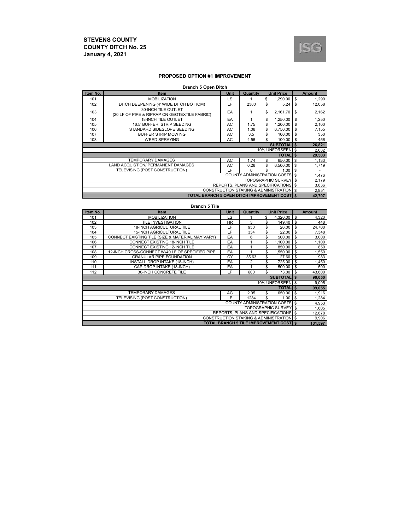

#### **PROPOSED OPTION #1 IMPROVEMENT**

#### **Branch 5 Open Ditch**

| Item No.                                              | <b>Item</b>                                                          | <b>Unit</b> | Quantity |    | <b>Unit Price</b> |              | <b>Amount</b> |
|-------------------------------------------------------|----------------------------------------------------------------------|-------------|----------|----|-------------------|--------------|---------------|
| 101                                                   | <b>MOBILIZATION</b>                                                  | LS          |          | \$ | 1.290.00          | \$           | 1,290         |
| 102                                                   | DITCH DEEPENING (4' WIDE DITCH BOTTOM)                               | LF          | 2300     | \$ | 5.24              | \$           | 12,058        |
| 103                                                   | 30-INCH TILE OUTLET<br>(20 LF OF PIPE & RIPRAP ON GEOTEXTILE FABRIC) | EA          | 1        | \$ | 2.161.70          | \$           | 2,162         |
| 104                                                   | <b>18-INCH TILE OUTLET</b>                                           | EA          |          | \$ | 1,250.00          | \$           | 1,250         |
| 105                                                   | 16.5' BUFFER STRIP SEEDING                                           | AC          | 1.75     | \$ | 1,200.00          | \$           | 2,100         |
| 106                                                   | STANDARD SIDESLOPE SEEDING                                           | AC          | 1.06     | \$ | 6,750.00          | \$           | 7,155         |
| 107                                                   | <b>BUFFER STRIP MOWING</b>                                           | AC          | 3.5      | \$ | 100.00            | S            | 350           |
| 108                                                   | <b>WEED SPRAYING</b>                                                 | AC          | 4.56     | \$ | 100.00            | \$           | 456           |
| <b>SUBTOTALIS</b>                                     |                                                                      |             |          |    |                   |              |               |
|                                                       |                                                                      |             |          |    | 10% UNFORSEEN \$  |              | 2,682         |
|                                                       |                                                                      |             |          |    | <b>TOTALI</b>     | $\mathbf{s}$ | 29,503        |
|                                                       | <b>TEMPORARY DAMAGES</b>                                             | AC          | 1.74     | \$ | 650.00            | \$           | 1,133         |
|                                                       | <b>LAND ACQUISTION/ PERMANENT DAMAGES</b>                            | AC          | 0.26     | \$ | 6.500.00          | \$           | 1,719         |
|                                                       | TELEVISING (POST CONSTRUCTION)                                       | LE.         | $\Omega$ | \$ | 1.00              | \$           | ٠             |
| <b>COUNTY ADMINISTRATION COSTS \$</b>                 |                                                                      |             |          |    |                   |              | 1,476         |
| <b>TOPOGRAPHIC SURVEY \$</b>                          |                                                                      |             |          |    |                   |              | 2,179         |
| REPORTS, PLANS AND SPECIFICATIONS \$                  |                                                                      |             |          |    |                   |              | 3,836         |
| CONSTRUCTION STAKING & ADMINISTRATION \$              |                                                                      |             |          |    |                   |              | 2,951         |
| <b>TOTAL BRANCH 5 OPEN DITCH IMPROVEMENT COSTI \$</b> |                                                                      |             |          |    |                   |              | 42,797        |

#### **Branch 5 Tile**

| Item No.                                      | <b>Unit</b><br><b>Unit Price</b><br><b>Item</b><br>Quantity |           |                                       |    |                   |                | <b>Amount</b> |
|-----------------------------------------------|-------------------------------------------------------------|-----------|---------------------------------------|----|-------------------|----------------|---------------|
| 101                                           | <b>MOBILIZATION</b>                                         | LS        |                                       | \$ | 4,320.00          | <b>S</b>       | 4,320         |
| 102                                           | <b>TILE INVESTIGATION</b>                                   | <b>HR</b> | 3                                     | \$ | 149.40            | \$             | 448           |
| 103                                           | <b>18-INCH AGRICULTURAL TILE</b>                            | LF        | 950                                   | \$ | 26.00             | S              | 24,700        |
| 104                                           | <b>15-INCH AGRICULTURAL TILE</b>                            | LF        | 334                                   | \$ | 22.00             | \$             | 7,348         |
| 105                                           | CONNECT EXISTING TILE (SIZE & MATERIAL MAY VARY)            | EA        | 6                                     | \$ | 500.00            | \$             | 3,000         |
| 106                                           | CONNECT EXISTING 18-INCH TILE                               | EA        |                                       | \$ | 1,100.00          | \$             | 1,100         |
| 107                                           | CONNECT EXISTING 12-INCH TILE                               | EA        |                                       | \$ | 850.00            | S              | 850           |
| 108                                           | 12-INCH CROSS-CONNECT W/40 LF OF SPECIFIED PIPE             | EA        |                                       | \$ | 1.550.00          | \$             | 1,550         |
| 109                                           | <b>GRANULAR PIPE FOUNDATION</b>                             | CY        | 35.63                                 | \$ | 27.60             | \$             | 983           |
| 110                                           | <b>INSTALL DROP INTAKE (18-INCH)</b>                        | EA        | 2                                     | \$ | 725.00            | \$             | 1,450         |
| 111                                           | CAP DROP INTAKE (18-INCH)                                   | EA        | 1                                     | \$ | 500.00            | S              | 500           |
| 112                                           | 30-INCH CONCRETE TILE                                       | LF        | 600                                   | \$ | 73.00             | <b>S</b>       | 43,800        |
|                                               |                                                             |           |                                       |    | <b>SUBTOTALIS</b> |                | 90,050        |
|                                               |                                                             |           |                                       |    | 10% UNFORSEEN \$  |                | 9,005         |
|                                               |                                                             |           |                                       |    | <b>TOTALIS</b>    |                | 99,055        |
|                                               | <b>TEMPORARY DAMAGES</b>                                    | AC        | 2.95                                  | \$ | 650.00            | \$             | 1,916         |
|                                               | TELEVISING (POST CONSTRUCTION)                              | LE.       | 1284                                  | \$ | 1.00              | $\mathfrak{L}$ | 1,284         |
|                                               |                                                             |           | <b>COUNTY ADMINISTRATION COSTS \$</b> |    |                   |                | 4,953         |
| <b>TOPOGRAPHIC SURVEY</b><br>l s              |                                                             |           |                                       |    |                   |                | 1,605         |
| REPORTS, PLANS AND SPECIFICATIONS \$          |                                                             |           |                                       |    |                   |                | 12,878        |
| CONSTRUCTION STAKING & ADMINISTRATION \$      |                                                             |           |                                       |    |                   |                | 9,906         |
| <b>TOTAL BRANCH 5 TILE IMPROVEMENT COST S</b> |                                                             |           |                                       |    |                   |                | 131,597       |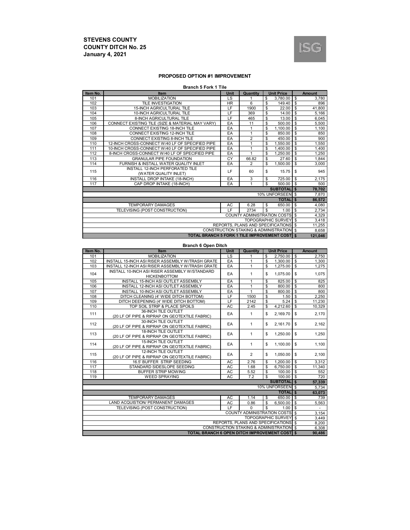

#### **PROPOSED OPTION #1 IMPROVEMENT**

|  | <b>Branch 5 Fork 1 Tile</b> |  |  |  |  |
|--|-----------------------------|--|--|--|--|
|--|-----------------------------|--|--|--|--|

| Item No.                                 | <b>Item</b>                                      | <b>Unit</b> | Quantity       |    | <b>Unit Price</b>         |              | <b>Amount</b> |
|------------------------------------------|--------------------------------------------------|-------------|----------------|----|---------------------------|--------------|---------------|
| 101                                      | <b>MOBILIZATION</b>                              | LS          |                | \$ | 3.780.00                  | \$           | 3,780         |
| 102                                      | <b>TILE INVESTIGATION</b>                        | <b>HR</b>   | 6              | \$ | 149.40                    | \$           | 896           |
| 103                                      | <b>15-INCH AGRICULTURAL TILE</b>                 | LF          | 1900           | \$ | 22.00                     | \$           | 41,800        |
| 104                                      | 10-INCH AGRICULTURAL TILE                        | LF          | 369            | \$ | 14.00                     | \$           | 5,166         |
| 105                                      | <b>8-INCH AGRICULTURAL TILE</b>                  | LF          | 465            | \$ | 13.00                     | \$           | 6,045         |
| 106                                      | CONNECT EXISTING TILE (SIZE & MATERIAL MAY VARY) | EA          | 11             | \$ | 500.00                    | \$           | 5,500         |
| 107                                      | CONNECT EXISTING 18-INCH TILE                    | EA          | 1              | S  | 1.100.00                  | \$           | 1,100         |
| 108                                      | CONNECT EXISTING 12-INCH TILE                    | EA          | 1              | \$ | 850.00                    | \$           | 850           |
| 109                                      | CONNECT EXISTING 8-INCH TILE                     | EA          | $\overline{2}$ | \$ | 450.00                    | \$           | 900           |
| 110                                      | 12-INCH CROSS-CONNECT W/40 LF OF SPECIFIED PIPE  | EA          |                | \$ | 1.550.00                  | \$           | 1,550         |
| 111                                      | 10-INCH CROSS-CONNECT W/40 LF OF SPECIFIED PIPE  | EA          | $\mathbf{1}$   | \$ | 1,400.00                  | \$           | 1,400         |
| 112                                      | 8-INCH CROSS-CONNECT W/40 LF OF SPECIFIED PIPE   | EA          |                | S  | 1.250.00                  | \$           | 1,250         |
| 113                                      | <b>GRANULAR PIPE FOUNDATION</b>                  | CY          | 66.82          | \$ | 27.60                     | \$           | 1,844         |
| 114                                      | FURNISH & INSTALL WATER QUALITY INLET            | EA          | $\overline{2}$ | \$ | 1.500.00                  | \$           | 3.000         |
| 115                                      | <b>INSTALL 12-INCH PERFORATED TILE</b>           | LF          | 60             | \$ | 15.75                     | \$           | 945           |
|                                          | (WATER QUALITY INLET)                            |             |                |    |                           |              |               |
| 116                                      | <b>INSTALL DROP INTAKE (18-INCH)</b>             | EA          | 3              | \$ | 725.00                    | \$           | 2,175         |
| 117                                      | CAP DROP INTAKE (18-INCH)                        | EA          | 1              | \$ | 500.00                    | \$           | 500           |
|                                          |                                                  |             |                |    | <b>SUBTOTAL</b>           | $\mathbf{s}$ | 78,702        |
|                                          |                                                  |             |                |    | 10% UNFORSEEN \$          |              | 7,870         |
|                                          |                                                  |             |                |    | <b>TOTAL</b>              | \$           | 86,572        |
|                                          | <b>TEMPORARY DAMAGES</b>                         | AC          | 6.28           | \$ | 650.00                    | \$           | 4.080         |
|                                          | TELEVISING (POST CONSTRUCTION)                   | LF.         | 2734           | \$ | 1.00                      | \$           | 2,734         |
| <b>COUNTY ADMINISTRATION COSTS</b>       |                                                  |             |                |    |                           |              | 4,329         |
|                                          |                                                  |             |                |    | <b>TOPOGRAPHIC SURVEY</b> | $\mathbf{s}$ | 3,418         |
| REPORTS. PLANS AND SPECIFICATIONS \$     |                                                  |             |                |    |                           |              | 11,255        |
| CONSTRUCTION STAKING & ADMINISTRATION \$ |                                                  |             |                |    |                           |              | 8,658         |
|                                          | TOTAL BRANCH 5 FORK 1 TILE IMPROVEMENT COSTI \$  |             |                |    |                           |              | 121,046       |

#### **Branch 6 Open Ditch**

| Item No.                                                       | Item                                                | <b>Unit Price</b><br>Unit<br>Quantity |                             |     |                   |                         | Amount         |    |       |
|----------------------------------------------------------------|-----------------------------------------------------|---------------------------------------|-----------------------------|-----|-------------------|-------------------------|----------------|----|-------|
| 101                                                            | <b>MOBILIZATION</b>                                 | LS                                    | 1                           | \$  | 2,750.00          | \$                      | 2,750          |    |       |
| 102                                                            | INSTALL 15-INCH ASI RISER ASSEMBLY W/TRASH GRATE    | EA                                    | 1                           | \$  | 1,300.00          | \$                      | 1,300          |    |       |
| 103                                                            | INSTALL 12-INCH ASI RISER ASSEMBLY W/TRASH GRATE    | EA                                    | 1                           | \$  | 1,275.00          | $\mathbb S$             | 1,275          |    |       |
| 104                                                            | INSTALL 10-INCH ASI RISER ASSEMBLY W/STANDARD       | EA                                    | 1                           | \$  |                   | \$                      |                |    |       |
|                                                                | <b>HICKENBOTTOM</b>                                 |                                       |                             |     | 1,075.00          |                         | 1,075          |    |       |
| 105                                                            | INSTALL 15-INCH ASI OUTLET ASSEMBLY                 | EA                                    | 1                           | \$  | 825.00            | \$                      | 825            |    |       |
| 106                                                            | INSTALL 12-INCH ASI OUTLET ASSEMBLY                 | EA                                    | 1                           | \$  | 800.00            | $\overline{\mathbb{S}}$ | 800            |    |       |
| 107                                                            | INSTALL 10-INCH ASI OUTLET ASSEMBLY                 | EA                                    | 1                           | \$  | 800.00            | $\frac{1}{2}$           | 800            |    |       |
| 108                                                            | DITCH CLEANING (4' WIDE DITCH BOTTOM)               | LF                                    | 1500                        | \$  | 1.50              | $\frac{1}{2}$           | 2,250          |    |       |
| 109                                                            | DITCH DEEPENING (4' WIDE DITCH BOTTOM)              | LF                                    | 2142                        | \$  | 5.24              | $\frac{1}{2}$           | 11,230         |    |       |
| 110                                                            | TOP SOIL STRIP & PLACE SPOILS                       | <b>AC</b>                             | 2.45                        | \$  | 4,212.60          | \$                      | 10,329         |    |       |
| 111                                                            | 36-INCH TILE OUTLET                                 | EA                                    | $\mathbf{1}$                | \$  | 2.169.70          | \$                      | 2,170          |    |       |
|                                                                | (20 LF OF PIPE & RIPRAP ON GEOTEXTILE FABRIC)       |                                       |                             |     |                   |                         |                |    |       |
| 112                                                            | 30-INCH TILE OUTLET                                 | $\mathbf{1}$<br>EA                    |                             |     |                   | \$                      | 2,161.70       | \$ | 2,162 |
|                                                                | (20 LF OF PIPE & RIPRAP ON GEOTEXTILE FABRIC)       |                                       |                             |     |                   |                         |                |    |       |
| 113                                                            | <b>18-INCH TILE OUTLET</b>                          | EA                                    | $\mathbf{1}$                | \$  | 1,250.00          | \$                      | 1,250          |    |       |
|                                                                | (20 LF OF PIPE & RIPRAP ON GEOTEXTILE FABRIC)       |                                       |                             |     |                   |                         |                |    |       |
| 114                                                            | <b>15-INCH TILE OUTLET</b>                          | EA                                    | $\mathbf{1}$                | \$  | 1,100.00          |                         |                |    |       |
|                                                                | (20 LF OF PIPE & RIPRAP ON GEOTEXTILE FABRIC)       |                                       |                             |     |                   | \$                      | 1,100          |    |       |
| 115                                                            | 12-INCH TILE OUTLET                                 | EA                                    | $\overline{2}$              | \$  | 1,050.00          | \$                      |                |    |       |
|                                                                | (20 LF OF PIPE & RIPRAP ON GEOTEXTILE FABRIC)       |                                       |                             |     |                   |                         | 2,100          |    |       |
| 116                                                            | 16.5' BUFFER STRIP SEEDING                          | AC                                    | 2.76                        | \$  | 1,200.00          | \$                      | 3,312          |    |       |
| 117                                                            | STANDARD SIDESLOPE SEEDING                          | AC                                    | 1.68                        | \$  | 6.750.00          | $\mathsf{s}$            | 11,340         |    |       |
| 118                                                            | <b>BUFFER STRIP MOWING</b>                          | AC                                    | 5.52                        | \$  | 100.00            | \$                      | 552            |    |       |
| 119                                                            | <b>WEED SPRAYING</b>                                | <b>AC</b>                             | 7.2                         | \$. | 100.00            | $\overline{\mathbf{s}}$ | 720            |    |       |
|                                                                |                                                     |                                       |                             |     | <b>SUBTOTALIS</b> |                         | 57,339         |    |       |
|                                                                |                                                     |                                       |                             |     | 10% UNFORSEEN \$  |                         | 5,734          |    |       |
|                                                                |                                                     |                                       |                             |     | <b>TOTALI</b> \$  |                         | 63,073         |    |       |
|                                                                | <b>TEMPORARY DAMAGES</b>                            | AC                                    | 1.14                        | \$  | 650.00            | \$                      | 739            |    |       |
|                                                                | <b>LAND ACQUISTION/ PERMANENT DAMAGES</b>           | AC                                    | 0.86                        | \$  | 6,500.00          | $\sqrt{3}$              | 5,563          |    |       |
| LF<br>\$<br>TELEVISING (POST CONSTRUCTION)<br>$\Omega$<br>1.00 |                                                     |                                       |                             |     |                   |                         | $\blacksquare$ |    |       |
|                                                                |                                                     |                                       | COUNTY ADMINISTRATION COSTS |     |                   | ါ န                     | 3,154          |    |       |
| <b>TOPOGRAPHIC SURVEY</b>                                      |                                                     |                                       |                             |     |                   |                         | 3,449          |    |       |
| REPORTS, PLANS AND SPECIFICATIONS \$                           |                                                     |                                       |                             |     |                   | $\overline{\mathbf{s}}$ | 8.200          |    |       |
| <b>CONSTRUCTION STAKING &amp; ADMINISTRATION \$</b>            |                                                     |                                       |                             |     |                   |                         | 6,308          |    |       |
|                                                                | <b>TOTAL BRANCH 6 OPEN DITCH IMPROVEMENT COST S</b> |                                       |                             |     |                   |                         | 90,486         |    |       |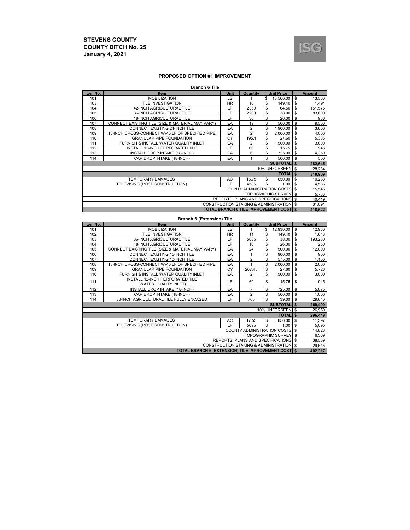

#### **PROPOSED OPTION #1 IMPROVEMENT**

#### **Branch 6 Tile**

| Item No.                                 | <b>Item</b>                                      | <b>Unit</b> | Quantity       | <b>Unit Price</b>                             |                | <b>Amount</b> |  |
|------------------------------------------|--------------------------------------------------|-------------|----------------|-----------------------------------------------|----------------|---------------|--|
| 101                                      | <b>MOBILIZATION</b>                              | LS          |                | 13.560.00<br>\$                               | \$             | 13,560        |  |
| 103                                      | <b>TILE INVESTIGATION</b>                        | <b>HR</b>   | 10             | \$<br>149.40                                  | \$             | 1,494         |  |
| 104                                      | 42-INCH AGRICULTURAL TILE                        | LF          | 2350           | \$<br>64.50                                   | \$             | 151,575       |  |
| 105                                      | 36-INCH AGRICULTURAL TILE                        | LF          | 2200           | \$<br>38.00                                   | \$             | 83,600        |  |
| 106                                      | <b>18-INCH AGRICULTURAL TILE</b>                 | LF          | 36             | \$<br>26.00                                   | \$             | 936           |  |
| 107                                      | CONNECT EXISTING TILE (SIZE & MATERIAL MAY VARY) | EA          | 19             | \$<br>500.00                                  | \$             | 9,500         |  |
| 108                                      | CONNECT EXISTING 24-INCH TILE                    | EA          | $\overline{2}$ | 1.900.00<br>\$                                | \$             | 3,800         |  |
| 109                                      | 18-INCH CROSS-CONNECT W/40 LF OF SPECIFIED PIPE  | EA          | $\overline{2}$ | 2,000.00<br>\$                                | \$             | 4,000         |  |
| 110                                      | <b>GRANULAR PIPE FOUNDATION</b>                  | CY          | 195.1          | \$<br>27.60                                   | \$             | 5,385         |  |
| 111                                      | FURNISH & INSTALL WATER QUALITY INLET            | EA          | $\overline{2}$ | 1,500.00<br>\$                                | \$             | 3,000         |  |
| 112                                      | INSTALL 12-INCH PERFORATED TILE                  | LF          | 60             | \$<br>15.75                                   | \$             | 945           |  |
| 113                                      | INSTALL DROP INTAKE (18-INCH)                    | EA          | 6              | \$<br>725.00                                  | \$             | 4,350         |  |
| 114                                      | CAP DROP INTAKE (18-INCH)                        | EA          |                | \$<br>500.00                                  | \$             | 500           |  |
|                                          |                                                  |             |                | <b>SUBTOTAL</b> \$                            |                | 282,645       |  |
|                                          |                                                  |             |                | 10% UNFORSEEN \$                              |                | 28,264        |  |
|                                          |                                                  |             |                | <b>TOTAL</b> \$                               |                | 310,909       |  |
|                                          | <b>TEMPORARY DAMAGES</b>                         | AC          | 15.75          | 650.00<br>\$                                  | $\mathfrak{L}$ | 10,238        |  |
|                                          | TELEVISING (POST CONSTRUCTION)                   | LF.         | 4586           | \$.<br>1.00                                   | \$             | 4,586         |  |
| <b>COUNTY ADMINISTRATION COSTS</b><br>\$ |                                                  |             |                |                                               |                |               |  |
| <b>TOPOGRAPHIC SURVEY \$</b>             |                                                  |             |                |                                               |                |               |  |
| REPORTS, PLANS AND SPECIFICATIONS \$     |                                                  |             |                |                                               |                | 40,419        |  |
| CONSTRUCTION STAKING & ADMINISTRATION \$ |                                                  |             |                |                                               |                | 31,091        |  |
|                                          |                                                  |             |                | <b>TOTAL BRANCH 6 TILE IMPROVEMENT COST S</b> |                | 418,522       |  |

#### **Branch 6 (Extension) Tile**

| Item No.                                           | <b>Item</b>                                      | <b>Unit</b><br>Quantity<br>Unit Price |                |                                |    |         |  |
|----------------------------------------------------|--------------------------------------------------|---------------------------------------|----------------|--------------------------------|----|---------|--|
| 101                                                | <b>MOBILIZATION</b>                              | LS.                                   |                | 12,930.00<br>\$                | \$ | 12,930  |  |
| 102                                                | <b>TILE INVESTIGATION</b>                        | <b>HR</b>                             | 11             | 149.40<br>\$                   | \$ | 1,643   |  |
| 103                                                | 36-INCH AGRICULTURAL TILE                        | LF                                    | 5085           | 38.00<br>\$                    | \$ | 193,230 |  |
| 104                                                | <b>18-INCH AGRICULTURAL TILE</b>                 | LF                                    | 10             | \$<br>26.00                    | \$ | 260     |  |
| 105                                                | CONNECT EXISTING TILE (SIZE & MATERIAL MAY VARY) | EA                                    | 24             | \$<br>500.00                   | \$ | 12,000  |  |
| 106                                                | CONNECT EXISTING 15-INCH TILE                    | EA                                    |                | \$<br>900.00                   | S  | 900     |  |
| 107                                                | CONNECT EXISTING 10-INCH TILE                    | EA                                    | $\overline{2}$ | 575.00<br>\$                   | \$ | 1,150   |  |
| 108                                                | 18-INCH CROSS-CONNECT W/40 LF OF SPECIFIED PIPE  | EA                                    |                | \$<br>2,000.00                 | \$ | 2,000   |  |
| 109                                                | <b>GRANULAR PIPE FOUNDATION</b>                  | CY                                    | 207.45         | 27.60<br>\$                    | \$ | 5,726   |  |
| 110                                                | FURNISH & INSTALL WATER QUALITY INLET            | EA                                    | 2              | \$<br>1,500.00                 | \$ | 3,000   |  |
| 111                                                | INSTALL 12-INCH PERFORATED TILE                  | LF                                    | 60             | 15.75                          | \$ | 945     |  |
|                                                    | (WATER QUALITY INLET)                            |                                       |                | \$                             |    |         |  |
| 112                                                | INSTALL DROP INTAKE (18-INCH)                    | EA                                    | $\overline{7}$ | 725.00<br>\$                   | \$ | 5,075   |  |
| 113                                                | CAP DROP INTAKE (18-INCH)                        | EA                                    | $\overline{2}$ | \$<br>500.00                   | \$ | 1,000   |  |
| 114                                                | 36-INCH AGRICULTURAL TILE FULLY ENCASED          | LF                                    | 760            | \$<br>39.00                    | \$ | 29,640  |  |
|                                                    |                                                  |                                       |                | SUBTOTAL S                     |    | 269,499 |  |
|                                                    |                                                  |                                       |                | 10% UNFORSEEN \$               |    | 26,950  |  |
|                                                    |                                                  |                                       |                | <b>TOTAL</b> \$                |    | 296,449 |  |
|                                                    | <b>TEMPORARY DAMAGES</b>                         | AC                                    | 17.53          | 650.00<br>\$                   | \$ | 11,397  |  |
|                                                    | TELEVISING (POST CONSTRUCTION)                   | LF                                    | 5095           | \$<br>1.00                     | \$ | 5,095   |  |
|                                                    |                                                  |                                       |                | COUNTY ADMINISTRATION COSTS \$ |    | 14,823  |  |
|                                                    |                                                  |                                       |                | <b>TOPOGRAPHIC SURVEY \$</b>   |    | 6,369   |  |
| REPORTS. PLANS AND SPECIFICATIONS \$               |                                                  |                                       |                |                                |    |         |  |
| CONSTRUCTION STAKING & ADMINISTRATION \$           |                                                  |                                       |                |                                |    |         |  |
| TOTAL BRANCH 6 (EXTENSION) TILE IMPROVEMENT COST S |                                                  |                                       |                |                                |    |         |  |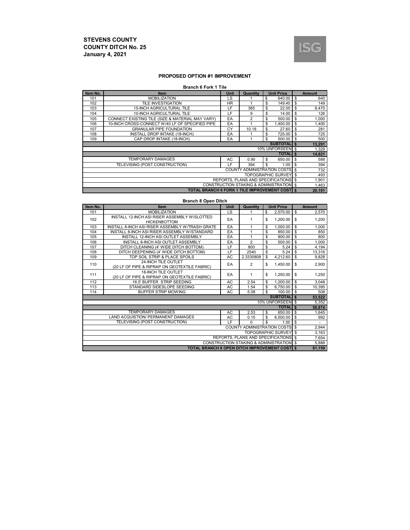

#### **PROPOSED OPTION #1 IMPROVEMENT**

#### **Branch 6 Fork 1 Tile**

| Item No.                                            | Item                                                   | <b>Unit</b> | Quantity                              |    | <b>Unit Price</b> |          | <b>Amount</b> |
|-----------------------------------------------------|--------------------------------------------------------|-------------|---------------------------------------|----|-------------------|----------|---------------|
| 101                                                 | <b>MOBILIZATION</b>                                    | LS          |                                       | \$ | 640.00            | <b>S</b> | 640           |
| 102                                                 | <b>TILE INVESTIGATION</b>                              | <b>HR</b>   |                                       | \$ | 149.40            | \$       | 149           |
| 103                                                 | <b>15-INCH AGRICULTURAL TILE</b>                       | LF          | 385                                   | \$ | 22.00             | \$       | 8,470         |
| 104                                                 | 10-INCH AGRICULTURAL TILE                              | LF          | 9                                     | \$ | 14.00             | \$       | 126           |
| 105                                                 | CONNECT EXISTING TILE (SIZE & MATERIAL MAY VARY)       | EA          | $\overline{2}$                        | \$ | 500.00            | \$       | 1,000         |
| 106                                                 | 10-INCH CROSS-CONNECT W/40 LF OF SPECIFIED PIPE        | EA          |                                       | \$ | 1.400.00          | \$       | 1,400         |
| 107                                                 | <b>GRANULAR PIPE FOUNDATION</b>                        | CY          | 10.18                                 | \$ | 27.60             | S        | 281           |
| 108                                                 | INSTALL DROP INTAKE (18-INCH)                          | EA          |                                       | S  | 725.00            | \$       | 725           |
| 109                                                 | CAP DROP INTAKE (18-INCH)                              | EA          |                                       | \$ | 500.00            | S        | 500           |
| <b>SUBTOTALIS</b>                                   |                                                        |             |                                       |    |                   |          |               |
|                                                     |                                                        |             |                                       |    | 10% UNFORSEEN \$  |          | 1,329         |
|                                                     |                                                        |             |                                       |    | <b>TOTALIS</b>    |          | 14,621        |
|                                                     | <b>TEMPORARY DAMAGES</b>                               | AC          | 0.90                                  | \$ | 650.00            | \$       | 588           |
|                                                     | TELEVISING (POST CONSTRUCTION)                         | LF          | 394                                   | S  | 1.00              | \$       | 394           |
|                                                     |                                                        |             | <b>COUNTY ADMINISTRATION COSTS \$</b> |    |                   |          | 732           |
| <b>TOPOGRAPHIC SURVEY</b><br>l s                    |                                                        |             |                                       |    |                   |          | 493           |
|                                                     | <b>REPORTS. PLANS AND SPECIFICATIONS \$</b>            |             |                                       |    |                   |          | 1,901         |
| <b>CONSTRUCTION STAKING &amp; ADMINISTRATION \$</b> |                                                        |             |                                       |    |                   |          | 1,463         |
|                                                     | <b>TOTAL BRANCH 6 FORK 1 TILE IMPROVEMENT COSTI \$</b> |             |                                       |    |                   |          | 20,191        |

**Branch 8 Open Ditch**

| Item No.                                 | Item                                                                        | <b>Unit</b> | Quantity                             | <b>Unit Price</b> |                           |    | <b>Amount</b> |  |
|------------------------------------------|-----------------------------------------------------------------------------|-------------|--------------------------------------|-------------------|---------------------------|----|---------------|--|
| 101                                      | <b>MOBILIZATION</b>                                                         | LS          |                                      | \$                | 2,570.00                  | \$ | 2,570         |  |
| 102                                      | INSTALL 12-INCH ASI RISER ASSEMBLY W/SLOTTED<br><b>HICKENBOTTOM</b>         | EA          | 1                                    | \$                | 1,200.00                  | \$ | 1,200         |  |
| 103                                      | INSTALL 8-INCH ASI RISER ASSEMBLY W/TRASH GRATE                             | EA          | 1                                    | \$                | 1,000.00                  | \$ | 1,000         |  |
| 104                                      | INSTALL 8-INCH ASI RISER ASSEMBLY W/STANDARD                                | EA          |                                      | \$                | 850.00                    | \$ | 850           |  |
| 105                                      | INSTALL 12-INCH ASI OUTLET ASSEMBLY                                         | EA          | 1                                    | \$                | 800.00                    | \$ | 800           |  |
| 106                                      | INSTALL 8-INCH ASI OUTLET ASSEMBLY                                          | EA          | $\overline{2}$                       | \$                | 500.00                    | \$ | 1,000         |  |
| 107                                      | DITCH CLEANING (4' WIDE DITCH BOTTOM)                                       | LF          | 800                                  | \$                | 5.24                      | \$ | 4,194         |  |
| 108                                      | DITCH DEEPENING (4' WIDE DITCH BOTTOM)                                      | LF          | 2540                                 | \$                | 5.24                      | \$ | 13,316        |  |
| 109                                      | TOP SOIL STRIP & PLACE SPOILS                                               | AC          | 2.3330808                            | \$                | 4,212.60                  | \$ | 9,828         |  |
| 110                                      | 24-INCH TILE OUTLET<br>(20 LF OF PIPE & RIPRAP ON GEOTEXTILE FABRIC)        | EA          | $\overline{2}$                       | \$                | 1,450.00                  | \$ | 2,900         |  |
| 111                                      | <b>18-INCH TILE OUTLET</b><br>(20 LF OF PIPE & RIPRAP ON GEOTEXTILE FABRIC) | EA          | 1                                    | \$                | 1,250.00                  | \$ | 1,250         |  |
| 112                                      | 16.5' BUFFER STRIP SEEDING                                                  | <b>AC</b>   | 2.54                                 | \$                | 1,200.00                  | \$ | 3,048         |  |
| 113                                      | STANDARD SIDESLOPE SEEDING                                                  | AC          | 1.54                                 | \$                | 6.750.00                  | \$ | 10,395        |  |
| 114                                      | <b>BUFFER STRIP MOWING</b>                                                  | AC          | 5.08                                 | \$                | 100.00                    | \$ | 508           |  |
|                                          |                                                                             |             |                                      |                   | <b>SUBTOTALIS</b>         |    | 53,522        |  |
|                                          |                                                                             |             |                                      |                   | 10% UNFORSEEN \$          |    | 5,352         |  |
|                                          |                                                                             |             |                                      |                   | <b>TOTALI</b> \$          |    | 58,874        |  |
|                                          | <b>TEMPORARY DAMAGES</b>                                                    | AC          | 2.53                                 | \$                | 650.00                    | \$ | 1,645         |  |
|                                          | <b>LAND ACQUISTION/ PERMANENT DAMAGES</b>                                   | AC          | 0.15                                 | \$                | 6,500.00                  | \$ | 992           |  |
|                                          | TELEVISING (POST CONSTRUCTION)                                              | LF          | $\Omega$                             | \$                | 1.00                      | \$ | ٠             |  |
| <b>COUNTY ADMINISTRATION COSTS</b>       |                                                                             |             |                                      |                   |                           |    | 2,944         |  |
|                                          |                                                                             |             |                                      |                   | <b>TOPOGRAPHIC SURVEY</b> | \$ | 3,163         |  |
|                                          |                                                                             |             | REPORTS, PLANS AND SPECIFICATIONS \$ |                   |                           |    | 7,654         |  |
| CONSTRUCTION STAKING & ADMINISTRATION \$ |                                                                             |             |                                      |                   |                           |    | 5,888         |  |
|                                          | <b>TOTAL BRANCH 8 OPEN DITCH IMPROVEMENT COST S</b>                         |             |                                      |                   |                           |    |               |  |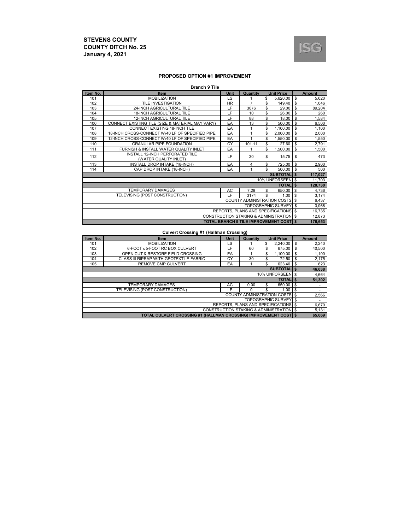

#### **PROPOSED OPTION #1 IMPROVEMENT**

| <b>Branch 9 Tile</b> |  |  |  |  |
|----------------------|--|--|--|--|
|----------------------|--|--|--|--|

| Item No. | <b>Item</b>                                      | <b>Unit</b> | Quantity                                      | <b>Unit Price</b>         | <b>Amount</b> |
|----------|--------------------------------------------------|-------------|-----------------------------------------------|---------------------------|---------------|
| 101      | <b>MOBILIZATION</b>                              | LS          |                                               | \$<br>5,620.00            | \$<br>5,620   |
| 102      | <b>TILE INVESTIGATION</b>                        | <b>HR</b>   | $\overline{7}$                                | \$<br>149.40              | \$<br>1,046   |
| 103      | 24-INCH AGRICULTURAL TILE                        | LF          | 3076                                          | \$<br>29.00               | \$<br>89,204  |
| 104      | <b>18-INCH AGRICULTURAL TILE</b>                 | LF          | 10                                            | \$<br>26.00               | \$<br>260     |
| 105      | <b>12-INCH AGRICULTURAL TILE</b>                 | LF          | 88                                            | \$<br>18.00               | \$<br>1,584   |
| 106      | CONNECT EXISTING TILE (SIZE & MATERIAL MAY VARY) | EA          | 13                                            | \$<br>500.00              | \$<br>6,500   |
| 107      | CONNECT EXISTING 18-INCH TILE                    | EA          | 1                                             | \$<br>1,100.00            | \$<br>1,100   |
| 108      | 18-INCH CROSS-CONNECT W/40 LF OF SPECIFIED PIPE  | EA          |                                               | \$<br>2,000.00            | \$<br>2,000   |
| 109      | 12-INCH CROSS-CONNECT W/40 LF OF SPECIFIED PIPE  | EA          |                                               | \$<br>1,550.00            | \$<br>1,550   |
| 110      | <b>GRANULAR PIPE FOUNDATION</b>                  | CY          | 101.11                                        | \$<br>27.60               | \$<br>2,791   |
| 111      | FURNISH & INSTALL WATER QUALITY INLET            | EA          |                                               | \$<br>1.500.00            | \$<br>1,500   |
| 112      | INSTALL 12-INCH PERFORATED TILE                  | LF          | 30                                            | \$<br>15.75               | \$<br>473     |
|          | (WATER QUALITY INLET)                            |             |                                               |                           |               |
| 113      | INSTALL DROP INTAKE (18-INCH)                    | EA          | $\overline{4}$                                | \$<br>725.00              | \$<br>2,900   |
| 114      | CAP DROP INTAKE (18-INCH)                        | EA          | 4                                             | \$<br>500.00              | \$<br>500     |
|          |                                                  |             |                                               | <b>SUBTOTALIS</b>         | 117,027       |
|          |                                                  |             |                                               | 10% UNFORSEEN \$          | 11,703        |
|          |                                                  |             |                                               | <b>TOTALIS</b>            | 128,730       |
|          | <b>TEMPORARY DAMAGES</b>                         | AC          | 7.29                                          | \$<br>650.00              | \$<br>4,736   |
|          | TELEVISING (POST CONSTRUCTION)                   | ΙF          | 3174                                          | \$<br>1.00                | \$<br>3,174   |
|          |                                                  |             | <b>COUNTY ADMINISTRATION COSTS</b>            |                           | \$<br>6,437   |
|          |                                                  |             |                                               | <b>TOPOGRAPHIC SURVEY</b> | \$<br>3,968   |
|          |                                                  |             | REPORTS, PLANS AND SPECIFICATIONS             |                           | \$<br>16,735  |
|          |                                                  |             | CONSTRUCTION STAKING & ADMINISTRATION \$      |                           | 12,873        |
|          |                                                  |             | <b>TOTAL BRANCH 9 TILE IMPROVEMENT COST S</b> |                           | 176,653       |

#### **Culvert Crossing #1 (Hallman Crossing)**

| Item No. | <b>Item</b>                                                            | <b>Unit</b> | Quantity | <b>Unit Price</b>                        |          | <b>Amount</b> |  |  |
|----------|------------------------------------------------------------------------|-------------|----------|------------------------------------------|----------|---------------|--|--|
| 101      | <b>MOBILIZATION</b>                                                    | LS          |          | 2.240.00<br>\$                           | <b>S</b> | 2,240         |  |  |
| 102      | 6-FOOT x 5-FOOT RC BOX CULVERT                                         | LF          | 60       | \$<br>675.00                             | \$       | 40,500        |  |  |
| 103      | OPEN CUT & RESTORE FIELD CROSSING                                      | EA          |          | \$<br>1.100.00                           | \$       | 1.100         |  |  |
| 104      | CLASS III RIPRAP WITH GEOTEXTILE FABRIC                                | СY          | 30       | 72.50<br>\$                              | <b>S</b> | 2,175         |  |  |
| 105      | <b>REMOVE CMP CULVERT</b>                                              | EA          |          | \$<br>$623.40$ \ \ \$                    |          | 623           |  |  |
|          |                                                                        |             |          | <b>SUBTOTALIS</b>                        |          | 46,638        |  |  |
|          |                                                                        |             |          | 10% UNFORSEEN \$                         |          | 4,664         |  |  |
|          |                                                                        |             |          | <b>TOTALIS</b>                           |          | 51,302        |  |  |
|          | <b>TEMPORARY DAMAGES</b>                                               | АC          | 0.00     | 650.00 \$<br>\$                          |          | ۰             |  |  |
|          | TELEVISING (POST CONSTRUCTION)                                         | cF.         | 0        | \$<br>1.00                               |          | ۰             |  |  |
|          |                                                                        |             |          | <b>COUNTY ADMINISTRATION COSTS \$</b>    |          | 2.566         |  |  |
|          |                                                                        |             |          | <b>TOPOGRAPHIC SURVEY \$</b>             |          | ۰             |  |  |
|          | REPORTS, PLANS AND SPECIFICATIONS \$                                   |             |          |                                          |          |               |  |  |
|          |                                                                        |             |          | CONSTRUCTION STAKING & ADMINISTRATION \$ |          | 5,131         |  |  |
|          | <b>TOTAL CULVERT CROSSING #1 (HALLMAN CROSSING) IMPROVEMENT COST 5</b> |             |          |                                          |          | 65.669        |  |  |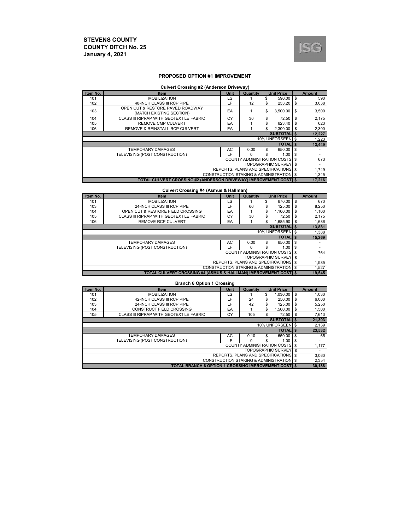

#### **PROPOSED OPTION #1 IMPROVEMENT**

#### **Culvert Crossing #2 (Anderson Driveway)**

| Item No. | <b>Item</b>                                                      | <b>Unit</b> | Quantity                                 |    | <b>Unit Price</b>            |          | <b>Amount</b> |  |
|----------|------------------------------------------------------------------|-------------|------------------------------------------|----|------------------------------|----------|---------------|--|
| 101      | <b>MOBILIZATION</b>                                              | LS          |                                          | \$ | 590.00                       | \$       | 590           |  |
| 102      | 48-INCH CLASS III RCP PIPE                                       | LF          | 12                                       | \$ | 253.20                       | <b>S</b> | 3.038         |  |
| 103      | OPEN CUT & RESTORE PAVED ROADWAY                                 | EA          |                                          | \$ | 3.500.00                     | \$       | 3,500         |  |
|          | (MATCH EXISTING SECTION)                                         |             |                                          |    |                              |          |               |  |
| 104      | CLASS III RIPRAP WITH GEOTEXTILE FABRIC                          | CY          | 30                                       | \$ | 72.50                        | \$       | 2,175         |  |
| 105      | <b>REMOVE CMP CULVERT</b>                                        | EA          |                                          | \$ | 623.40                       | \$       | 623           |  |
| 106      | <b>REMOVE &amp; REINSTALL RCP CULVERT</b>                        | EA          |                                          | \$ | 2.300.00                     | - \$     | 2,300         |  |
|          | <b>SUBTOTALIS</b>                                                |             |                                          |    |                              |          |               |  |
|          |                                                                  |             |                                          |    | 10% UNFORSEEN \$             |          | 1,223         |  |
|          |                                                                  |             |                                          |    | <b>TOTALIS</b>               |          | 13,449        |  |
|          | <b>TEMPORARY DAMAGES</b>                                         | AC          | 0.00                                     | \$ | 650.00 \$                    |          | ۰             |  |
|          | TELEVISING (POST CONSTRUCTION)                                   | LF          | $\Omega$                                 | S  | 1.00                         | -\$      | ۰             |  |
|          |                                                                  |             | <b>COUNTY ADMINISTRATION COSTS 5</b>     |    |                              |          | 673           |  |
|          |                                                                  |             |                                          |    | <b>TOPOGRAPHIC SURVEY</b> \$ |          | ۰             |  |
|          |                                                                  |             | REPORTS. PLANS AND SPECIFICATIONS \$     |    |                              |          | 1,749         |  |
|          |                                                                  |             | CONSTRUCTION STAKING & ADMINISTRATION \$ |    |                              |          | 1,345         |  |
|          | TOTAL CULVERT CROSSING #2 (ANDERSON DRIVEWAY) IMPROVEMENT COST § |             |                                          |    |                              |          | 17.216        |  |

#### **Culvert Crossing #4 (Asmus & Hallman)**

| Item No.       | Item                                    | <b>Unit</b> | Quantity                                            |    | <b>Unit Price</b>            |      | <b>Amount</b> |
|----------------|-----------------------------------------|-------------|-----------------------------------------------------|----|------------------------------|------|---------------|
| 101            | <b>MOBILIZATION</b>                     | LS          |                                                     | \$ | 670.00 \$                    |      | 670           |
| 103            | 24-INCH CLASS III RCP PIPE              | LF          | 66                                                  | \$ | 125.00                       | l S  | 8,250         |
| 104            | OPEN CUT & RESTORE FIELD CROSSING       | EA          |                                                     | \$ | 1.100.00                     | l \$ | 1,100         |
| 105            | CLASS III RIPRAP WITH GEOTEXTILE FABRIC | СY          | 30                                                  | \$ | 72.50                        | l S  | 2,175         |
| 106            | <b>REMOVE RCP CULVERT</b>               | EA          |                                                     | \$ | 1.685.90                     | l S  | 1,686         |
|                |                                         |             |                                                     |    | <b>SUBTOTALIS</b>            |      | 13,881        |
|                |                                         |             |                                                     |    | 10% UNFORSEEN \$             |      | 1,388         |
| <b>TOTALIS</b> |                                         |             |                                                     |    |                              |      |               |
|                |                                         |             |                                                     |    |                              |      | 15,269        |
|                | <b>TEMPORARY DAMAGES</b>                | AC          | 0.00                                                | \$ | 650.00 \$                    |      | ۰             |
|                | TELEVISING (POST CONSTRUCTION)          | LF          |                                                     | \$ | 1.00                         |      | ٠             |
|                |                                         |             | <b>COUNTY ADMINISTRATION COSTS \$</b>               |    |                              |      | 764           |
|                |                                         |             |                                                     |    | <b>TOPOGRAPHIC SURVEY \$</b> |      | ۰             |
|                |                                         |             | REPORTS. PLANS AND SPECIFICATIONS \$                |    |                              |      | 1,985         |
|                |                                         |             | <b>CONSTRUCTION STAKING &amp; ADMINISTRATION \$</b> |    |                              |      | 1,527         |

#### **Branch 6 Option 1 Crossing**

| Item No. | <b>Item</b>                                                  | <b>Unit</b> | Quantity     | <b>Unit Price</b>                                   |              | <b>Amount</b> |  |
|----------|--------------------------------------------------------------|-------------|--------------|-----------------------------------------------------|--------------|---------------|--|
| 101      | <b>MOBILIZATION</b>                                          | LS          |              | 1.030.00<br>\$                                      | - \$         | 1,030         |  |
| 102      | 42-INCH CLASS III RCP PIPE                                   | LF          | 24           | 250.00<br>\$                                        | Ŝ.           | 6,000         |  |
| 103      | 24-INCH CLASS III RCP PIPE                                   | LF          | 42           | 125.00<br>\$                                        | l \$         | 5,250         |  |
| 104      | CONSTRUCT FIELD CROSSING                                     | EA          |              | \$<br>1.500.00                                      | Ŝ.           | 1,500         |  |
| 105      | CLASS III RIPRAP WITH GEOTEXTILE FABRIC                      | CY          | 105          | 72.50<br>S                                          | l \$         | 7,613         |  |
|          |                                                              |             |              | <b>SUBTOTALIS</b>                                   |              | 21,393        |  |
|          |                                                              |             |              | 10% UNFORSEEN \$                                    |              | 2,139         |  |
|          |                                                              |             |              | <b>TOTAL</b> S                                      |              | 23,532        |  |
|          | <b>TEMPORARY DAMAGES</b>                                     | AC          | 0.10         | 650.00<br>\$                                        | l \$         | 65            |  |
|          | TELEVISING (POST CONSTRUCTION)                               | ۱F          | <sup>0</sup> | 1.00<br>\$.                                         | $\mathbf{s}$ | ٠             |  |
|          |                                                              |             |              | <b>COUNTY ADMINISTRATION COSTS \$</b>               |              | 1,177         |  |
|          |                                                              |             |              | <b>TOPOGRAPHIC SURVEY \$</b>                        |              | ۰             |  |
|          | REPORTS, PLANS AND SPECIFICATIONS \$                         |             |              |                                                     |              |               |  |
|          |                                                              |             |              | <b>CONSTRUCTION STAKING &amp; ADMINISTRATION \$</b> |              | 2,354         |  |
|          | <b>TOTAL BRANCH 6 OPTION 1 CROSSING IMPROVEMENT COSTI \$</b> |             |              |                                                     |              | 30,188        |  |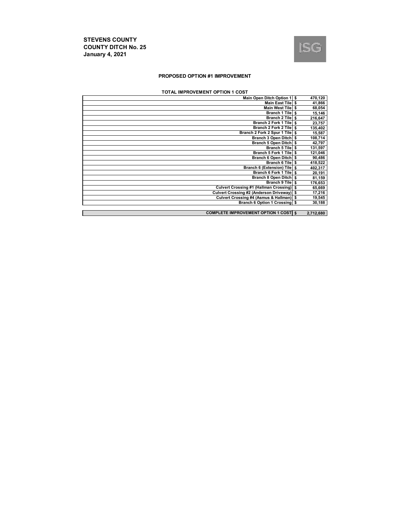

#### **PROPOSED OPTION #1 IMPROVEMENT**

#### **TOTAL IMPROVEMENT OPTION 1 COST**

| Main Open Ditch Option 1   \$                 | 470,120   |
|-----------------------------------------------|-----------|
| Main East Tile                                | 41,866    |
| Main West Tile S                              | 68,054    |
| Branch 1 Tile \$                              | 15,146    |
| Branch 2 Tile \$                              | 216,647   |
| Branch 2 Fork 1 Tile   \$                     | 23,757    |
| Branch 2 Fork 2 Tile S                        | 135,402   |
| Branch 2 Fork 2 Spur 1 Tile \$                | 15,587    |
| Branch 3 Open Ditch \$                        | 108,714   |
| Branch 5 Open Ditch \$                        | 42,797    |
| Branch 5 Tile S                               | 131,597   |
| Branch 5 Fork 1 Tile   \$                     | 121,046   |
| Branch 6 Open Ditch \$                        | 90,486    |
| Branch 6 Tile \$                              | 418,522   |
| Branch 6 (Extension) Tile \$                  | 402,317   |
| Branch 6 Fork 1 Tile S                        | 20,191    |
| Branch 8 Open Ditch \$                        | 81,159    |
| Branch 9 Tile \$                              | 176,653   |
| Culvert Crossing #1 (Hallman Crossing) \$     | 65,669    |
| Culvert Crossing #2 (Anderson Driveway) \$    | 17,216    |
| Culvert Crossing #4 (Asmus & Hallman) \$      | 19,545    |
| Branch 6 Option 1 Crossing \$                 | 30,188    |
|                                               |           |
| <b>COMPLETE IMPROVEMENT OPTION 1 COSTI \$</b> | 2,712,680 |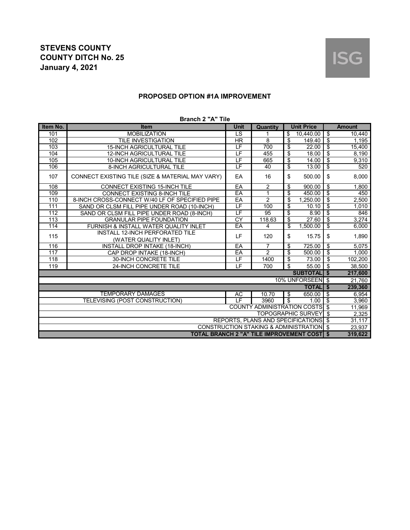## **PROPOSED OPTION #1A IMPROVEMENT**

| Item No.                             | DIAIIUIL A THU<br><b>Item</b>                    | Unit                     | Quantity                                            |                         | <b>Unit Price</b>            |                                      | <b>Amount</b> |
|--------------------------------------|--------------------------------------------------|--------------------------|-----------------------------------------------------|-------------------------|------------------------------|--------------------------------------|---------------|
| 101                                  | <b>MOBILIZATION</b>                              | $\overline{\text{LS}}$   |                                                     | \$                      | 10,440.00                    | ऊ                                    | 10,440        |
| 102                                  | <b>TILE INVESTIGATION</b>                        | <b>HR</b>                | $\overline{8}$                                      | \$                      | 149.40                       | \$                                   | 1,195         |
| 103                                  | 15-INCH AGRICULTURAL TILE                        | LF                       | 700                                                 | \$                      | 22.00                        | \$                                   | 15,400        |
| 104                                  | <b>12-INCH AGRICULTURAL TILE</b>                 | LF                       | 455                                                 | \$                      | 18.00                        | \$                                   | 8,190         |
| 105                                  | 10-INCH AGRICULTURAL TILE                        | $\overline{\mathsf{LF}}$ | 665                                                 | \$                      | 14.00                        | ऊ                                    | 9,310         |
| 106                                  | 8-INCH AGRICULTURAL TILE                         | LF                       | 40                                                  | $\overline{\$}$         | 13.00                        | \$                                   | 520           |
| 107                                  | CONNECT EXISTING TILE (SIZE & MATERIAL MAY VARY) | EA                       | 16                                                  | \$                      | 500.00                       | \$                                   | 8,000         |
| 108                                  | <b>CONNECT EXISTING 15-INCH TILE</b>             | EA                       | $\overline{2}$                                      | \$                      | 900.00                       | \$                                   | 1,800         |
| 109                                  | <b>CONNECT EXISTING 8-INCH TILE</b>              | EA                       | $\mathbf{1}$                                        | \$                      | 450.00                       | $\boldsymbol{\mathsf{S}}$            | 450           |
| 110                                  | 8-INCH CROSS-CONNECT W/40 LF OF SPECIFIED PIPE   | EA                       | $\overline{2}$                                      | \$                      | 1,250.00                     | $\overline{\boldsymbol{\mathsf{s}}}$ | 2,500         |
| 111                                  | SAND OR CLSM FILL PIPE UNDER ROAD (10-INCH)      | LF                       | 100                                                 | \$                      | 10.10                        | ङ                                    | 1,010         |
| 112                                  | SAND OR CLSM FILL PIPE UNDER ROAD (8-INCH)       | LF                       | 95                                                  | \$                      | 8.90                         | $\overline{\mathfrak{s}}$            | 846           |
| $\overline{113}$                     | <b>GRANULAR PIPE FOUNDATION</b>                  | <b>CY</b>                | 118.63                                              | $\overline{\$}$         | 27.60                        | $\overline{\$}$                      | 3,274         |
| 114                                  | FURNISH & INSTALL WATER QUALITY INLET            | EA                       | $\overline{4}$                                      | \$                      | 1,500.00                     | s                                    | 6,000         |
| 115                                  | <b>INSTALL 12-INCH PERFORATED TILE</b>           | LF                       | 120                                                 | \$                      | 15.75                        | \$                                   | 1,890         |
|                                      | (WATER QUALITY INLET)                            |                          |                                                     |                         |                              |                                      |               |
| 116                                  | INSTALL DROP INTAKE (18-INCH)                    | EA                       | $\overline{7}$                                      | \$                      | 725.00                       | $\sqrt[6]{2}$                        | 5,075         |
| 117                                  | CAP DROP INTAKE (18-INCH)                        | EA                       | $\overline{2}$                                      | $\overline{\mathbf{s}}$ | 500.00                       | $\overline{\$}$                      | 1,000         |
| 118                                  | 30-INCH CONCRETE TILE                            | LF                       | 1400                                                | \$                      | 73.00                        | -\$                                  | 102,200       |
| 119                                  | 24-INCH CONCRETE TILE                            | LF                       | 700                                                 | \$                      | 55.00                        | $\overline{\mathbf{s}}$              | 38,500        |
|                                      |                                                  |                          |                                                     |                         | <b>SUBTOTALIS</b>            |                                      | 217,600       |
|                                      |                                                  |                          |                                                     |                         | 10% UNFORSEEN \$             |                                      | 21,760        |
|                                      |                                                  |                          |                                                     |                         | <b>TOTAL</b> \$              |                                      | 239,360       |
|                                      | <b>TEMPORARY DAMAGES</b>                         | AC                       | 10.70                                               | \$                      | 650.00                       | \$                                   | 6.954         |
|                                      | TELEVISING (POST CONSTRUCTION)                   | ΤF                       | 3960                                                | $\overline{\mathbf{s}}$ | 1.00                         | -\$                                  | 3,960         |
|                                      |                                                  |                          | <b>COUNTY ADMINISTRATION COSTS \$</b>               |                         |                              |                                      | 11,969        |
|                                      |                                                  |                          |                                                     |                         | <b>TOPOGRAPHIC SURVEY \$</b> |                                      | 2,325         |
| REPORTS, PLANS AND SPECIFICATIONS \$ |                                                  |                          |                                                     |                         |                              |                                      | 31,117        |
|                                      |                                                  |                          | <b>CONSTRUCTION STAKING &amp; ADMINISTRATION \$</b> |                         |                              |                                      | 23,937        |
|                                      | TOTAL BRANCH 2 "A" TILE IMPROVEMENT COSTI \$     |                          |                                                     |                         |                              |                                      | 319,622       |

#### **Branch 2 "A" Tile**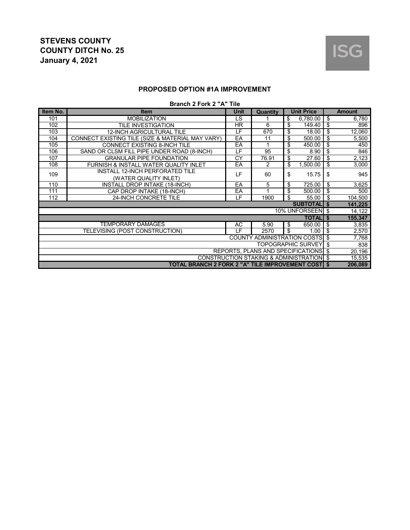

## **PROPOSED OPTION #1A IMPROVEMENT**

#### **Branch 2 Fork 2 "A" Tile**

| Item No.                                 | <b>Item</b>                                         | <b>Unit</b> | Quantity                              |    | <b>Unit Price</b>         |      | <b>Amount</b> |  |
|------------------------------------------|-----------------------------------------------------|-------------|---------------------------------------|----|---------------------------|------|---------------|--|
| 101                                      | <b>MOBILIZATION</b>                                 | LS          |                                       | \$ | 6,780.00                  | \$   | 6,780         |  |
| 102                                      | TILE INVESTIGATION                                  | <b>HR</b>   | 6                                     | \$ | 149.40                    | \$   | 896           |  |
| 103                                      | <b>12-INCH AGRICULTURAL TILE</b>                    | LF          | 670                                   | \$ | 18.00                     | \$   | 12,060        |  |
| 104                                      | CONNECT EXISTING TILE (SIZE & MATERIAL MAY VARY)    | EA          | 11                                    | \$ | 500.00                    | \$   | 5,500         |  |
| 105                                      | <b>CONNECT EXISTING 8-INCH TILE</b>                 | EA          |                                       | \$ | 450.00                    | \$   | 450           |  |
| 106                                      | SAND OR CLSM FILL PIPE UNDER ROAD (8-INCH)          | LF          | 95                                    | \$ | 8.90                      | \$   | 846           |  |
| 107                                      | <b>GRANULAR PIPE FOUNDATION</b>                     | CY          | 76.91                                 | \$ | 27.60                     | \$   | 2,123         |  |
| 108                                      | FURNISH & INSTALL WATER QUALITY INLET               | EA          | $\mathcal{P}$                         | \$ | 1,500.00                  | \$   | 3,000         |  |
| 109                                      | <b>INSTALL 12-INCH PERFORATED TILE</b>              | LF          | 60                                    | \$ | 15.75                     | \$   | 945           |  |
|                                          | (WATER QUALITY INLET)                               |             |                                       |    |                           |      |               |  |
| 110                                      | INSTALL DROP INTAKE (18-INCH)                       | EA          | 5                                     | \$ | 725.00                    | \$   | 3,625         |  |
| 111                                      | CAP DROP INTAKE (18-INCH)                           | EA          |                                       | \$ | 500.00                    | \$   | 500           |  |
| 112                                      | 24-INCH CONCRETE TILE                               | LF          | 1900                                  | \$ | 55.00                     | \$   | 104,500       |  |
|                                          |                                                     |             |                                       |    | <b>SUBTOTAL \$</b>        |      | 141,225       |  |
|                                          |                                                     |             |                                       |    | 10% UNFORSEEN \$          |      | 14,122        |  |
|                                          |                                                     |             |                                       |    | <b>TOTALI \$</b>          |      | 155,347       |  |
|                                          | <b>TEMPORARY DAMAGES</b>                            | <b>AC</b>   | 5.90                                  | \$ | 650.00                    | \$   | 3,835         |  |
|                                          | TELEVISING (POST CONSTRUCTION)                      | LF.         | 2570                                  | \$ | 1.00                      | \$   | 2,570         |  |
|                                          |                                                     |             | <b>COUNTY ADMINISTRATION COSTS</b> \$ |    |                           |      | 7,768         |  |
|                                          |                                                     |             |                                       |    | <b>TOPOGRAPHIC SURVEY</b> | - \$ | 838           |  |
|                                          |                                                     |             | REPORTS, PLANS AND SPECIFICATIONS \$  |    |                           |      | 20,196        |  |
| CONSTRUCTION STAKING & ADMINISTRATION \$ |                                                     |             |                                       |    |                           |      | 15,535        |  |
|                                          | TOTAL BRANCH 2 FORK 2 "A" TILE IMPROVEMENT COSTI \$ |             |                                       |    |                           |      | 206,089       |  |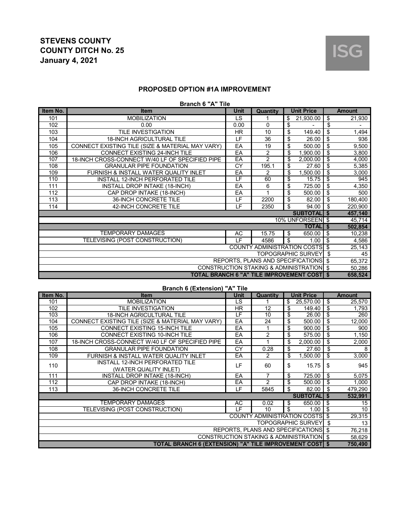

#### **PROPOSED OPTION #1A IMPROVEMENT**

#### **Branch 6 "A" Tile**

| Item No. | <b>Item</b>                                        | <b>Unit</b> | <b>Quantity</b>                          | <b>Unit Price</b>         | <b>Amount</b> |
|----------|----------------------------------------------------|-------------|------------------------------------------|---------------------------|---------------|
| 101      | <b>MOBILIZATION</b>                                | LS.         |                                          | \$<br>21,930.00           | \$<br>21,930  |
| 102      | 0.00                                               | 0.00        | 0                                        | \$                        | \$            |
| 103      | TILE INVESTIGATION                                 | HR.         | 10                                       | \$<br>149.40              | \$<br>1,494   |
| 104      | <b>18-INCH AGRICULTURAL TILE</b>                   | LF          | 36                                       | \$<br>26.00               | \$<br>936     |
| 105      | CONNECT EXISTING TILE (SIZE & MATERIAL MAY VARY)   | EA          | 19                                       | \$<br>500.00              | \$<br>9,500   |
| 106      | CONNECT EXISTING 24-INCH TILE                      | EA          | 2                                        | \$<br>1,900.00            | \$<br>3,800   |
| 107      | 18-INCH CROSS-CONNECT W/40 LF OF SPECIFIED PIPE    | EA          | $\overline{2}$                           | \$<br>2,000.00            | \$<br>4,000   |
| 108      | <b>GRANULAR PIPE FOUNDATION</b>                    | CY          | 195.1                                    | \$<br>27.60               | \$<br>5,385   |
| 109      | FURNISH & INSTALL WATER QUALITY INLET              | EA          | 2                                        | \$<br>1,500.00            | \$<br>3,000   |
| 110      | INSTALL 12-INCH PERFORATED TILE                    | LF          | 60                                       | \$<br>15.75               | \$<br>945     |
| 111      | INSTALL DROP INTAKE (18-INCH)                      | EA          | 6                                        | \$<br>725.00              | \$<br>4,350   |
| 112      | CAP DROP INTAKE (18-INCH)                          | EA          |                                          | \$<br>500.00              | \$<br>500     |
| 113      | 36-INCH CONCRETE TILE                              | LF          | 2200                                     | \$<br>82.00               | \$<br>180,400 |
| 114      | 42-INCH CONCRETE TILE                              | LF          | 2350                                     | \$<br>94.00               | \$<br>220,900 |
|          |                                                    |             |                                          | <b>SUBTOTALI</b> \$       | 457,140       |
|          |                                                    |             |                                          | 10% UNFORSEEN \$          | 45,714        |
|          |                                                    |             |                                          | <b>TOTALIS</b>            | 502,854       |
|          | <b>TEMPORARY DAMAGES</b>                           | АC          | 15.75                                    | \$<br>650.00              | \$<br>10,238  |
|          | TELEVISING (POST CONSTRUCTION)                     | ΙF          | 4586                                     | \$<br>1.00                | \$<br>4,586   |
|          |                                                    |             | <b>COUNTY ADMINISTRATION COSTS</b> \$    |                           | 25,143        |
|          |                                                    |             |                                          | <b>TOPOGRAPHIC SURVEY</b> | \$<br>45      |
|          |                                                    |             | REPORTS, PLANS AND SPECIFICATIONS \$     |                           | 65,372        |
|          |                                                    |             | CONSTRUCTION STAKING & ADMINISTRATION \$ |                           | 50,286        |
|          | <b>TOTAL BRANCH 6 "A" TILE IMPROVEMENT COST \$</b> |             |                                          |                           | 658,524       |

|                                          | <b>Branch 6 (Extension) "A" Tile</b>             |          |                                          |       |                    |     |               |
|------------------------------------------|--------------------------------------------------|----------|------------------------------------------|-------|--------------------|-----|---------------|
| Item No.                                 | <b>Item</b>                                      | Unit     | Quantity                                 |       | <b>Unit Price</b>  |     | <b>Amount</b> |
| 101                                      | <b>MOBILIZATION</b>                              | LS       |                                          | \$    | 25,570.00          | \$  | 25,570        |
| 102                                      | TILE INVESTIGATION                               | HR.      | 12                                       | \$    | 149.40             | \$  | 1,793         |
| 103                                      | <b>18-INCH AGRICULTURAL TILE</b>                 | LF       | 10                                       | \$    | 26.00              | \$  | 260           |
| 104                                      | CONNECT EXISTING TILE (SIZE & MATERIAL MAY VARY) | EA       | 24                                       | \$    | 500.00             | \$  | 12,000        |
| 105                                      | <b>CONNECT EXISTING 15-INCH TILE</b>             | EA       |                                          | \$    | 900.00             | \$  | 900           |
| 106                                      | <b>CONNECT EXISTING 10-INCH TILE</b>             | EA       | $\overline{2}$                           | \$    | 575.00             | \$  | 1,150         |
| 107                                      | 18-INCH CROSS-CONNECT W/40 LF OF SPECIFIED PIPE  | EA       |                                          | \$    | 2,000.00           | \$  | 2,000         |
| 108                                      | <b>GRANULAR PIPE FOUNDATION</b>                  | CY       | 0.28                                     | \$    | 27.60              | \$  | 8             |
| 109                                      | FURNISH & INSTALL WATER QUALITY INLET            | EA       | 2                                        | \$    | 1.500.00           | \$  | 3,000         |
| 110                                      | <b>INSTALL 12-INCH PERFORATED TILE</b>           | LF<br>60 | \$                                       | 15.75 | \$                 | 945 |               |
|                                          | (WATER QUALITY INLET)                            |          |                                          |       |                    |     |               |
| 111                                      | INSTALL DROP INTAKE (18-INCH)                    | EA       | 7                                        | \$    | 725.00             | \$  | 5,075         |
| 112                                      | CAP DROP INTAKE (18-INCH)                        | EA       | $\overline{2}$                           | \$    | 500.00             | \$  | 1,000         |
| 113                                      | <b>36-INCH CONCRETE TILE</b>                     | LF       | 5845                                     | \$    | 82.00              | \$  | 479,290       |
|                                          |                                                  |          |                                          |       | <b>SUBTOTAL</b>    | \$  | 532,991       |
|                                          | TEMPORARY DAMAGES                                | AC       | 0.02                                     | \$    | 650.00             | \$  | 15            |
|                                          | TELEVISING (POST CONSTRUCTION)                   | ΙF       | 10                                       | \$    | 1.00               | \$  | 10            |
|                                          |                                                  |          | <b>COUNTY ADMINISTRATION COSTS</b>       |       |                    | \$  | 29,315        |
|                                          |                                                  |          |                                          |       | TOPOGRAPHIC SURVEY | \$  | 13            |
| <b>REPORTS, PLANS AND SPECIFICATIONS</b> |                                                  |          |                                          |       |                    |     | 76,218        |
|                                          |                                                  |          | CONSTRUCTION STAKING & ADMINISTRATION \$ |       |                    |     | 58,629        |

**\$ 750,490 TOTAL BRANCH 6 (EXTENSION) "A" TILE IMPROVEMENT COST**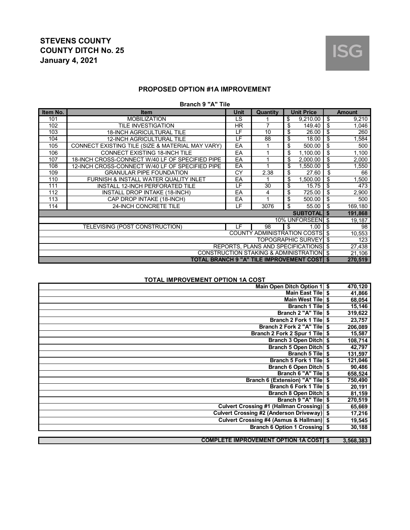

## **PROPOSED OPTION #1A IMPROVEMENT**

#### **Branch 9 "A" Tile**

| Item No. | <b>Item</b>                                      | <b>Unit</b> | Quantity | <b>Unit Price</b>                            |          | <b>Amount</b> |
|----------|--------------------------------------------------|-------------|----------|----------------------------------------------|----------|---------------|
| 101      | <b>MOBILIZATION</b>                              | LS          |          | \$<br>9,210.00                               | \$       | 9,210         |
| 102      | TILE INVESTIGATION                               | HR.         | 7        | \$<br>149.40                                 | \$       | 1,046         |
| 103      | <b>18-INCH AGRICULTURAL TILE</b>                 | LF          | 10       | \$<br>26.00                                  | \$       | 260           |
| 104      | <b>12-INCH AGRICULTURAL TILE</b>                 | LF          | 88       | \$<br>18.00                                  | \$       | 1,584         |
| 105      | CONNECT EXISTING TILE (SIZE & MATERIAL MAY VARY) | EA          |          | \$<br>500.00                                 | \$       | 500           |
| 106      | <b>CONNECT EXISTING 18-INCH TILE</b>             | EA          |          | \$<br>1.100.00                               | \$       | 1,100         |
| 107      | 18-INCH CROSS-CONNECT W/40 LF OF SPECIFIED PIPE  | EA          |          | \$<br>2,000.00                               | \$       | 2,000         |
| 108      | 12-INCH CROSS-CONNECT W/40 LF OF SPECIFIED PIPE  | EA          |          | \$<br>1,550.00                               | \$       | 1,550         |
| 109      | <b>GRANULAR PIPE FOUNDATION</b>                  | CY          | 2.38     | \$<br>27.60                                  | \$       | 66            |
| 110      | FURNISH & INSTALL WATER QUALITY INLET            | EA          |          | \$<br>1.500.00                               | \$       | 1,500         |
| 111      | <b>INSTALL 12-INCH PERFORATED TILE</b>           | LF          | 30       | \$<br>15.75                                  | \$       | 473           |
| 112      | <b>INSTALL DROP INTAKE (18-INCH)</b>             | EA          | 4        | \$<br>725.00                                 | \$       | 2,900         |
| 113      | CAP DROP INTAKE (18-INCH)                        | EA          |          | \$<br>500.00                                 | \$       | 500           |
| 114      | 24-INCH CONCRETE TILE                            | LF          | 3076     | \$<br>55.00                                  | \$       | 169,180       |
|          |                                                  |             |          | <b>SUBTOTAL</b>                              | <b>S</b> | 191,868       |
|          |                                                  |             |          | 10% UNFORSEEN \$                             |          | 19,187        |
|          | TELEVISING (POST CONSTRUCTION)                   | ΙF          | 98       | \$.<br>1.00 <sub>1</sub>                     | -\$      | 98            |
|          |                                                  |             |          | <b>COUNTY ADMINISTRATION COSTS</b>           | -\$      | 10,553        |
|          |                                                  |             |          | <b>TOPOGRAPHIC SURVEY</b>                    | \$       | 123           |
|          |                                                  |             |          | REPORTS, PLANS AND SPECIFICATIONS \$         |          | 27,438        |
|          |                                                  |             |          | CONSTRUCTION STAKING & ADMINISTRATION \$     |          | 21,106        |
|          |                                                  |             |          | TOTAL BRANCH 9 "A" TILE IMPROVEMENT COST  \$ |          | 270,519       |

#### **TOTAL IMPROVEMENT OPTION 1A COST**

| Main Open Ditch Option 1   \$                | 470,120   |
|----------------------------------------------|-----------|
| Main East Tile \$                            | 41,866    |
| Main West Tile \$                            | 68,054    |
| <b>Branch 1 Tile</b><br>-\$                  | 15,146    |
| Branch 2 "A" Tile<br>\$                      | 319,622   |
| Branch 2 Fork 1 Tile \$                      | 23,757    |
| Branch 2 Fork 2 "A" Tile \$                  | 206,089   |
| Branch 2 Fork 2 Spur 1 Tile   \$             | 15,587    |
| Branch 3 Open Ditch \$                       | 108,714   |
| Branch 5 Open Ditch \$                       | 42,797    |
| <b>Branch 5 Tile</b><br>-\$                  | 131,597   |
| Branch 5 Fork 1 Tile \\$                     | 121,046   |
| Branch 6 Open Ditch \$                       | 90,486    |
| Branch 6 "A" Tile   \$                       | 658,524   |
| Branch 6 (Extension) "A" Tile   \$           | 750,490   |
| Branch 6 Fork 1 Tile   \$                    | 20,191    |
| Branch 8 Open Ditch   \$                     | 81,159    |
| Branch 9 "A" Tile   \$                       | 270,519   |
| Culvert Crossing #1 (Hallman Crossing) \$    | 65,669    |
| Culvert Crossing #2 (Anderson Driveway) \$   | 17,216    |
| Culvert Crossing #4 (Asmus & Hallman) \$     | 19,545    |
| Branch 6 Option 1 Crossing \$                | 30,188    |
|                                              |           |
| <b>COMPLETE IMPROVEMENT OPTION 1A COST S</b> | 3,568,383 |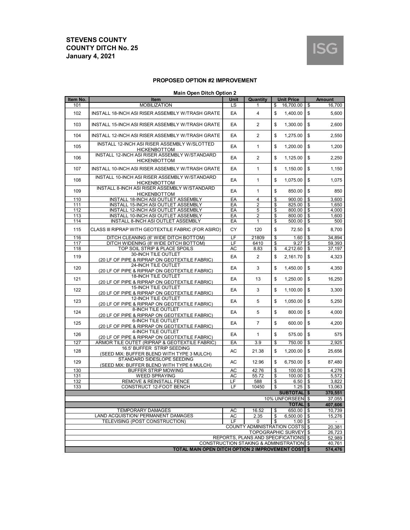

#### **PROPOSED OPTION #2 IMPROVEMENT**

#### **Main Open Ditch Option 2**

| Item No.                                                                                       | Item                                                                        | <b>Unit Price</b><br>Unit<br>Quantity |                |                                       | <b>Amount</b>                    |  |  |
|------------------------------------------------------------------------------------------------|-----------------------------------------------------------------------------|---------------------------------------|----------------|---------------------------------------|----------------------------------|--|--|
| 101                                                                                            | <b>MOBILIZATION</b>                                                         | LS                                    | 1              | 16,700.00<br>\$                       | \$<br>16,700                     |  |  |
| 102                                                                                            | INSTALL 18-INCH ASI RISER ASSEMBLY W/TRASH GRATE                            | EA                                    | 4              | \$<br>1,400.00                        | \$<br>5,600                      |  |  |
| 103                                                                                            | INSTALL 15-INCH ASI RISER ASSEMBLY W/TRASH GRATE                            | EA                                    | 2              | \$<br>1,300.00                        | \$<br>2,600                      |  |  |
| 104                                                                                            | INSTALL 12-INCH ASI RISER ASSEMBLY W/TRASH GRATE                            | EA                                    | 2              | \$<br>1,275.00                        | \$<br>2,550                      |  |  |
| 105                                                                                            | INSTALL 12-INCH ASI RISER ASSEMBLY W/SLOTTED<br><b>HICKENBOTTOM</b>         | EA                                    | $\mathbf{1}$   | \$<br>1,200.00                        | \$<br>1,200                      |  |  |
| 106                                                                                            | INSTALL 12-INCH ASI RISER ASSEMBLY W/STANDARD<br><b>HICKENBOTTOM</b>        | EA                                    | 2              | \$<br>1,125.00                        | \$<br>2,250                      |  |  |
| 107                                                                                            | INSTALL 10-INCH ASI RISER ASSEMBLY W/TRASH GRATE                            | EA                                    | $\mathbf{1}$   | \$<br>1,150.00                        | \$<br>1,150                      |  |  |
| 108                                                                                            | INSTALL 10-INCH ASI RISER ASSEMBLY W/STANDARD<br><b>HICKENBOTTOM</b>        | EA                                    | $\mathbf{1}$   | \$<br>1,075.00                        | \$<br>1,075                      |  |  |
| 109                                                                                            | <b>INSTALL 8-INCH ASI RISER ASSEMBLY W/STANDARD</b><br><b>HICKENBOTTOM</b>  | EA                                    | $\mathbf{1}$   | \$<br>850.00                          | \$<br>850                        |  |  |
| 110                                                                                            | INSTALL 18-INCH ASI OUTLET ASSEMBLY                                         | EA                                    | 4              | \$<br>900.00                          | \$<br>3,600                      |  |  |
| 111                                                                                            | INSTALL 15-INCH ASI OUTLET ASSEMBLY                                         | EA                                    | $\overline{2}$ | \$<br>825.00                          | \$<br>1,650                      |  |  |
| 112                                                                                            | INSTALL 12-INCH ASI OUTLET ASSEMBLY                                         | EA                                    | 5              | \$<br>800.00                          | \$<br>4,000                      |  |  |
| 113                                                                                            | INSTALL 10-INCH ASI OUTLET ASSEMBLY                                         | EA                                    | $\overline{2}$ | \$<br>800.00                          | $\overline{\mathbf{S}}$<br>1,600 |  |  |
| 114                                                                                            | INSTALL 8-INCH ASI OUTLET ASSEMBLY                                          | EA                                    | 1              | \$<br>500.00                          | \$<br>500                        |  |  |
| 115                                                                                            | CLASS III RIPRAP WITH GEOTEXTILE FABRIC (FOR ASIRO)                         | CY                                    | 120            | \$<br>72.50                           | \$<br>8,700                      |  |  |
| 116                                                                                            | DITCH CLEANING (6' WIDE DITCH BOTTOM)                                       | LF                                    | 21809          | \$<br>1.60                            | \$<br>34,894                     |  |  |
| 117                                                                                            | DITCH WIDENING (8' WIDE DITCH BOTTOM)                                       | LF                                    | 6410           | \$<br>9.27                            | \$<br>59.393                     |  |  |
| 118                                                                                            | TOP SOIL STRIP & PLACE SPOILS                                               | AC                                    | 8.83           | 4,212.60<br>\$                        | 37,197<br>\$                     |  |  |
| 119                                                                                            | 30-INCH TILE OUTLET<br>(20 LF OF PIPE & RIPRAP ON GEOTEXTILE FABRIC)        | EA                                    | 2              | \$<br>2,161.70                        | \$<br>4,323                      |  |  |
| 120                                                                                            | 24-INCH TILE OUTLET<br>(20 LF OF PIPE & RIPRAP ON GEOTEXTILE FABRIC)        | EA                                    | 3              | \$<br>1,450.00                        | \$<br>4.350                      |  |  |
| 121                                                                                            | <b>18-INCH TILE OUTLET</b><br>(20 LF OF PIPE & RIPRAP ON GEOTEXTILE FABRIC) | EA                                    | 13             | \$<br>1,250.00                        | \$<br>16,250                     |  |  |
| 122                                                                                            | 15-INCH TILE OUTLET<br>(20 LF OF PIPE & RIPRAP ON GEOTEXTILE FABRIC)        | EA                                    | 3              | \$<br>1,100.00                        | \$<br>3,300                      |  |  |
| 123                                                                                            | <b>12-INCH TILE OUTLET</b><br>(20 LF OF PIPE & RIPRAP ON GEOTEXTILE FABRIC) | EA                                    | 5              | \$<br>1,050.00                        | \$<br>5,250                      |  |  |
| 124                                                                                            | 8-INCH TILE OUTLET<br>(20 LF OF PIPE & RIPRAP ON GEOTEXTILE FABRIC)         | EA                                    | 5              | \$<br>800.00                          | \$<br>4,000                      |  |  |
| 125                                                                                            | <b>6-INCH TILE OUTLET</b><br>(20 LF OF PIPE & RIPRAP ON GEOTEXTILE FABRIC)  | EA                                    | $\overline{7}$ | \$<br>600.00                          | \$<br>4,200                      |  |  |
| 126                                                                                            | 4-INCH TILE OUTLET<br>(20 LF OF PIPE & RIPRAP ON GEOTEXTILE FABRIC)         | EA                                    | $\mathbf{1}$   | \$<br>575.00                          | \$<br>575                        |  |  |
| 127                                                                                            | ARMOR TILE OUTET (RIPRAP & GEOTEXTILE FABRIC)                               | EA                                    | 3.9            | \$<br>750.00                          | \$<br>2,925                      |  |  |
| 128                                                                                            | 16.5' BUFFER STRIP SEEDING<br>(SEED MIX: BUFFER BLEND WITH TYPE 3 MULCH)    | AC                                    | 21.38          | \$<br>1,200.00                        | \$<br>25,656                     |  |  |
| 129                                                                                            | STANDARD SIDESLOPE SEEDING<br>(SEED MIX: BUFFER BLEND WITH TYPE 8 MULCH)    | AC                                    | 12.96          | \$<br>6,750.00                        | \$<br>87,480                     |  |  |
| 130                                                                                            | BUFFER STRIP MOWING                                                         | <b>AC</b>                             | 42.76          | \$<br>100.00                          | \$<br>4,276                      |  |  |
| 131                                                                                            | <b>WEED SPRAYING</b>                                                        | AC                                    | 55.72          | 100.00<br>\$                          | \$<br>5,572                      |  |  |
| 132                                                                                            | REMOVE & REINSTALL FENCE                                                    | LF                                    | 588            | 6.50<br>\$                            | \$<br>3,822                      |  |  |
| 133                                                                                            | CONSTRUCT 12-FOOT BENCH                                                     | LF                                    | 10450          | \$<br>1.25                            | \$<br>13,063                     |  |  |
|                                                                                                |                                                                             |                                       |                | <b>SUBTOTAL</b> \$                    | 370,551                          |  |  |
|                                                                                                |                                                                             |                                       |                | 10% UNFORSEEN \$                      | 37,055                           |  |  |
|                                                                                                |                                                                             |                                       |                | <b>TOTAL</b>                          | \$<br>407,606                    |  |  |
|                                                                                                | <b>TEMPORARY DAMAGES</b>                                                    | AC                                    | 16.52          | 650.00<br>\$                          | \$<br>10,739                     |  |  |
|                                                                                                | LAND ACQUISTION/ PERMANENT DAMAGES                                          | AC                                    | 2.35           | \$<br>6.500.00                        | \$<br>15,276                     |  |  |
|                                                                                                | TELEVISING (POST CONSTRUCTION)                                              | LF                                    | 0              | \$<br>1.00                            | \$                               |  |  |
|                                                                                                |                                                                             |                                       |                | <b>COUNTY ADMINISTRATION COSTS \$</b> | 20,381                           |  |  |
|                                                                                                |                                                                             |                                       |                | <b>TOPOGRAPHIC SURVEY</b>             | 26,723                           |  |  |
|                                                                                                |                                                                             |                                       |                | REPORTS, PLANS AND SPECIFICATIONS \$  | 52,989                           |  |  |
|                                                                                                |                                                                             |                                       |                |                                       | 40.761                           |  |  |
| CONSTRUCTION STAKING & ADMINISTRATION \$<br>TOTAL MAIN OPEN DITCH OPTION 2 IMPROVEMENT COST \$ |                                                                             |                                       |                |                                       |                                  |  |  |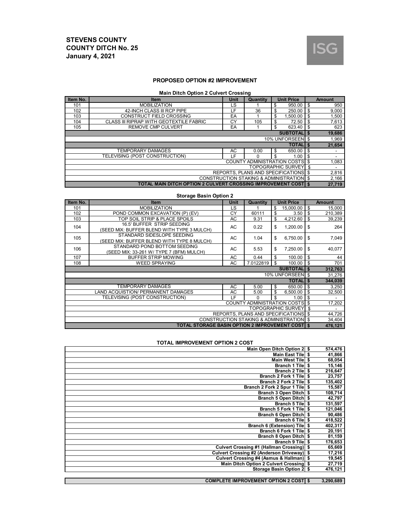

#### **PROPOSED OPTION #2 IMPROVEMENT**

#### **Main Ditch Option 2 Culvert Crossing**

| Item No.                             | <b>Item</b>                                                            | Unit | Quantity                                 |    | <b>Unit Price</b>    |    | <b>Amount</b> |
|--------------------------------------|------------------------------------------------------------------------|------|------------------------------------------|----|----------------------|----|---------------|
| 101                                  | <b>MOBILIZATION</b>                                                    | LS   |                                          | \$ | 950.00               | \$ | 950           |
| 102                                  | 42-INCH CLASS III RCP PIPE                                             | LF   | 36                                       | \$ | 250.00               | \$ | 9,000         |
| 103                                  | CONSTRUCT FIELD CROSSING                                               | EA   |                                          | \$ | 1.500.00             | \$ | 1,500         |
| 104                                  | CLASS III RIPRAP WITH GEOTEXTILE FABRIC                                | CY   | 105                                      | \$ | 72.50                | \$ | 7,613         |
| 105                                  | <b>REMOVE CMP CULVERT</b>                                              | EA   |                                          | \$ | 623.40               | \$ | 623           |
|                                      |                                                                        |      |                                          |    | <b>SUBTOTALIS</b>    |    | 19,686        |
|                                      |                                                                        |      |                                          |    | 10% UNFORSEEN \$     |    | 1,969         |
|                                      |                                                                        |      |                                          |    | <b>TOTALIS</b>       |    | 21,654        |
|                                      | <b>TEMPORARY DAMAGES</b>                                               | AC   | 0.00                                     | \$ | 650.00               | \$ |               |
|                                      | TELEVISING (POST CONSTRUCTION)                                         | ιF.  | 0                                        | \$ | 1.00                 | \$ |               |
|                                      |                                                                        |      | <b>COUNTY ADMINISTRATION COSTS \$</b>    |    |                      |    | 1,083         |
|                                      |                                                                        |      |                                          |    | TOPOGRAPHIC SURVEY 5 |    | ٠             |
| REPORTS, PLANS AND SPECIFICATIONS \$ |                                                                        |      |                                          |    |                      |    | 2,816         |
|                                      |                                                                        |      | CONSTRUCTION STAKING & ADMINISTRATION \$ |    |                      |    | 2,166         |
|                                      | <b>TOTAL MAIN DITCH OPTION 2 CULVERT CROSSING IMPROVEMENT COSTI \$</b> |      |                                          |    |                      |    | 27.719        |

#### **Storage Basin Option 2**

| Item No.                          | <b>Item</b>                                              | Unit       | Quantity                                            |    | <b>Unit Price</b> |              | <b>Amount</b>  |    |       |
|-----------------------------------|----------------------------------------------------------|------------|-----------------------------------------------------|----|-------------------|--------------|----------------|----|-------|
| 101                               | <b>MOBILIZATION</b>                                      | LS         |                                                     | \$ | 15,000.00         | \$           | 15,000         |    |       |
| 102                               | POND COMMON EXCAVATION (P) (EV)                          | CY         | 60111                                               | \$ | 3.50              | \$           | 210,389        |    |       |
| 103                               | TOP SOIL STRIP & PLACE SPOILS                            | AC         | 9.31                                                | \$ | 4,212.60          | \$           | 39,239         |    |       |
| 104                               | 16.5' BUFFER STRIP SEEDING                               | AC<br>0.22 |                                                     | \$ | 1,200.00          | \$           | 264            |    |       |
|                                   | (SEED MIX: BUFFER BLEND WITH TYPE 3 MULCH)               |            |                                                     |    |                   |              |                |    |       |
| 105                               | STANDARD SIDESLOPE SEEDING                               | AC         |                                                     |    | 1.04              | \$           | 6,750.00       | \$ | 7,049 |
|                                   | (SEED MIX: BUFFER BLEND WITH TYPE 8 MULCH)               |            |                                                     |    |                   |              |                |    |       |
| 106                               | STANDARD POND BOTTOM SEEDING                             | AC         | 5.53                                                | \$ | 7,250.00          | \$           | 40,077         |    |       |
|                                   | (SEED MIX: 33-261 W/ TYPE 7 (BFM) MULCH)                 |            |                                                     |    |                   |              |                |    |       |
| 107                               | <b>BUFFER STRIP MOWING</b>                               | AC         | 0.44                                                | \$ | 100.00            | \$           | 44             |    |       |
| 108                               | <b>WEED SPRAYING</b>                                     | AC         | 7.0122819                                           | \$ | 100.00            | \$           | 701            |    |       |
|                                   |                                                          |            |                                                     |    | <b>SUBTOTAL</b>   | $\mathbf{s}$ | 312,763        |    |       |
|                                   |                                                          |            |                                                     |    | 10% UNFORSEEN \$  |              | 31,276         |    |       |
|                                   |                                                          |            |                                                     |    | <b>TOTALIS</b>    |              | 344,039        |    |       |
|                                   | <b>TEMPORARY DAMAGES</b>                                 | AC         | 5.00                                                | \$ | 650.00            | \$           | 3,250          |    |       |
|                                   | LAND ACQUISTION/ PERMANENT DAMAGES                       | AC         | 5.00                                                | \$ | 6,500.00          | \$           | 32,500         |    |       |
|                                   | TELEVISING (POST CONSTRUCTION)                           | LE.        | 0                                                   | \$ | 1.00              | \$           |                |    |       |
|                                   |                                                          |            | <b>COUNTY ADMINISTRATION COSTS</b>                  |    |                   | \$           | 17,202         |    |       |
| <b>TOPOGRAPHIC SURVEY</b><br>l \$ |                                                          |            |                                                     |    |                   |              | $\blacksquare$ |    |       |
|                                   | REPORTS. PLANS AND SPECIFICATIONS \$                     |            |                                                     |    |                   |              | 44,726         |    |       |
|                                   |                                                          |            | <b>CONSTRUCTION STAKING &amp; ADMINISTRATION \$</b> |    |                   |              | 34,404         |    |       |
|                                   | <b>TOTAL STORAGE BASIN OPTION 2 IMPROVEMENT COSTI \$</b> |            |                                                     |    |                   |              | 476,121        |    |       |

#### **TOTAL IMPROVEMENT OPTION 2 COST**

| Main Open Ditch Option 2 \$                  | 574,476   |
|----------------------------------------------|-----------|
| Main East Tile \$                            | 41,866    |
| <b>Main West Tile \$</b>                     | 68,054    |
| Branch 1 Tile \$                             | 15,146    |
| Branch 2 Tile \$                             | 216,647   |
| Branch 2 Fork 1 Tile   \$                    | 23,757    |
| Branch 2 Fork 2 Tile S                       | 135,402   |
| Branch 2 Fork 2 Spur 1 Tile \$               | 15,587    |
| Branch 3 Open Ditch \$                       | 108,714   |
| Branch 5 Open Ditch \$                       | 42,797    |
| Branch 5 Tile \$                             | 131,597   |
| Branch 5 Fork 1 Tile S                       | 121,046   |
| Branch 6 Open Ditch \$                       | 90,486    |
| Branch 6 Tile   \$                           | 418,522   |
| <b>Branch 6 (Extension) Tile</b><br>- \$     | 402,317   |
| Branch 6 Fork 1 Tile   \$                    | 20,191    |
| Branch 8 Open Ditch \$                       | 81,159    |
| Branch 9 Tile \$                             | 176,653   |
| Culvert Crossing #1 (Hallman Crossing) \$    | 65,669    |
| Culvert Crossing #2 (Anderson Driveway) \$   | 17,216    |
| Culvert Crossing #4 (Asmus & Hallman) \$     | 19,545    |
| Main Ditch Option 2 Culvert Crossing \$      | 27,719    |
| Storage Basin Option 2 \$                    | 476,121   |
|                                              |           |
| <b>COMPLETE IMPROVEMENT OPTION 2 COST \$</b> | 3,290,689 |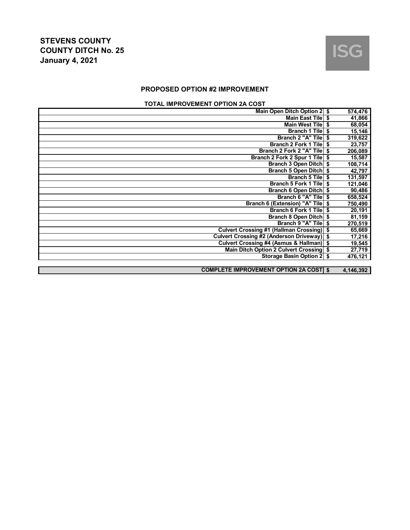

## **PROPOSED OPTION #2 IMPROVEMENT**

## **TOTAL IMPROVEMENT OPTION 2A COST**

| Main Open Ditch Option 2 \$                   | 574,476       |
|-----------------------------------------------|---------------|
| <b>Main East Tile</b>                         | \$<br>41,866  |
| <b>Main West Tile</b>                         | \$<br>68,054  |
| <b>Branch 1 Tile</b>                          | \$<br>15,146  |
| <b>Branch 2 "A" Tile</b>                      | \$<br>319,622 |
| <b>Branch 2 Fork 1 Tile</b>                   | \$<br>23,757  |
| Branch 2 Fork 2 "A" Tile                      | \$<br>206,089 |
| Branch 2 Fork 2 Spur 1 Tile                   | \$<br>15,587  |
| <b>Branch 3 Open Ditch</b>                    | \$<br>108,714 |
| <b>Branch 5 Open Ditch</b>                    | \$<br>42,797  |
| <b>Branch 5 Tile</b>                          | \$<br>131,597 |
| Branch 5 Fork 1 Tile                          | \$<br>121,046 |
| <b>Branch 6 Open Ditch</b>                    | \$<br>90,486  |
| Branch 6 "A" Tile                             | \$<br>658,524 |
| <b>Branch 6 (Extension) "A" Tile</b>          | \$<br>750,490 |
| Branch 6 Fork 1 Tile                          | \$<br>20,191  |
| <b>Branch 8 Open Ditch</b>                    | \$<br>81,159  |
| Branch 9 "A" Tile                             | \$<br>270,519 |
| <b>Culvert Crossing #1 (Hallman Crossing)</b> | \$<br>65,669  |
| Culvert Crossing #2 (Anderson Driveway) \$    | 17,216        |
| Culvert Crossing #4 (Asmus & Hallman) \$      | 19,545        |
| Main Ditch Option 2 Culvert Crossing \$       | 27,719        |
| Storage Basin Option 2   \$                   | 476,121       |
|                                               |               |
| <b>COMPLETE IMPROVEMENT OPTION 2A COST \$</b> | 4,146,392     |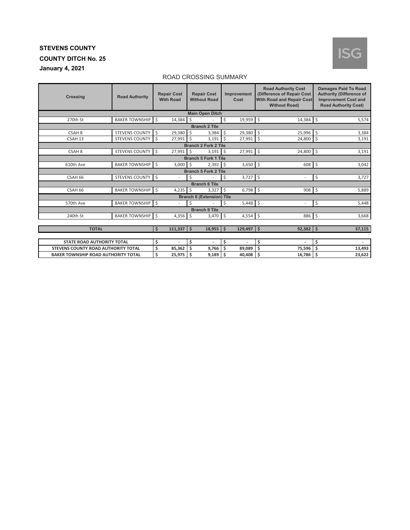## **January 4, 2021**

# **ISG**

#### ROAD CROSSING SUMMARY

| <b>Crossing</b>                            | <b>Road Authority</b> | <b>Repair Cost</b><br><b>With Road</b> | <b>Repair Cost</b><br><b>Without Road</b> | Improvement<br>Cost | <b>Road Authority Cost</b><br>(Difference of Repair Cost<br><b>With Road and Repair Cost</b><br><b>Without Road)</b> | <b>Damages Paid To Road</b><br><b>Authority (Difference of</b><br><b>Improvement Cost and</b><br><b>Road Authority Cost)</b> |
|--------------------------------------------|-----------------------|----------------------------------------|-------------------------------------------|---------------------|----------------------------------------------------------------------------------------------------------------------|------------------------------------------------------------------------------------------------------------------------------|
|                                            |                       |                                        | <b>Main Open Ditch</b>                    |                     |                                                                                                                      |                                                                                                                              |
| 270th St                                   | <b>BAKER TOWNSHIP</b> | l \$<br>$14,384$ \$                    |                                           | 19,959 \$<br>\$     | $14,384$ \$                                                                                                          | 5,574                                                                                                                        |
|                                            |                       |                                        | <b>Branch 2 Tile</b>                      |                     |                                                                                                                      |                                                                                                                              |
| CSAH <sub>8</sub>                          | <b>STEVENS COUNTY</b> | Ś.<br>29,380                           | \$<br>3,384                               | \$<br>29,380        | $\mathsf{S}$<br>25,996                                                                                               | \$<br>3,384                                                                                                                  |
| CSAH <sub>13</sub>                         | <b>STEVENS COUNTY</b> | Ŝ<br>27,991                            | Ŝ.<br>3,191                               | \$<br>27,991        | $\zeta$<br>24,800                                                                                                    | $\zeta$<br>3,191                                                                                                             |
|                                            |                       |                                        | <b>Branch 2 Fork 2 Tile</b>               |                     |                                                                                                                      |                                                                                                                              |
| CSAH <sub>8</sub>                          | <b>STEVENS COUNTY</b> | $\zeta$<br>27,991                      | Ŝ.<br>3,191                               | 27,991 \$<br>\$     | 24,800                                                                                                               | $\zeta$<br>3,191                                                                                                             |
|                                            |                       |                                        | <b>Branch 5 Fork 1 Tile</b>               |                     |                                                                                                                      |                                                                                                                              |
| 610th Ave                                  | <b>BAKER TOWNSHIP</b> | $\mathsf{S}$<br>$3,000$ \$             | 2,392                                     | \$<br>$3,650$ \$    | 608                                                                                                                  | \$<br>3,042                                                                                                                  |
|                                            |                       |                                        | <b>Branch 5 Fork 2 Tile</b>               |                     |                                                                                                                      |                                                                                                                              |
| CSAH 66                                    | <b>STEVENS COUNTY</b> | l \$                                   | \$                                        | \$<br>$3,727$ \$    |                                                                                                                      | \$<br>3,727                                                                                                                  |
|                                            |                       |                                        | <b>Branch 6 Tile</b>                      |                     |                                                                                                                      |                                                                                                                              |
| CSAH 66                                    | <b>BAKER TOWNSHIP</b> | l \$<br>4,235                          | Ŝ.<br>3,327                               | $6,798$ \$<br>\$    | $908$ \$                                                                                                             | 5,889                                                                                                                        |
|                                            |                       |                                        | <b>Branch 6 (Extension) Tile</b>          |                     |                                                                                                                      |                                                                                                                              |
| 570th Ave                                  | BAKER TOWNSHIP \$     |                                        | \$                                        | $5,448$ \$<br>\$    |                                                                                                                      | \$<br>5,448                                                                                                                  |
|                                            |                       |                                        | <b>Branch 9 Tile</b>                      |                     |                                                                                                                      |                                                                                                                              |
| 240th St                                   | <b>BAKER TOWNSHIP</b> | Ŝ.<br>4,356                            | Ś<br>3,470                                | \$<br>4,554         | $\mathsf{S}$<br>886                                                                                                  | Ŝ.<br>3,668                                                                                                                  |
|                                            |                       |                                        |                                           |                     |                                                                                                                      |                                                                                                                              |
| <b>TOTAL</b>                               |                       | \$<br>$111,337$ \$                     | $18,955$ \$                               | $129,497$ \$        | $92,382$ \$                                                                                                          | 37,115                                                                                                                       |
|                                            |                       |                                        |                                           |                     |                                                                                                                      |                                                                                                                              |
| STATE ROAD AUTHORITY TOTAL                 |                       | \$                                     | \$<br>٠                                   | \$                  | \$                                                                                                                   | \$<br>$\overline{a}$                                                                                                         |
| STEVENS COUNTY ROAD AUTHORITY TOTAL        |                       | \$<br>85,362                           | Ś<br>9,766                                | Ś<br>89,089         | \$<br>75,596                                                                                                         | \$<br>13,493                                                                                                                 |
| <b>BAKER TOWNSHIP ROAD AUTHORITY TOTAL</b> |                       | \$<br>25,975                           | Ś<br>9,189                                | Ŝ.<br>40,408        | Ś.<br>16,786                                                                                                         | \$<br>23,622                                                                                                                 |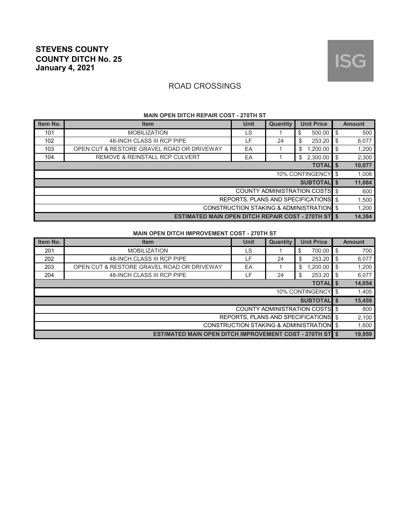## ROAD CROSSINGS

| Item No.                                            | <b>Item</b>                                                | <b>Unit</b> | Quantity | <b>Unit Price</b>                     |    | <b>Amount</b> |  |
|-----------------------------------------------------|------------------------------------------------------------|-------------|----------|---------------------------------------|----|---------------|--|
| 101                                                 | <b>MOBILIZATION</b>                                        | LS          |          | 500.00<br>\$                          | \$ | 500           |  |
| 102                                                 | 48-INCH CLASS III RCP PIPE                                 | LF          | 24       | \$<br>253.20                          | \$ | 6,077         |  |
| 103                                                 | OPEN CUT & RESTORE GRAVEL ROAD OR DRIVEWAY                 | EA          |          | \$<br>.200.00                         | \$ | 1,200         |  |
| 104                                                 | <b>REMOVE &amp; REINSTALL RCP CULVERT</b>                  | EA          |          | 2,300.00<br>\$                        | \$ | 2,300         |  |
| <b>TOTALIS</b>                                      |                                                            |             |          |                                       |    |               |  |
|                                                     |                                                            |             |          | <b>10% CONTINGENCY</b>                | \$ | 1,008         |  |
|                                                     |                                                            |             |          | <b>SUBTOTALIS</b>                     |    | 11,084        |  |
|                                                     |                                                            |             |          | <b>COUNTY ADMINISTRATION COSTS</b> \$ |    | 600           |  |
| REPORTS, PLANS AND SPECIFICATIONS \$                |                                                            |             |          |                                       |    |               |  |
| <b>CONSTRUCTION STAKING &amp; ADMINISTRATION \$</b> |                                                            |             |          |                                       |    | 1,200         |  |
|                                                     | <b>ESTIMATED MAIN OPEN DITCH REPAIR COST - 270TH ST \$</b> |             |          |                                       |    | 14,384        |  |

#### **MAIN OPEN DITCH REPAIR COST - 270TH ST**

#### **MAIN OPEN DITCH IMPROVEMENT COST - 270TH ST**

| Item No.                                 | <b>Item</b>                                                     | Unit | <b>Quantity</b> | <b>Unit Price</b>                     |     | <b>Amount</b> |  |
|------------------------------------------|-----------------------------------------------------------------|------|-----------------|---------------------------------------|-----|---------------|--|
| 201                                      | <b>MOBILIZATION</b>                                             | LS   |                 | 700.00<br>\$                          | -\$ | 700           |  |
| 202                                      | 48-INCH CLASS III RCP PIPE                                      | LF.  | 24              | \$<br>253.20                          | -\$ | 6,077         |  |
| 203                                      | OPEN CUT & RESTORE GRAVEL ROAD OR DRIVEWAY                      | EA   |                 | \$<br>1,200.00                        | -\$ | 1,200         |  |
| 204                                      | 48-INCH CLASS III RCP PIPE                                      | ⊾F . | 24              | \$<br>253.20                          | -\$ | 6,077         |  |
| <b>TOTAL</b> \$                          |                                                                 |      |                 |                                       |     |               |  |
|                                          |                                                                 |      |                 | 10% CONTINGENCY   \$                  |     | 1,405         |  |
|                                          |                                                                 |      |                 | <b>SUBTOTALIS</b>                     |     | 15,459        |  |
|                                          |                                                                 |      |                 | <b>COUNTY ADMINISTRATION COSTS</b> \$ |     | 800           |  |
| REPORTS. PLANS AND SPECIFICATIONS \$     |                                                                 |      |                 |                                       |     |               |  |
| CONSTRUCTION STAKING & ADMINISTRATION \$ |                                                                 |      |                 |                                       |     | 1,600         |  |
|                                          | <b>ESTIMATED MAIN OPEN DITCH IMPROVEMENT COST - 270TH ST \$</b> |      |                 |                                       |     | 19,959        |  |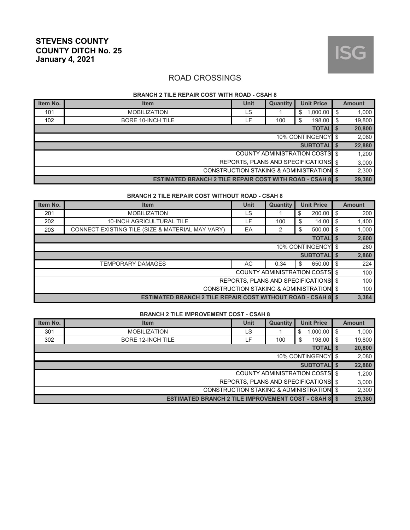

#### **BRANCH 2 TILE REPAIR COST WITH ROAD - CSAH 8**

| Item No. | <b>Item</b>                                                      | Unit | Quantity | <b>Unit Price</b>                     |      | <b>Amount</b> |
|----------|------------------------------------------------------------------|------|----------|---------------------------------------|------|---------------|
| 101      | <b>MOBILIZATION</b>                                              | LS   |          | $1,000.00$ \$<br>\$                   |      | 1,000         |
| 102      | <b>BORE 10-INCH TILE</b>                                         | LF.  | 100      | 198.00<br>\$                          | l \$ | 19,800        |
|          |                                                                  |      |          | <b>TOTAL</b> \$                       |      | 20,800        |
|          |                                                                  |      |          | 10% CONTINGENCY \$                    |      | 2,080         |
|          |                                                                  |      |          | <b>SUBTOTALIS</b>                     |      | 22,880        |
|          |                                                                  |      |          | <b>COUNTY ADMINISTRATION COSTS</b> \$ |      | 1.200         |
|          |                                                                  |      |          | REPORTS. PLANS AND SPECIFICATIONS \$  |      | 3,000         |
|          | CONSTRUCTION STAKING & ADMINISTRATION \$                         |      |          |                                       |      |               |
|          | <b>ESTIMATED BRANCH 2 TILE REPAIR COST WITH ROAD - CSAH 8 \$</b> |      |          |                                       |      | 29,380        |

#### **BRANCH 2 TILE REPAIR COST WITHOUT ROAD - CSAH 8**

| Item No.                                 | <b>Item</b>                                                         | <b>Unit</b>                           | Quantity |    | <b>Unit Price</b> |     | <b>Amount</b> |
|------------------------------------------|---------------------------------------------------------------------|---------------------------------------|----------|----|-------------------|-----|---------------|
| 201                                      | <b>MOBILIZATION</b>                                                 | LS                                    |          | \$ | 200.00            | \$  | 200           |
| 202                                      | <b>10-INCH AGRICULTURAL TILE</b>                                    | LF.                                   | 100      | \$ | 14.00             | -\$ | 1,400         |
| 203                                      | CONNECT EXISTING TILE (SIZE & MATERIAL MAY VARY)                    | EA                                    | 2        | \$ | 500.00            | -\$ | 1,000         |
|                                          |                                                                     |                                       |          |    | <b>TOTAL</b> \$   |     | 2,600         |
| 10% CONTINGENCY   \$                     |                                                                     |                                       |          |    |                   |     | 260           |
|                                          |                                                                     |                                       |          |    | SUBTOTAL \$       |     | 2,860         |
|                                          | <b>TEMPORARY DAMAGES</b>                                            | AC.                                   | 0.34     | \$ | 650.00            | \$  | 224           |
|                                          |                                                                     | <b>COUNTY ADMINISTRATION COSTS</b> \$ |          |    |                   |     | 100           |
| REPORTS, PLANS AND SPECIFICATIONS \$     |                                                                     |                                       |          |    |                   |     | 100           |
| CONSTRUCTION STAKING & ADMINISTRATION \$ |                                                                     |                                       |          |    |                   |     | 100           |
|                                          | <b>ESTIMATED BRANCH 2 TILE REPAIR COST WITHOUT ROAD - CSAH 8 \$</b> |                                       |          |    |                   |     | 3.384         |

#### **BRANCH 2 TILE IMPROVEMENT COST - CSAH 8**

| Item No.                                 | <b>Item</b>                                                 | <b>Unit</b> | Quantity | <b>Unit Price</b>                     |     | <b>Amount</b> |
|------------------------------------------|-------------------------------------------------------------|-------------|----------|---------------------------------------|-----|---------------|
| 301                                      | <b>MOBILIZATION</b>                                         | LS          |          | 1,000.00<br>\$                        | -\$ | 1,000         |
| 302                                      | <b>BORE 12-INCH TILE</b>                                    | F           | 100      | 198.00<br>\$                          | \$  | 19,800        |
|                                          |                                                             |             |          | <b>TOTAL</b> \$                       |     | 20,800        |
|                                          |                                                             |             |          | 10% CONTINGENCY \$                    |     | 2,080         |
|                                          |                                                             |             |          | <b>SUBTOTALIS</b>                     |     | 22,880        |
|                                          |                                                             |             |          | <b>COUNTY ADMINISTRATION COSTS</b> \$ |     | 1,200         |
| REPORTS, PLANS AND SPECIFICATIONS \$     |                                                             |             |          |                                       |     |               |
| CONSTRUCTION STAKING & ADMINISTRATION \$ |                                                             |             |          |                                       |     |               |
|                                          | <b>ESTIMATED BRANCH 2 TILE IMPROVEMENT COST - CSAH 8 \$</b> |             |          |                                       |     | 29,380        |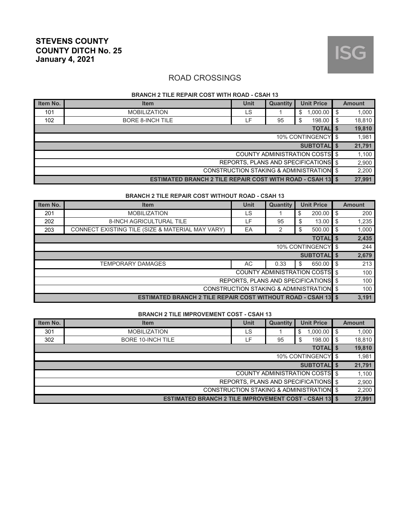

#### **BRANCH 2 TILE REPAIR COST WITH ROAD - CSAH 13**

| Item No.                                 | <b>Item</b>                                                       | <b>Unit</b> | Quantity | <b>Unit Price</b>                     |      | <b>Amount</b> |
|------------------------------------------|-------------------------------------------------------------------|-------------|----------|---------------------------------------|------|---------------|
| 101                                      | <b>MOBILIZATION</b>                                               | LS          |          | $1,000.00$ \$<br>\$                   |      | 1,000         |
| 102                                      | <b>BORE 8-INCH TILE</b>                                           | LF.         | 95       | 198.00<br>\$                          | l \$ | 18,810        |
|                                          |                                                                   |             |          | <b>TOTAL</b> \$                       |      | 19,810        |
|                                          |                                                                   |             |          | 10% CONTINGENCY \$                    |      | 1,981         |
|                                          |                                                                   |             |          | <b>SUBTOTALIS</b>                     |      | 21,791        |
|                                          |                                                                   |             |          | <b>COUNTY ADMINISTRATION COSTS \$</b> |      | 1,100         |
| REPORTS, PLANS AND SPECIFICATIONS \$     |                                                                   |             |          |                                       |      |               |
| CONSTRUCTION STAKING & ADMINISTRATION \$ |                                                                   |             |          |                                       |      | 2,200         |
|                                          | <b>ESTIMATED BRANCH 2 TILE REPAIR COST WITH ROAD - CSAH 13 \$</b> |             |          |                                       |      | 27,991        |

#### **BRANCH 2 TILE REPAIR COST WITHOUT ROAD - CSAH 13**

| Item No.                                 | <b>Item</b>                                                         | Unit                                  | Quantity | <b>Unit Price</b> |                   |    | <b>Amount</b> |  |
|------------------------------------------|---------------------------------------------------------------------|---------------------------------------|----------|-------------------|-------------------|----|---------------|--|
| 201                                      | <b>MOBILIZATION</b>                                                 | LS                                    |          | \$                | 200.00            | \$ | 200           |  |
| 202                                      | <b>8-INCH AGRICULTURAL TILE</b>                                     | LF.                                   | 95       | \$                | 13.00             | \$ | 1,235         |  |
| 203                                      | CONNECT EXISTING TILE (SIZE & MATERIAL MAY VARY)                    | EA                                    | 2        | \$                | 500.00            | \$ | 1,000         |  |
| <b>TOTAL</b> \$                          |                                                                     |                                       |          |                   |                   |    |               |  |
| 10% CONTINGENCY   \$                     |                                                                     |                                       |          |                   |                   |    |               |  |
|                                          |                                                                     |                                       |          |                   | <b>SUBTOTALIS</b> |    | 2,679         |  |
|                                          | <b>TEMPORARY DAMAGES</b>                                            | AC                                    | 0.33     | \$                | 650.00            | \$ | 213           |  |
|                                          |                                                                     | <b>COUNTY ADMINISTRATION COSTS</b> \$ |          |                   |                   |    | 100           |  |
| REPORTS, PLANS AND SPECIFICATIONS \$     |                                                                     |                                       |          |                   |                   |    | 100           |  |
| CONSTRUCTION STAKING & ADMINISTRATION \$ |                                                                     |                                       |          |                   |                   |    | 100           |  |
|                                          | <b>ESTIMATED BRANCH 2 TILE REPAIR COST WITHOUT ROAD - CSAH 13 S</b> |                                       |          |                   |                   |    | 3.191         |  |

#### **BRANCH 2 TILE IMPROVEMENT COST - CSAH 13**

| Item No.                                 | <b>Item</b>                                                  | <b>Unit</b> | <b>Unit Price</b><br>Quantity |                                       |    | <b>Amount</b> |  |  |
|------------------------------------------|--------------------------------------------------------------|-------------|-------------------------------|---------------------------------------|----|---------------|--|--|
| 301                                      | <b>MOBILIZATION</b>                                          | LS          |                               | 1,000.00<br>\$                        | \$ | 1,000         |  |  |
| 302                                      | <b>BORE 10-INCH TILE</b>                                     | F           | 95                            | 198.00<br>\$                          | \$ | 18,810        |  |  |
| <b>TOTALIS</b>                           |                                                              |             |                               |                                       |    |               |  |  |
| 10% CONTINGENCY \$                       |                                                              |             |                               |                                       |    |               |  |  |
|                                          |                                                              |             |                               | <b>SUBTOTALIS</b>                     |    | 21,791        |  |  |
|                                          |                                                              |             |                               | <b>COUNTY ADMINISTRATION COSTS</b> \$ |    | 1,100         |  |  |
| REPORTS, PLANS AND SPECIFICATIONS \$     |                                                              |             |                               |                                       |    |               |  |  |
| CONSTRUCTION STAKING & ADMINISTRATION \$ |                                                              |             |                               |                                       |    |               |  |  |
|                                          | <b>ESTIMATED BRANCH 2 TILE IMPROVEMENT COST - CSAH 13 \$</b> |             |                               |                                       |    | 27,991        |  |  |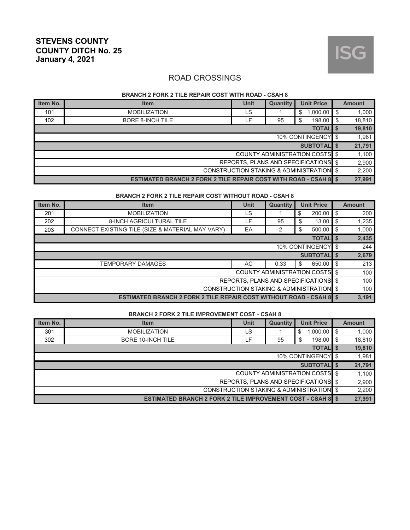

#### **BRANCH 2 FORK 2 TILE REPAIR COST WITH ROAD - CSAH 8**

| Item No.                                            | <b>Item</b>                                                             | <b>Unit</b> | Quantity | <b>Unit Price</b>                     |      | <b>Amount</b> |  |  |
|-----------------------------------------------------|-------------------------------------------------------------------------|-------------|----------|---------------------------------------|------|---------------|--|--|
| 101                                                 | <b>MOBILIZATION</b>                                                     | LS          |          | $1,000.00$ \$<br>\$                   |      | 1,000         |  |  |
| 102                                                 | <b>BORE 8-INCH TILE</b>                                                 | cΕ.         | 95       | 198.00<br>\$                          | l \$ | 18,810        |  |  |
| <b>TOTAL</b> \$                                     |                                                                         |             |          |                                       |      |               |  |  |
| 10% CONTINGENCY \$                                  |                                                                         |             |          |                                       |      |               |  |  |
|                                                     |                                                                         |             |          | <b>SUBTOTALIS</b>                     |      | 21,791        |  |  |
|                                                     |                                                                         |             |          | <b>COUNTY ADMINISTRATION COSTS</b> \$ |      | 1,100         |  |  |
|                                                     |                                                                         |             |          | REPORTS, PLANS AND SPECIFICATIONS \$  |      | 2,900         |  |  |
| <b>CONSTRUCTION STAKING &amp; ADMINISTRATION \$</b> |                                                                         |             |          |                                       |      |               |  |  |
|                                                     | <b>ESTIMATED BRANCH 2 FORK 2 TILE REPAIR COST WITH ROAD - CSAH 8 \$</b> |             |          |                                       |      | 27,991        |  |  |

#### **BRANCH 2 FORK 2 TILE REPAIR COST WITHOUT ROAD - CSAH 8**

| Item No.                                 | <b>Item</b>                                                                | <b>Unit</b>                           | <b>Quantity</b> | <b>Unit Price</b> |             |    | <b>Amount</b> |  |
|------------------------------------------|----------------------------------------------------------------------------|---------------------------------------|-----------------|-------------------|-------------|----|---------------|--|
| 201                                      | <b>MOBILIZATION</b>                                                        | LS                                    |                 | \$                | 200.00      | \$ | 200           |  |
| 202                                      | <b>8-INCH AGRICULTURAL TILE</b>                                            | ۲F.                                   | 95              | \$                | 13.00       | \$ | 1,235         |  |
| 203                                      | CONNECT EXISTING TILE (SIZE & MATERIAL MAY VARY)                           | EA                                    | 2               | \$                | 500.00      | \$ | 1,000         |  |
| <b>TOTALIS</b>                           |                                                                            |                                       |                 |                   |             |    |               |  |
| 10% CONTINGENCY \$                       |                                                                            |                                       |                 |                   |             |    |               |  |
|                                          |                                                                            |                                       |                 |                   | SUBTOTAL \$ |    | 2,679         |  |
|                                          | <b>TEMPORARY DAMAGES</b>                                                   | AC                                    | 0.33            | \$                | 650.00      | \$ | 213           |  |
|                                          |                                                                            | <b>COUNTY ADMINISTRATION COSTS</b> \$ |                 |                   |             |    | 100           |  |
|                                          |                                                                            | REPORTS, PLANS AND SPECIFICATIONS \$  |                 |                   |             |    | 100           |  |
| CONSTRUCTION STAKING & ADMINISTRATION \$ |                                                                            |                                       |                 |                   |             |    | 100           |  |
|                                          | <b>ESTIMATED BRANCH 2 FORK 2 TILE REPAIR COST WITHOUT ROAD - CSAH 8 \$</b> |                                       |                 |                   |             |    | 3.191         |  |

#### **BRANCH 2 FORK 2 TILE IMPROVEMENT COST - CSAH 8**

| Item No.                                            | <b>Item</b>                                                 | <b>Unit</b> | Quantity |                                       |     | <b>Amount</b> |  |  |
|-----------------------------------------------------|-------------------------------------------------------------|-------------|----------|---------------------------------------|-----|---------------|--|--|
| 301                                                 | <b>MOBILIZATION</b>                                         | LS          |          | 1,000.00<br>\$                        | \$  | 1,000         |  |  |
| 302                                                 | <b>BORE 10-INCH TILE</b>                                    | ۵F.         | 95       | 198.00<br>\$                          | -\$ | 18.810        |  |  |
| <b>TOTAL</b> \$                                     |                                                             |             |          |                                       |     |               |  |  |
| 10% CONTINGENCY \$                                  |                                                             |             |          |                                       |     |               |  |  |
|                                                     |                                                             |             |          | <b>SUBTOTALIS</b>                     |     | 21,791        |  |  |
|                                                     |                                                             |             |          | <b>COUNTY ADMINISTRATION COSTS</b> \$ |     | 1,100         |  |  |
| REPORTS, PLANS AND SPECIFICATIONS \$                |                                                             |             |          |                                       |     |               |  |  |
| <b>CONSTRUCTION STAKING &amp; ADMINISTRATION \$</b> |                                                             |             |          |                                       |     |               |  |  |
|                                                     | ESTIMATED BRANCH 2 FORK 2 TILE IMPROVEMENT COST - CSAH 8 \$ |             |          |                                       |     | 27,991        |  |  |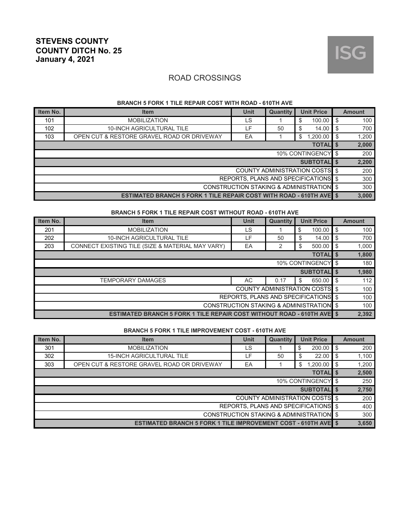

#### **BRANCH 5 FORK 1 TILE REPAIR COST WITH ROAD - 610TH AVE**

| Item No.                                 | <b>Item</b>                                                                | Unit | <b>Quantity</b> | <b>Unit Price</b>                     |    | <b>Amount</b> |  |  |
|------------------------------------------|----------------------------------------------------------------------------|------|-----------------|---------------------------------------|----|---------------|--|--|
| 101                                      | <b>MOBILIZATION</b>                                                        | LS   |                 | \$<br>100.00                          | S. | 100           |  |  |
| 102                                      | 10-INCH AGRICULTURAL TILE                                                  | LF.  | 50              | \$<br>14.00                           | \$ | 700           |  |  |
| 103                                      | OPEN CUT & RESTORE GRAVEL ROAD OR DRIVEWAY                                 | EA   |                 | 1,200.00<br>\$                        | -S | 1,200         |  |  |
| <b>TOTALIS</b>                           |                                                                            |      |                 |                                       |    |               |  |  |
| 10% CONTINGENCY \$                       |                                                                            |      |                 |                                       |    |               |  |  |
|                                          |                                                                            |      |                 | <b>SUBTOTALIS</b>                     |    | 2,200         |  |  |
|                                          |                                                                            |      |                 | <b>COUNTY ADMINISTRATION COSTS</b> \$ |    | 200           |  |  |
|                                          |                                                                            |      |                 | REPORTS, PLANS AND SPECIFICATIONS \$  |    | 300           |  |  |
| CONSTRUCTION STAKING & ADMINISTRATION \$ |                                                                            |      |                 |                                       |    |               |  |  |
|                                          | <b>ESTIMATED BRANCH 5 FORK 1 TILE REPAIR COST WITH ROAD - 610TH AVE \$</b> |      |                 |                                       |    | 3,000         |  |  |

#### **BRANCH 5 FORK 1 TILE REPAIR COST WITHOUT ROAD - 610TH AVE**

| Item No.                                 | <b>Item</b>                                                                   | <b>Unit</b> | <b>Unit Price</b><br>Quantity |                                       |     | <b>Amount</b> |  |  |
|------------------------------------------|-------------------------------------------------------------------------------|-------------|-------------------------------|---------------------------------------|-----|---------------|--|--|
| 201                                      | <b>MOBILIZATION</b>                                                           | LS          |                               | \$<br>100.00                          | -\$ | 100           |  |  |
| 202                                      | <b>10-INCH AGRICULTURAL TILE</b>                                              | LF          | 50                            | 14.00<br>\$                           | \$  | 700           |  |  |
| 203                                      | CONNECT EXISTING TILE (SIZE & MATERIAL MAY VARY)                              | EA          | 2                             | \$<br>500.00                          | \$  | 1,000         |  |  |
| <b>TOTAL</b> \$                          |                                                                               |             |                               |                                       |     |               |  |  |
| 10% CONTINGENCY \$                       |                                                                               |             |                               |                                       |     |               |  |  |
|                                          |                                                                               |             |                               | <b>SUBTOTALIS</b>                     |     | 1,980         |  |  |
|                                          | <b>TEMPORARY DAMAGES</b>                                                      | AC          | 0.17                          | 650.00<br>\$                          | -\$ | 112           |  |  |
|                                          |                                                                               |             |                               | <b>COUNTY ADMINISTRATION COSTS</b> \$ |     | 100           |  |  |
|                                          |                                                                               |             |                               | REPORTS, PLANS AND SPECIFICATIONS \$  |     | 100           |  |  |
| CONSTRUCTION STAKING & ADMINISTRATION \$ |                                                                               |             |                               |                                       |     |               |  |  |
|                                          | <b>ESTIMATED BRANCH 5 FORK 1 TILE REPAIR COST WITHOUT ROAD - 610TH AVE \$</b> |             |                               |                                       |     | 2,392         |  |  |

#### **BRANCH 5 FORK 1 TILE IMPROVEMENT COST - 610TH AVE**

| Item No.                                 | <b>Item</b>                                                          | <b>Unit</b> | <b>Unit Price</b><br><b>Quantity</b> |                                       |    | <b>Amount</b> |  |  |
|------------------------------------------|----------------------------------------------------------------------|-------------|--------------------------------------|---------------------------------------|----|---------------|--|--|
| 301                                      | <b>MOBILIZATION</b>                                                  | LS          |                                      | \$<br>200.00                          | \$ | 200           |  |  |
| 302                                      | <b>15-INCH AGRICULTURAL TILE</b>                                     | LF.         | 50                                   | 22.00<br>\$                           | \$ | 1,100         |  |  |
| 303                                      | OPEN CUT & RESTORE GRAVEL ROAD OR DRIVEWAY                           | EA          |                                      | 1.200.00<br>\$                        | \$ | 1,200         |  |  |
| <b>TOTALI</b>                            |                                                                      |             |                                      |                                       |    |               |  |  |
| 10% CONTINGENCY   \$                     |                                                                      |             |                                      |                                       |    |               |  |  |
|                                          |                                                                      |             |                                      | <b>SUBTOTALIS</b>                     |    | 2,750         |  |  |
|                                          |                                                                      |             |                                      | <b>COUNTY ADMINISTRATION COSTS</b> \$ |    | 200           |  |  |
|                                          |                                                                      |             |                                      | REPORTS, PLANS AND SPECIFICATIONS \$  |    | 400           |  |  |
| CONSTRUCTION STAKING & ADMINISTRATION \$ |                                                                      |             |                                      |                                       |    |               |  |  |
|                                          | <b>ESTIMATED BRANCH 5 FORK 1 TILE IMPROVEMENT COST - 610TH AVE 5</b> |             |                                      |                                       |    | 3,650         |  |  |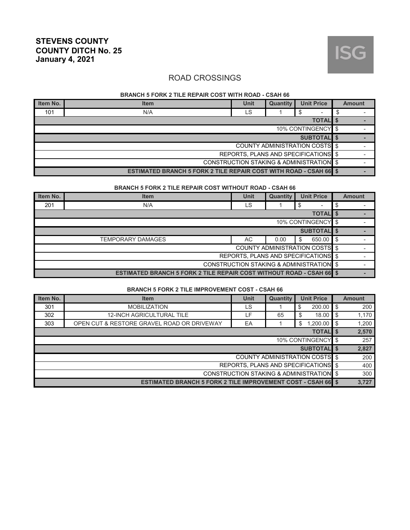

#### **BRANCH 5 FORK 2 TILE REPAIR COST WITH ROAD - CSAH 66**

| Item No.                                            | <b>Item</b>                                                              | Unit                                  | <b>Unit Price</b><br>Quantity |   |  |  |  | <b>Amount</b> |
|-----------------------------------------------------|--------------------------------------------------------------------------|---------------------------------------|-------------------------------|---|--|--|--|---------------|
| 101                                                 | N/A                                                                      | LS                                    |                               | S |  |  |  |               |
| <b>TOTAL</b> \$                                     |                                                                          |                                       |                               |   |  |  |  |               |
| 10% CONTINGENCY \$                                  |                                                                          |                                       |                               |   |  |  |  |               |
| <b>SUBTOTALIS</b>                                   |                                                                          |                                       |                               |   |  |  |  |               |
|                                                     |                                                                          | <b>COUNTY ADMINISTRATION COSTS</b> \$ |                               |   |  |  |  |               |
| REPORTS. PLANS AND SPECIFICATIONS \$                |                                                                          |                                       |                               |   |  |  |  |               |
| <b>CONSTRUCTION STAKING &amp; ADMINISTRATION \$</b> |                                                                          |                                       |                               |   |  |  |  |               |
|                                                     | <b>ESTIMATED BRANCH 5 FORK 2 TILE REPAIR COST WITH ROAD - CSAH 66 \$</b> |                                       |                               |   |  |  |  |               |

#### **BRANCH 5 FORK 2 TILE REPAIR COST WITHOUT ROAD - CSAH 66**

| Item No.                                                                    | <b>Item</b>              | <b>Unit</b>                           | Quantity | <b>Unit Price</b> |                 |  |  |  | <b>Amount</b> |
|-----------------------------------------------------------------------------|--------------------------|---------------------------------------|----------|-------------------|-----------------|--|--|--|---------------|
| 201                                                                         | N/A                      | LS                                    |          | \$                |                 |  |  |  |               |
|                                                                             |                          |                                       |          |                   | <b>TOTAL</b> \$ |  |  |  |               |
| 10% CONTINGENCY \$                                                          |                          |                                       |          |                   |                 |  |  |  |               |
| <b>SUBTOTAL</b> \$                                                          |                          |                                       |          |                   |                 |  |  |  |               |
|                                                                             | <b>TEMPORARY DAMAGES</b> | AC                                    | 0.00     | \$                | 650.00 \$       |  |  |  |               |
|                                                                             |                          | <b>COUNTY ADMINISTRATION COSTS</b> \$ |          |                   |                 |  |  |  |               |
| REPORTS, PLANS AND SPECIFICATIONS \$                                        |                          |                                       |          |                   |                 |  |  |  |               |
| CONSTRUCTION STAKING & ADMINISTRATION \$                                    |                          |                                       |          |                   |                 |  |  |  |               |
| <b>ESTIMATED BRANCH 5 FORK 2 TILE REPAIR COST WITHOUT ROAD - CSAH 66 \$</b> |                          |                                       |          |                   |                 |  |  |  |               |

#### **BRANCH 5 FORK 2 TILE IMPROVEMENT COST - CSAH 66**

| Item No.                                 | <b>Item</b>                                                         | Unit | <b>Unit Price</b><br>Quantity |                                |      |       |  | <b>Amount</b> |
|------------------------------------------|---------------------------------------------------------------------|------|-------------------------------|--------------------------------|------|-------|--|---------------|
| 301                                      | <b>MOBILIZATION</b>                                                 | LS   |                               | \$<br>200.00                   | ' \$ | 200   |  |               |
| 302                                      | <b>12-INCH AGRICULTURAL TILE</b>                                    | LF.  | 65                            | 18.00<br>\$                    | - \$ | 1,170 |  |               |
| 303                                      | OPEN CUT & RESTORE GRAVEL ROAD OR DRIVEWAY                          | EA   |                               | 1,200.00<br>\$                 | 'S   | 1,200 |  |               |
| <b>TOTAL</b> \$                          |                                                                     |      |                               |                                |      |       |  |               |
| 10% CONTINGENCY \$                       |                                                                     |      |                               |                                |      |       |  |               |
|                                          |                                                                     |      |                               | <b>SUBTOTAL</b> \$             |      | 2,827 |  |               |
|                                          |                                                                     |      |                               | COUNTY ADMINISTRATION COSTS \$ |      | 200   |  |               |
| REPORTS, PLANS AND SPECIFICATIONS \$     |                                                                     |      |                               |                                |      |       |  |               |
| CONSTRUCTION STAKING & ADMINISTRATION \$ |                                                                     |      |                               |                                |      |       |  |               |
|                                          | <b>ESTIMATED BRANCH 5 FORK 2 TILE IMPROVEMENT COST - CSAH 66 \$</b> |      |                               |                                |      | 3,727 |  |               |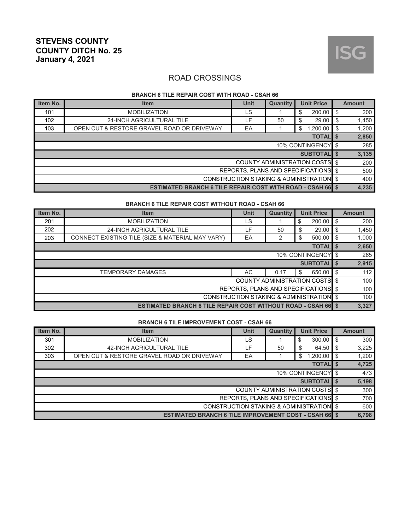

#### **BRANCH 6 TILE REPAIR COST WITH ROAD - CSAH 66**

| Item No.                                            | <b>Item</b>                                                       | <b>Unit</b> | Quantity | <b>Unit Price</b>                     |      | <b>Amount</b> |  |  |
|-----------------------------------------------------|-------------------------------------------------------------------|-------------|----------|---------------------------------------|------|---------------|--|--|
| 101                                                 | <b>MOBILIZATION</b>                                               | LS          |          | 200.00<br>\$                          | -\$  | 200           |  |  |
| 102                                                 | 24-INCH AGRICULTURAL TILE                                         | LF.         | 50       | 29.00<br>\$                           | - \$ | 1,450         |  |  |
| 103                                                 | OPEN CUT & RESTORE GRAVEL ROAD OR DRIVEWAY                        | EA          |          | 1,200.00<br>\$                        | " \$ | 1,200         |  |  |
| <b>TOTAL</b><br>l S                                 |                                                                   |             |          |                                       |      |               |  |  |
| 10% CONTINGENCY \$                                  |                                                                   |             |          |                                       |      |               |  |  |
|                                                     |                                                                   |             |          | <b>SUBTOTALIS</b>                     |      | 3,135         |  |  |
|                                                     |                                                                   |             |          | <b>COUNTY ADMINISTRATION COSTS</b> \$ |      | 200           |  |  |
| REPORTS, PLANS AND SPECIFICATIONS \$                |                                                                   |             |          |                                       |      |               |  |  |
| <b>CONSTRUCTION STAKING &amp; ADMINISTRATION \$</b> |                                                                   |             |          |                                       |      |               |  |  |
|                                                     | <b>ESTIMATED BRANCH 6 TILE REPAIR COST WITH ROAD - CSAH 66 \$</b> |             |          |                                       |      | 4,235         |  |  |

#### **BRANCH 6 TILE REPAIR COST WITHOUT ROAD - CSAH 66**

| Item No.                                                             | <b>Item</b>                                      | <b>Unit</b> | Quantity | <b>Unit Price</b> |                   |    |       |  | <b>Amount</b> |
|----------------------------------------------------------------------|--------------------------------------------------|-------------|----------|-------------------|-------------------|----|-------|--|---------------|
| 201                                                                  | <b>MOBILIZATION</b>                              | LS          |          | \$                | 200.00            | \$ | 200   |  |               |
| 202                                                                  | 24-INCH AGRICULTURAL TILE                        | LF          | 50       | \$                | 29.00             | \$ | 1,450 |  |               |
| 203                                                                  | CONNECT EXISTING TILE (SIZE & MATERIAL MAY VARY) | EA          | 2        | \$                | 500.00            | \$ | 1,000 |  |               |
|                                                                      |                                                  |             |          |                   | <b>TOTAL</b> \$   |    | 2,650 |  |               |
| 10% CONTINGENCY \$                                                   |                                                  |             |          |                   |                   |    | 265   |  |               |
|                                                                      |                                                  |             |          |                   | <b>SUBTOTALIS</b> |    | 2,915 |  |               |
|                                                                      | <b>TEMPORARY DAMAGES</b>                         | AC          | 0.17     | \$                | 650.00            | \$ | 112   |  |               |
| COUNTY ADMINISTRATION COSTS \$                                       |                                                  |             |          |                   |                   |    | 100   |  |               |
| REPORTS, PLANS AND SPECIFICATIONS \$                                 |                                                  |             |          |                   |                   |    | 100   |  |               |
| CONSTRUCTION STAKING & ADMINISTRATION \$                             |                                                  |             |          |                   |                   |    | 100   |  |               |
| <b>ESTIMATED BRANCH 6 TILE REPAIR COST WITHOUT ROAD - CSAH 66 \$</b> |                                                  |             |          |                   |                   |    | 3,327 |  |               |

#### **BRANCH 6 TILE IMPROVEMENT COST - CSAH 66**

| Item No.                                                     | <b>Item</b>                                | <b>Unit</b> | Quantity | <b>Unit Price</b> |    |       |  | <b>Amount</b> |
|--------------------------------------------------------------|--------------------------------------------|-------------|----------|-------------------|----|-------|--|---------------|
| 301                                                          | <b>MOBILIZATION</b>                        | LS          |          | 300.00<br>\$      | \$ | 300   |  |               |
| 302                                                          | 42-INCH AGRICULTURAL TILE                  | LF.         | 50       | 64.50<br>\$       | \$ | 3,225 |  |               |
| 303                                                          | OPEN CUT & RESTORE GRAVEL ROAD OR DRIVEWAY | EA          |          | 1,200.00<br>\$    | \$ | 1,200 |  |               |
| <b>TOTALIS</b>                                               |                                            |             |          |                   |    |       |  |               |
| 10% CONTINGENCY \$                                           |                                            |             |          |                   |    |       |  |               |
| <b>SUBTOTALIS</b>                                            |                                            |             |          |                   |    |       |  |               |
| <b>COUNTY ADMINISTRATION COSTS</b> \$                        |                                            |             |          |                   |    |       |  |               |
| REPORTS, PLANS AND SPECIFICATIONS \$                         |                                            |             |          |                   |    | 700   |  |               |
| CONSTRUCTION STAKING & ADMINISTRATION \$                     |                                            |             |          |                   |    | 600   |  |               |
| <b>ESTIMATED BRANCH 6 TILE IMPROVEMENT COST - CSAH 66 \$</b> |                                            |             |          |                   |    | 6,798 |  |               |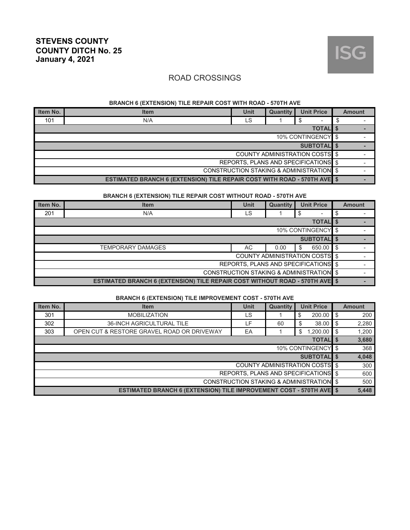

#### **BRANCH 6 (EXTENSION) TILE REPAIR COST WITH ROAD - 570TH AVE**

| Item No.                                                                 | <b>Item</b> | Unit | <b>Quantity</b> | <b>Unit Price</b> |  | <b>Amount</b> |
|--------------------------------------------------------------------------|-------------|------|-----------------|-------------------|--|---------------|
| 101                                                                      | N/A         | LS   |                 |                   |  |               |
| <b>TOTAL \$</b>                                                          |             |      |                 |                   |  |               |
| 10% CONTINGENCY \$                                                       |             |      |                 |                   |  |               |
| <b>SUBTOTALIS</b>                                                        |             |      |                 |                   |  |               |
| <b>COUNTY ADMINISTRATION COSTS</b> \$                                    |             |      |                 |                   |  |               |
| REPORTS, PLANS AND SPECIFICATIONS \$                                     |             |      |                 |                   |  |               |
| <b>CONSTRUCTION STAKING &amp; ADMINISTRATION \$</b>                      |             |      |                 |                   |  |               |
| ESTIMATED BRANCH 6 (EXTENSION) TILE REPAIR COST WITH ROAD - 570TH AVE \$ |             |      |                 |                   |  |               |

#### **BRANCH 6 (EXTENSION) TILE REPAIR COST WITHOUT ROAD - 570TH AVE**

| Item No.                                                                    | <b>Item</b> | <b>Unit</b> | Quantity |    | <b>Unit Price</b> |  | <b>Amount</b> |
|-----------------------------------------------------------------------------|-------------|-------------|----------|----|-------------------|--|---------------|
| 201                                                                         | N/A         | LS          |          | \$ |                   |  |               |
| <b>TOTAL</b> \$                                                             |             |             |          |    |                   |  |               |
| 10% CONTINGENCY \$                                                          |             |             |          |    |                   |  |               |
| <b>SUBTOTALIS</b>                                                           |             |             |          |    |                   |  |               |
| TEMPORARY DAMAGES<br>AC<br>650.00 \$<br>0.00<br>S                           |             |             |          |    |                   |  |               |
| <b>COUNTY ADMINISTRATION COSTS</b> \$                                       |             |             |          |    |                   |  |               |
| REPORTS, PLANS AND SPECIFICATIONS \$                                        |             |             |          |    |                   |  |               |
| CONSTRUCTION STAKING & ADMINISTRATION \$                                    |             |             |          |    |                   |  |               |
| ESTIMATED BRANCH 6 (EXTENSION) TILE REPAIR COST WITHOUT ROAD - 570TH AVE \$ |             |             |          |    |                   |  |               |

#### **BRANCH 6 (EXTENSION) TILE IMPROVEMENT COST - 570TH AVE**

| Item No.                                                                   | <b>Item</b>                                | Unit | <b>Quantity</b> | <b>Unit Price</b> |     | <b>Amount</b> |  |
|----------------------------------------------------------------------------|--------------------------------------------|------|-----------------|-------------------|-----|---------------|--|
| 301                                                                        | <b>MOBILIZATION</b>                        | LS   |                 | \$<br>200.00      | -\$ | 200           |  |
| 302                                                                        | <b>36-INCH AGRICULTURAL TILE</b>           | ιF.  | 60              | 38.00<br>\$       | \$  | 2,280         |  |
| 303                                                                        | OPEN CUT & RESTORE GRAVEL ROAD OR DRIVEWAY | EA   |                 | 1,200.00<br>\$    | -\$ | 1,200         |  |
| <b>TOTALIS</b>                                                             |                                            |      |                 |                   |     |               |  |
| 10% CONTINGENCY   \$                                                       |                                            |      |                 |                   |     |               |  |
| <b>SUBTOTALIS</b>                                                          |                                            |      |                 |                   |     |               |  |
| <b>COUNTY ADMINISTRATION COSTS</b> \$                                      |                                            |      |                 |                   |     |               |  |
| REPORTS. PLANS AND SPECIFICATIONS \$                                       |                                            |      |                 |                   |     | 600           |  |
| CONSTRUCTION STAKING & ADMINISTRATION \$                                   |                                            |      |                 |                   |     | 500           |  |
| <b>ESTIMATED BRANCH 6 (EXTENSION) TILE IMPROVEMENT COST - 570TH AVE \$</b> |                                            |      |                 |                   |     |               |  |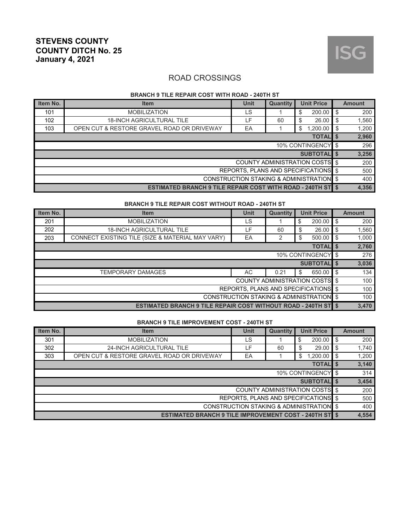

#### **BRANCH 9 TILE REPAIR COST WITH ROAD - 240TH ST**

| Item No.                                                          | <b>Item</b>                                | <b>Unit</b> | <b>Unit Price</b><br><b>Quantity</b> |                |      |       |  | <b>Amount</b> |
|-------------------------------------------------------------------|--------------------------------------------|-------------|--------------------------------------|----------------|------|-------|--|---------------|
| 101                                                               | <b>MOBILIZATION</b>                        | LS          |                                      | 200.00<br>\$   | - \$ | 200   |  |               |
| 102                                                               | <b>18-INCH AGRICULTURAL TILE</b>           | ∟F i        | 60                                   | 26.00<br>\$    | - \$ | 1,560 |  |               |
| 103                                                               | OPEN CUT & RESTORE GRAVEL ROAD OR DRIVEWAY | EA          |                                      | 1,200.00<br>\$ |      | 1,200 |  |               |
| <b>TOTALIS</b>                                                    |                                            |             |                                      |                |      |       |  |               |
| 10% CONTINGENCY \$                                                |                                            |             |                                      |                |      |       |  |               |
| <b>SUBTOTALIS</b>                                                 |                                            |             |                                      |                |      |       |  |               |
| <b>COUNTY ADMINISTRATION COSTS</b> \$                             |                                            |             |                                      |                |      |       |  |               |
| REPORTS, PLANS AND SPECIFICATIONS \$                              |                                            |             |                                      |                |      |       |  |               |
| <b>CONSTRUCTION STAKING &amp; ADMINISTRATION \$</b>               |                                            |             |                                      |                |      | 400   |  |               |
| <b>ESTIMATED BRANCH 9 TILE REPAIR COST WITH ROAD - 240TH ST S</b> |                                            |             |                                      |                |      | 4,356 |  |               |

#### **BRANCH 9 TILE REPAIR COST WITHOUT ROAD - 240TH ST**

| Item No.                                                              | <b>Item</b>                                      | <b>Unit</b> | <b>Quantity</b> | <b>Unit Price</b> |    | <b>Amount</b> |
|-----------------------------------------------------------------------|--------------------------------------------------|-------------|-----------------|-------------------|----|---------------|
| 201                                                                   | <b>MOBILIZATION</b>                              | LS          |                 | \$<br>200.00      | \$ | 200           |
| 202                                                                   | <b>18-INCH AGRICULTURAL TILE</b>                 | LF.         | 60              | \$<br>26.00       | \$ | 1,560         |
| 203                                                                   | CONNECT EXISTING TILE (SIZE & MATERIAL MAY VARY) | EA          | 2               | \$<br>500.00      | \$ | 1,000         |
|                                                                       |                                                  |             |                 | <b>TOTAL</b> \$   |    | 2,760         |
| 10% CONTINGENCY \$                                                    |                                                  |             |                 |                   |    |               |
|                                                                       |                                                  |             |                 | SUBTOTAL \$       |    | 3,036         |
|                                                                       | <b>TEMPORARY DAMAGES</b>                         | AC          | 0.21            | \$<br>650.00      | \$ | 134           |
| COUNTY ADMINISTRATION COSTS \$                                        |                                                  |             |                 |                   |    |               |
| REPORTS, PLANS AND SPECIFICATIONS \$                                  |                                                  |             |                 |                   |    | 100           |
| CONSTRUCTION STAKING & ADMINISTRATION \$                              |                                                  |             |                 |                   |    | 100           |
| <b>ESTIMATED BRANCH 9 TILE REPAIR COST WITHOUT ROAD - 240TH ST \$</b> |                                                  |             |                 |                   |    | 3,470         |

#### **BRANCH 9 TILE IMPROVEMENT COST - 240TH ST**

| Item No.                                                      | <b>Item</b>                                | <b>Unit</b> | <b>Quantity</b> | <b>Unit Price</b> |    | <b>Amount</b> |
|---------------------------------------------------------------|--------------------------------------------|-------------|-----------------|-------------------|----|---------------|
| 301                                                           | <b>MOBILIZATION</b>                        | LS          |                 | 200.00<br>\$      | \$ | 200           |
| 302                                                           | 24-INCH AGRICULTURAL TILE                  | LF.         | 60              | \$<br>29.00       | -S | 1,740         |
| 303                                                           | OPEN CUT & RESTORE GRAVEL ROAD OR DRIVEWAY | EA          |                 | 1,200.00<br>\$    | \$ | 1,200         |
| <b>TOTALIS</b>                                                |                                            |             |                 |                   |    |               |
| 10% CONTINGENCY   \$                                          |                                            |             |                 |                   |    |               |
| <b>SUBTOTALIS</b>                                             |                                            |             |                 |                   |    | 3,454         |
| <b>COUNTY ADMINISTRATION COSTS</b> \$                         |                                            |             |                 |                   |    | 200           |
| REPORTS, PLANS AND SPECIFICATIONS \$                          |                                            |             |                 |                   |    | 500           |
| CONSTRUCTION STAKING & ADMINISTRATION \$                      |                                            |             |                 |                   |    | 400           |
| <b>ESTIMATED BRANCH 9 TILE IMPROVEMENT COST - 240TH ST \$</b> |                                            |             |                 |                   |    | 4,554         |